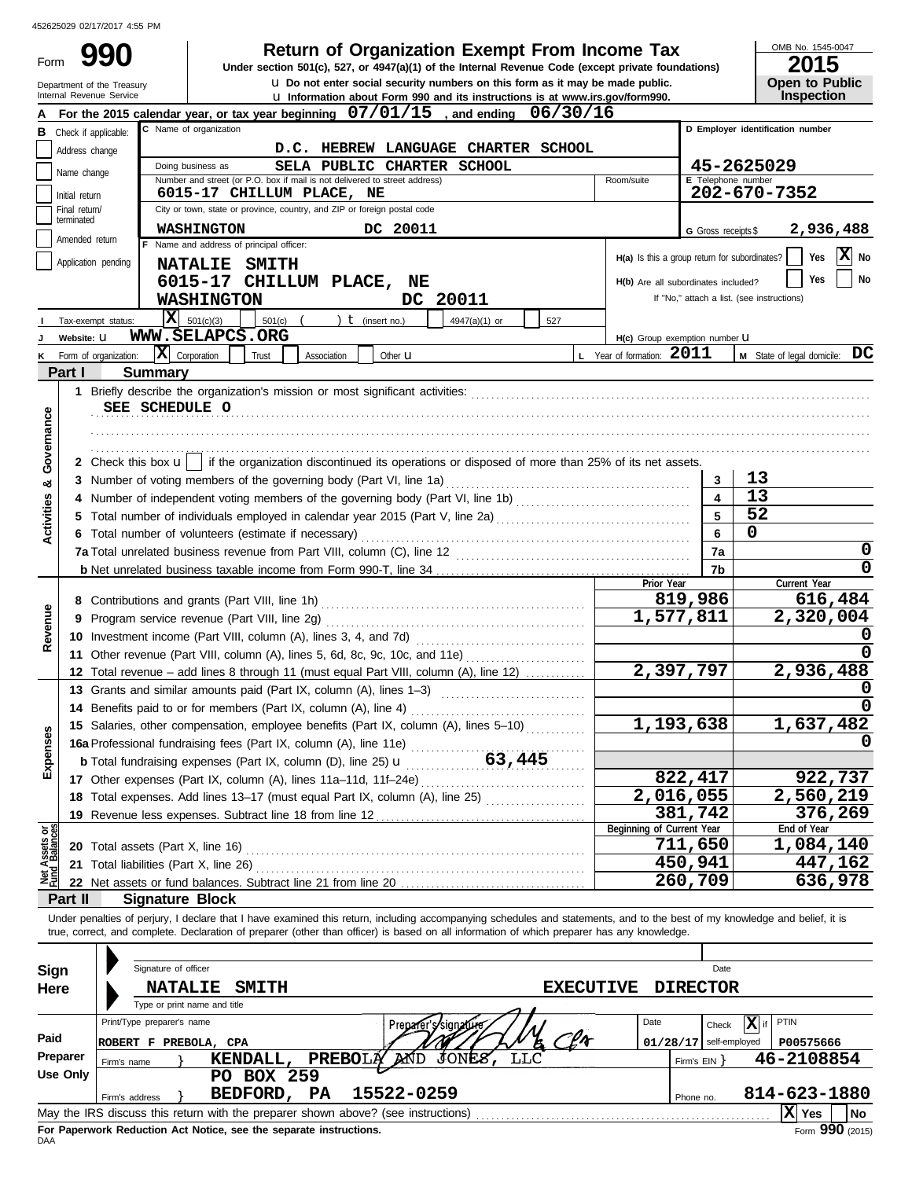| 452625029 02/17/2017 4:55 PM                           |                                                      |                                                                                                                                                                            |            |                                                                   |                                            |  |
|--------------------------------------------------------|------------------------------------------------------|----------------------------------------------------------------------------------------------------------------------------------------------------------------------------|------------|-------------------------------------------------------------------|--------------------------------------------|--|
|                                                        |                                                      | <b>Return of Organization Exempt From Income Tax</b>                                                                                                                       |            |                                                                   | OMB No. 1545-0047                          |  |
| Form                                                   |                                                      | Under section 501(c), 527, or 4947(a)(1) of the Internal Revenue Code (except private foundations)                                                                         |            |                                                                   | 2015                                       |  |
| Department of the Treasury<br>Internal Revenue Service |                                                      | <b>u</b> Do not enter social security numbers on this form as it may be made public.                                                                                       |            |                                                                   | <b>Open to Public</b><br><b>Inspection</b> |  |
|                                                        |                                                      | u Information about Form 990 and its instructions is at www.irs.gov/form990.<br>For the 2015 calendar year, or tax year beginning $07/01/15$ , and ending<br>06/30/16      |            |                                                                   |                                            |  |
| в                                                      |                                                      | C Name of organization                                                                                                                                                     |            |                                                                   | D Employer identification number           |  |
| Check if applicable:                                   |                                                      | D.C. HEBREW LANGUAGE CHARTER SCHOOL                                                                                                                                        |            |                                                                   |                                            |  |
| Address change                                         |                                                      | SELA PUBLIC CHARTER<br><b>SCHOOL</b><br>Doing business as                                                                                                                  |            |                                                                   | 45-2625029                                 |  |
| Name change                                            |                                                      | Number and street (or P.O. box if mail is not delivered to street address)<br>Room/suite                                                                                   |            | E Telephone number                                                |                                            |  |
| Initial return                                         |                                                      | 6015-17 CHILLUM PLACE, NE                                                                                                                                                  |            |                                                                   | 202-670-7352                               |  |
| Final return/<br>terminated                            |                                                      | City or town, state or province, country, and ZIP or foreign postal code                                                                                                   |            |                                                                   |                                            |  |
| Amended return                                         |                                                      | <b>WASHINGTON</b><br>DC 20011                                                                                                                                              |            | G Gross receipts \$                                               | 2,936,488                                  |  |
|                                                        |                                                      | F Name and address of principal officer:                                                                                                                                   |            | ΙXΙ<br>H(a) Is this a group return for subordinates?<br>Yes<br>No |                                            |  |
| Application pending                                    |                                                      | <b>NATALIE</b><br><b>SMITH</b>                                                                                                                                             |            |                                                                   |                                            |  |
|                                                        |                                                      | 6015-17 CHILLUM PLACE, NE<br>H(b) Are all subordinates included?                                                                                                           |            |                                                                   | No<br>Yes                                  |  |
|                                                        |                                                      | DC 20011<br><b>WASHINGTON</b>                                                                                                                                              |            |                                                                   | If "No," attach a list. (see instructions) |  |
| Tax-exempt status:                                     | IXI                                                  | 501(c)(3)<br>$t$ (insert no.)<br>4947(a)(1) or<br>501(c)<br>527                                                                                                            |            |                                                                   |                                            |  |
| Website: U                                             |                                                      | WWW.SELAPCS.ORG<br>H(c) Group exemption number U                                                                                                                           |            |                                                                   |                                            |  |
| Form of organization:                                  |                                                      | $ \mathbf{X} $ Corporation<br>L Year of formation: 2011<br>Trust<br>Association<br>Other $\mathbf u$                                                                       |            |                                                                   | M State of legal domicile: DC              |  |
| Part I                                                 | <b>Summary</b>                                       |                                                                                                                                                                            |            |                                                                   |                                            |  |
|                                                        |                                                      |                                                                                                                                                                            |            |                                                                   |                                            |  |
|                                                        | SEE SCHEDULE O                                       |                                                                                                                                                                            |            |                                                                   |                                            |  |
|                                                        |                                                      |                                                                                                                                                                            |            |                                                                   |                                            |  |
|                                                        |                                                      |                                                                                                                                                                            |            |                                                                   |                                            |  |
| Governance                                             |                                                      | 2 Check this box $\mathbf{u}$   if the organization discontinued its operations or disposed of more than 25% of its net assets.                                            |            |                                                                   |                                            |  |
| య                                                      |                                                      |                                                                                                                                                                            |            | 3                                                                 | 13                                         |  |
|                                                        |                                                      |                                                                                                                                                                            |            | 4                                                                 | 13                                         |  |
| Activities                                             |                                                      |                                                                                                                                                                            | 5          | 52                                                                |                                            |  |
|                                                        | 6 Total number of volunteers (estimate if necessary) |                                                                                                                                                                            | 6          | 0                                                                 |                                            |  |
|                                                        |                                                      |                                                                                                                                                                            |            | 7a                                                                | 0                                          |  |
|                                                        |                                                      |                                                                                                                                                                            |            | 7b                                                                | 0                                          |  |
|                                                        |                                                      |                                                                                                                                                                            | Prior Year |                                                                   | Current Year<br>616,484                    |  |
|                                                        |                                                      |                                                                                                                                                                            | 1,577,811  | 819,986                                                           | 2,320,004                                  |  |
| Revenue                                                |                                                      | 9 Program service revenue (Part VIII, line 2g)                                                                                                                             |            |                                                                   |                                            |  |
|                                                        |                                                      |                                                                                                                                                                            |            |                                                                   | 0                                          |  |
|                                                        |                                                      | 11 Other revenue (Part VIII, column (A), lines 5, 6d, 8c, 9c, 10c, and 11e)<br>12 Total revenue – add lines 8 through 11 (must equal Part VIII, column (A), line 12)       |            | 2,397,797                                                         | 2,936,488                                  |  |
|                                                        |                                                      |                                                                                                                                                                            |            |                                                                   |                                            |  |
|                                                        |                                                      | 13 Grants and similar amounts paid (Part IX, column (A), lines 1–3)                                                                                                        |            |                                                                   | U<br>$\overline{0}$                        |  |
|                                                        |                                                      | 14 Benefits paid to or for members (Part IX, column (A), line 4)<br>15 Salaries, other compensation, employee benefits (Part IX, column (A), lines 5-10)                   |            | 1,193,638                                                         | 1,637,482                                  |  |
|                                                        |                                                      |                                                                                                                                                                            |            |                                                                   | 0                                          |  |
|                                                        |                                                      |                                                                                                                                                                            |            |                                                                   |                                            |  |
| Expenses                                               |                                                      |                                                                                                                                                                            |            | 822,417                                                           | 922,737                                    |  |
|                                                        |                                                      | 18 Total expenses. Add lines 13-17 (must equal Part IX, column (A), line 25)                                                                                               |            | 2,016,055                                                         | 2,560,219                                  |  |
|                                                        |                                                      | 19 Revenue less expenses. Subtract line 18 from line 12                                                                                                                    |            | 381,742                                                           | 376,269                                    |  |
|                                                        |                                                      | Beginning of Current Year                                                                                                                                                  |            |                                                                   | End of Year                                |  |
|                                                        | 20 Total assets (Part X, line 16)                    |                                                                                                                                                                            |            | 711,650                                                           | 1,084,140                                  |  |
| t Assets or<br>d Balances                              | 21 Total liabilities (Part X, line 26)               |                                                                                                                                                                            |            | 450,941                                                           | 447,162                                    |  |
| 형                                                      |                                                      |                                                                                                                                                                            |            | 260,709                                                           | 636,978                                    |  |
| Part II                                                | <b>Signature Block</b>                               |                                                                                                                                                                            |            |                                                                   |                                            |  |
|                                                        |                                                      | Under penalties of perjury, I declare that I have examined this return, including accompanying schedules and statements, and to the best of my knowledge and belief, it is |            |                                                                   |                                            |  |
|                                                        |                                                      | true, correct, and complete. Declaration of preparer (other than officer) is based on all information of which preparer has any knowledge.                                 |            |                                                                   |                                            |  |
|                                                        |                                                      |                                                                                                                                                                            |            |                                                                   |                                            |  |
| Sign                                                   | Signature of officer                                 |                                                                                                                                                                            |            | Date                                                              |                                            |  |
| Here                                                   | <b>NATALIE</b>                                       | <b>SMITH</b><br><b>EXECUTIVE</b>                                                                                                                                           |            | <b>DIRECTOR</b>                                                   |                                            |  |
|                                                        |                                                      | Type or print name and title                                                                                                                                               |            |                                                                   |                                            |  |
|                                                        | Print/Type preparer's name                           | Preparer's signature<br>Date                                                                                                                                               |            | Check                                                             | $\mathbf{X}$ if<br>PTIN                    |  |
| Paid                                                   | ROBERT F PREBOLA, CPA                                |                                                                                                                                                                            |            | $01/28/17$ self-employed                                          | P00575666                                  |  |
| Preparer                                               | Firm's name                                          | JONE8,<br><b>LLC</b><br>PREBOLĄ AND<br>KENDALL,                                                                                                                            |            | Firm's $EIN$ }                                                    | 46-2108854                                 |  |
| <b>Use Only</b>                                        |                                                      | <b>PO BOX 259</b>                                                                                                                                                          |            |                                                                   |                                            |  |
|                                                        | Firm's address                                       | 15522-0259<br>BEDFORD, PA                                                                                                                                                  |            | Phone no.                                                         | 814-623-1880                               |  |
|                                                        |                                                      | May the IRS discuss this return with the preparer shown above? (see instructions)                                                                                          |            |                                                                   | $ X $ Yes<br><b>No</b>                     |  |
|                                                        |                                                      |                                                                                                                                                                            |            |                                                                   |                                            |  |

| Sign     |                                                    |                | Signature of officer         |                                                                                   |           |                 |                      |       |     |  |      |                 | Date                     |              |           |                                      |
|----------|----------------------------------------------------|----------------|------------------------------|-----------------------------------------------------------------------------------|-----------|-----------------|----------------------|-------|-----|--|------|-----------------|--------------------------|--------------|-----------|--------------------------------------|
| Here     | <b>NATALIE</b><br><b>SMITH</b><br><b>EXECUTIVE</b> |                |                              |                                                                                   |           |                 |                      |       |     |  |      | <b>DIRECTOR</b> |                          |              |           |                                      |
|          |                                                    |                | Type or print name and title |                                                                                   |           |                 |                      |       |     |  |      |                 |                          |              |           |                                      |
|          |                                                    |                | Print/Type preparer's name   |                                                                                   |           |                 | Preparer's/signature |       |     |  | Date |                 | .XI<br>Check             | PTIN         |           |                                      |
| Paid     | <b>ROBERT</b>                                      | F              | PREBOLA, CPA                 |                                                                                   |           |                 |                      |       |     |  |      |                 | $01/28/17$ self-employed |              | P00575666 |                                      |
| Preparer |                                                    | Firm's name    |                              | KENDALL,                                                                          |           | <b>PREBOL</b> A | MÓD                  | JONES | LLC |  |      | Firm's EIN      |                          | 46-2108854   |           |                                      |
| Use Only |                                                    |                |                              | <b>BOX 259</b><br>PO.                                                             |           |                 |                      |       |     |  |      |                 |                          |              |           |                                      |
|          |                                                    | Firm's address |                              | BEDFORD,                                                                          | <b>PA</b> |                 | 15522-0259           |       |     |  |      | Phone no.       |                          | 814-623-1880 |           |                                      |
|          |                                                    |                |                              | May the IRS discuss this return with the preparer shown above? (see instructions) |           |                 |                      |       |     |  |      |                 |                          | lX           | Yes       | <b>No</b>                            |
|          |                                                    |                |                              | For Panerwork Reduction Act Notice, see the senarate instructions                 |           |                 |                      |       |     |  |      |                 |                          |              |           | $F_{\text{corr}}$ QQ $\Omega$ (2015) |

**For Paperwork Reduction Act Notice, see the separate instructions.**<br>DAA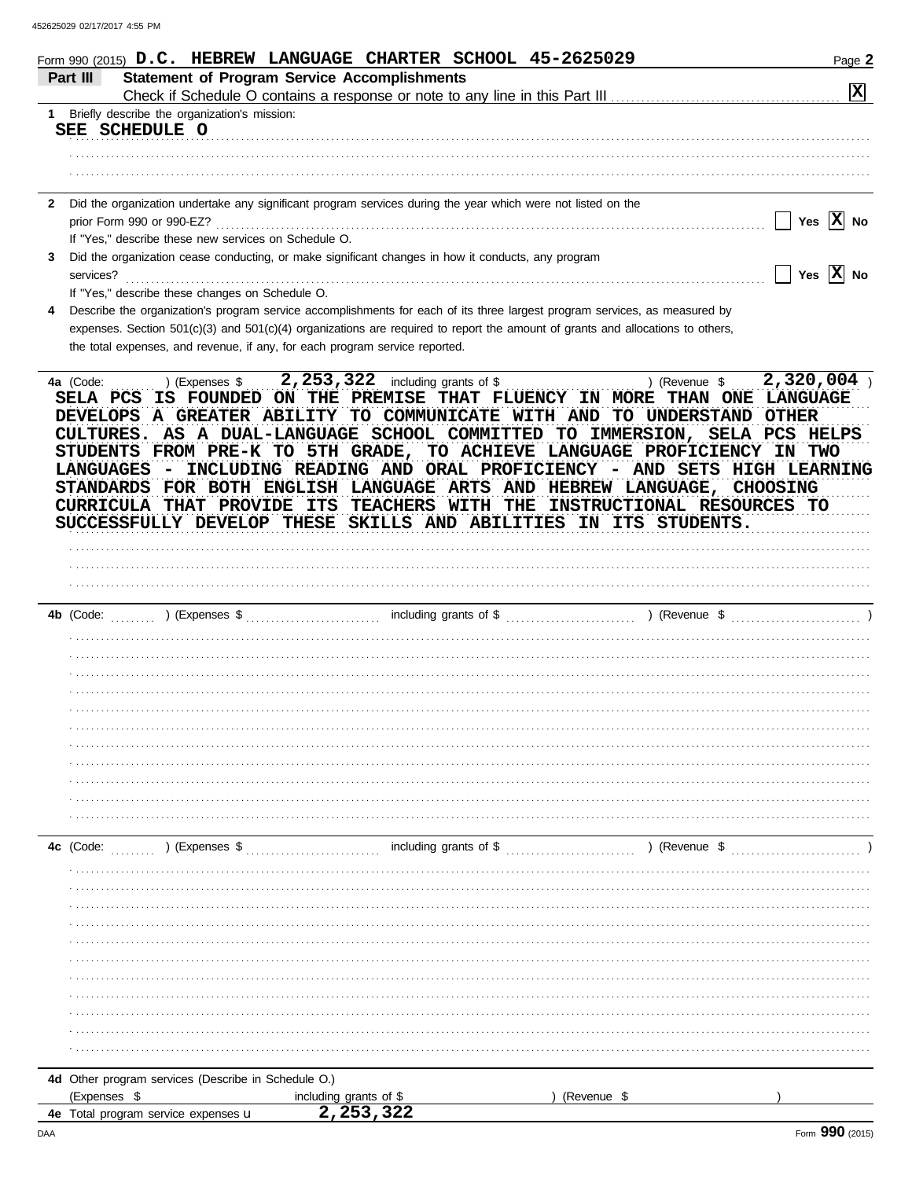| Part III       | Form 990 (2015) D.C. HEBREW LANGUAGE CHARTER SCHOOL 45-2625029<br><b>Statement of Program Service Accomplishments</b>          | Page 2                |
|----------------|--------------------------------------------------------------------------------------------------------------------------------|-----------------------|
|                |                                                                                                                                | $ \mathbf{x} $        |
|                | 1 Briefly describe the organization's mission:                                                                                 |                       |
|                | SEE SCHEDULE O                                                                                                                 |                       |
|                |                                                                                                                                |                       |
|                |                                                                                                                                |                       |
|                |                                                                                                                                |                       |
| $\mathbf{2}$   | Did the organization undertake any significant program services during the year which were not listed on the                   |                       |
|                | prior Form 990 or 990-EZ?                                                                                                      | Yes $ X $ No          |
|                | If "Yes," describe these new services on Schedule O.                                                                           |                       |
| 3<br>services? | Did the organization cease conducting, or make significant changes in how it conducts, any program                             | Yes $ \mathbf{X} $ No |
|                | If "Yes," describe these changes on Schedule O.                                                                                |                       |
| 4              | Describe the organization's program service accomplishments for each of its three largest program services, as measured by     |                       |
|                | expenses. Section 501(c)(3) and 501(c)(4) organizations are required to report the amount of grants and allocations to others, |                       |
|                | the total expenses, and revenue, if any, for each program service reported.                                                    |                       |
|                |                                                                                                                                |                       |
| 4a (Code:      | 2, 253, 322 including grants of \$<br>) (Revenue \$<br>) (Expenses \$                                                          | 2,320,004             |
| SELA PCS       | IS FOUNDED ON THE PREMISE THAT FLUENCY IN MORE THAN ONE LANGUAGE                                                               |                       |
|                | DEVELOPS A GREATER ABILITY TO COMMUNICATE WITH AND TO UNDERSTAND OTHER                                                         |                       |
|                | CULTURES. AS A DUAL-LANGUAGE SCHOOL COMMITTED TO IMMERSION, SELA PCS HELPS                                                     |                       |
|                | STUDENTS FROM PRE-K TO 5TH GRADE, TO ACHIEVE LANGUAGE PROFICIENCY IN TWO                                                       |                       |
| LANGUAGES      | - INCLUDING READING AND ORAL PROFICIENCY - AND SETS HIGH LEARNING                                                              |                       |
|                | STANDARDS FOR BOTH ENGLISH LANGUAGE ARTS AND HEBREW LANGUAGE, CHOOSING                                                         |                       |
|                | CURRICULA THAT PROVIDE ITS TEACHERS WITH THE INSTRUCTIONAL RESOURCES TO                                                        |                       |
|                | SUCCESSFULLY DEVELOP THESE SKILLS AND ABILITIES IN ITS STUDENTS.                                                               |                       |
|                |                                                                                                                                |                       |
|                |                                                                                                                                |                       |
|                |                                                                                                                                |                       |
|                |                                                                                                                                |                       |
|                |                                                                                                                                |                       |
| 4b (Code:      | ) (Expenses \$                                                                                                                 |                       |
|                |                                                                                                                                |                       |
|                |                                                                                                                                |                       |
|                |                                                                                                                                |                       |
|                |                                                                                                                                |                       |
|                |                                                                                                                                |                       |
|                |                                                                                                                                |                       |
|                |                                                                                                                                |                       |
|                |                                                                                                                                |                       |
|                |                                                                                                                                |                       |
|                |                                                                                                                                |                       |
|                |                                                                                                                                |                       |
|                |                                                                                                                                |                       |
|                | including grants of \$<br>$\ldots$ (Revenue \$)<br>) (Expenses \$                                                              |                       |
|                |                                                                                                                                |                       |
|                |                                                                                                                                |                       |
|                |                                                                                                                                |                       |
|                |                                                                                                                                |                       |
|                |                                                                                                                                |                       |
|                |                                                                                                                                |                       |
|                |                                                                                                                                |                       |
| 4c (Code:      |                                                                                                                                |                       |
|                |                                                                                                                                |                       |
|                |                                                                                                                                |                       |

| <b>THE UNION PROGRAMM</b> SOFFICED (DOSSING 11 OCTICATION) |                         |           |  |
|------------------------------------------------------------|-------------------------|-----------|--|
| (Expenses                                                  | including grants of \$  | (Revenue) |  |
| Total program service expenses <b>u</b><br>4е              | າ າ ເ<br>ــ 276, 253, 2 |           |  |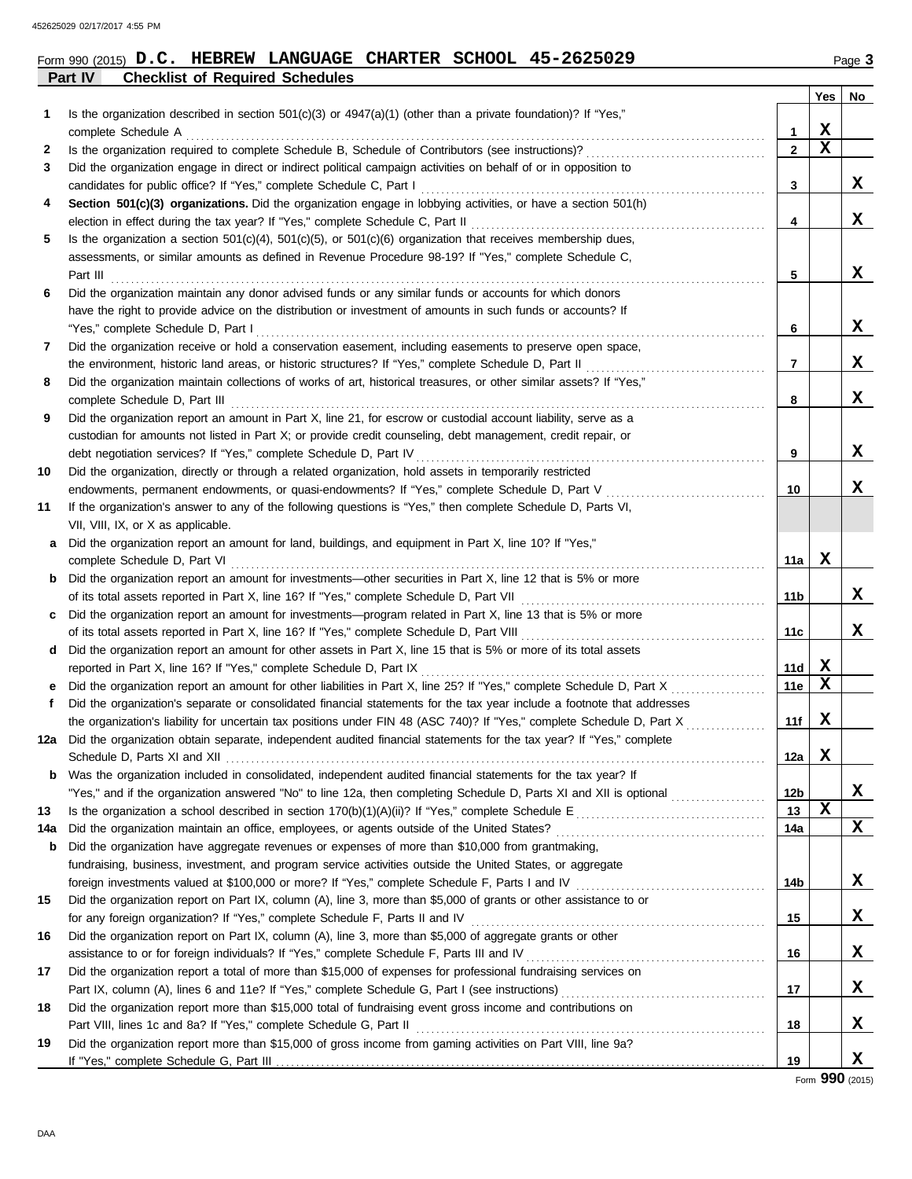**Part IV Checklist of Required Schedules**

| Form 990 (2015) $D.C.$ HEBREW LANGUAGE CHARTER SCHOOL 45-2625029 |  |  |  |  |  |  |  | Page 3 |
|------------------------------------------------------------------|--|--|--|--|--|--|--|--------|
|------------------------------------------------------------------|--|--|--|--|--|--|--|--------|

|     |                                                                                                                                                                                   |                 | Yes         | No |
|-----|-----------------------------------------------------------------------------------------------------------------------------------------------------------------------------------|-----------------|-------------|----|
| 1   | Is the organization described in section 501(c)(3) or 4947(a)(1) (other than a private foundation)? If "Yes,"                                                                     |                 |             |    |
|     | complete Schedule A                                                                                                                                                               | 1               | X           |    |
| 2   | Is the organization required to complete Schedule B, Schedule of Contributors (see instructions)?                                                                                 | 2               | $\mathbf x$ |    |
| 3   | Did the organization engage in direct or indirect political campaign activities on behalf of or in opposition to                                                                  |                 |             |    |
|     | candidates for public office? If "Yes," complete Schedule C, Part I                                                                                                               | 3               |             | X. |
| 4   | Section 501(c)(3) organizations. Did the organization engage in lobbying activities, or have a section 501(h)                                                                     |                 |             |    |
|     | election in effect during the tax year? If "Yes," complete Schedule C, Part II                                                                                                    | 4               |             | x  |
| 5   | Is the organization a section $501(c)(4)$ , $501(c)(5)$ , or $501(c)(6)$ organization that receives membership dues,                                                              |                 |             |    |
|     | assessments, or similar amounts as defined in Revenue Procedure 98-19? If "Yes," complete Schedule C,                                                                             |                 |             |    |
|     | Part III                                                                                                                                                                          | 5               |             | x  |
| 6   | Did the organization maintain any donor advised funds or any similar funds or accounts for which donors                                                                           |                 |             |    |
|     | have the right to provide advice on the distribution or investment of amounts in such funds or accounts? If                                                                       |                 |             |    |
|     | "Yes," complete Schedule D, Part I                                                                                                                                                | 6               |             | X  |
| 7   | Did the organization receive or hold a conservation easement, including easements to preserve open space,                                                                         |                 |             |    |
|     | the environment, historic land areas, or historic structures? If "Yes," complete Schedule D, Part II                                                                              | 7               |             | x  |
| 8   | Did the organization maintain collections of works of art, historical treasures, or other similar assets? If "Yes,"                                                               |                 |             | x  |
|     | complete Schedule D, Part III                                                                                                                                                     | 8               |             |    |
| 9   | Did the organization report an amount in Part X, line 21, for escrow or custodial account liability, serve as a                                                                   |                 |             |    |
|     | custodian for amounts not listed in Part X; or provide credit counseling, debt management, credit repair, or<br>debt negotiation services? If "Yes," complete Schedule D, Part IV | 9               |             | x  |
| 10  | Did the organization, directly or through a related organization, hold assets in temporarily restricted                                                                           |                 |             |    |
|     | endowments, permanent endowments, or quasi-endowments? If "Yes," complete Schedule D, Part V                                                                                      | 10              |             | x  |
| 11  | If the organization's answer to any of the following questions is "Yes," then complete Schedule D, Parts VI,                                                                      |                 |             |    |
|     | VII, VIII, IX, or X as applicable.                                                                                                                                                |                 |             |    |
| a   | Did the organization report an amount for land, buildings, and equipment in Part X, line 10? If "Yes,"                                                                            |                 |             |    |
|     | complete Schedule D, Part VI                                                                                                                                                      | 11a             | X           |    |
| b   | Did the organization report an amount for investments—other securities in Part X, line 12 that is 5% or more                                                                      |                 |             |    |
|     | of its total assets reported in Part X, line 16? If "Yes," complete Schedule D, Part VII                                                                                          | 11b             |             | X. |
| c   | Did the organization report an amount for investments—program related in Part X, line 13 that is 5% or more                                                                       |                 |             |    |
|     | of its total assets reported in Part X, line 16? If "Yes," complete Schedule D, Part VIII                                                                                         | 11c             |             | X  |
| d   | Did the organization report an amount for other assets in Part X, line 15 that is 5% or more of its total assets                                                                  |                 |             |    |
|     | reported in Part X, line 16? If "Yes," complete Schedule D, Part IX                                                                                                               | 11d             | x           |    |
| е   | Did the organization report an amount for other liabilities in Part X, line 25? If "Yes," complete Schedule D, Part X                                                             | 11e             | х           |    |
| f   | Did the organization's separate or consolidated financial statements for the tax year include a footnote that addresses                                                           |                 |             |    |
|     | the organization's liability for uncertain tax positions under FIN 48 (ASC 740)? If "Yes," complete Schedule D, Part X                                                            | 11f             | X           |    |
| 12a | Did the organization obtain separate, independent audited financial statements for the tax year? If "Yes," complete                                                               |                 |             |    |
|     | Schedule D, Parts XI and XII                                                                                                                                                      | 12a             | X           |    |
|     | <b>b</b> Was the organization included in consolidated, independent audited financial statements for the tax year? If                                                             |                 |             |    |
|     | "Yes," and if the organization answered "No" to line 12a, then completing Schedule D, Parts XI and XII is optional                                                                | 12 <sub>b</sub> |             | X  |
| 13  |                                                                                                                                                                                   | 13              | $\mathbf x$ |    |
| 14a | Did the organization maintain an office, employees, or agents outside of the United States?                                                                                       | 14a             |             | x  |
| b   | Did the organization have aggregate revenues or expenses of more than \$10,000 from grantmaking,                                                                                  |                 |             |    |
|     | fundraising, business, investment, and program service activities outside the United States, or aggregate                                                                         |                 |             |    |
|     | foreign investments valued at \$100,000 or more? If "Yes," complete Schedule F, Parts I and IV [[[[[[[[[[[[[[[[                                                                   | 14b             |             | X. |
| 15  | Did the organization report on Part IX, column (A), line 3, more than \$5,000 of grants or other assistance to or                                                                 |                 |             |    |
|     | for any foreign organization? If "Yes," complete Schedule F, Parts II and IV                                                                                                      | 15              |             | X, |
| 16  | Did the organization report on Part IX, column (A), line 3, more than \$5,000 of aggregate grants or other                                                                        |                 |             |    |
|     | assistance to or for foreign individuals? If "Yes," complete Schedule F, Parts III and IV                                                                                         | 16              |             | X, |
| 17  | Did the organization report a total of more than \$15,000 of expenses for professional fundraising services on                                                                    | 17              |             | X, |
| 18  | Did the organization report more than \$15,000 total of fundraising event gross income and contributions on                                                                       |                 |             |    |
|     | Part VIII, lines 1c and 8a? If "Yes," complete Schedule G, Part II                                                                                                                | 18              |             | X, |
| 19  | Did the organization report more than \$15,000 of gross income from gaming activities on Part VIII, line 9a?                                                                      |                 |             |    |
|     |                                                                                                                                                                                   | 19              |             | x  |

Form **990** (2015)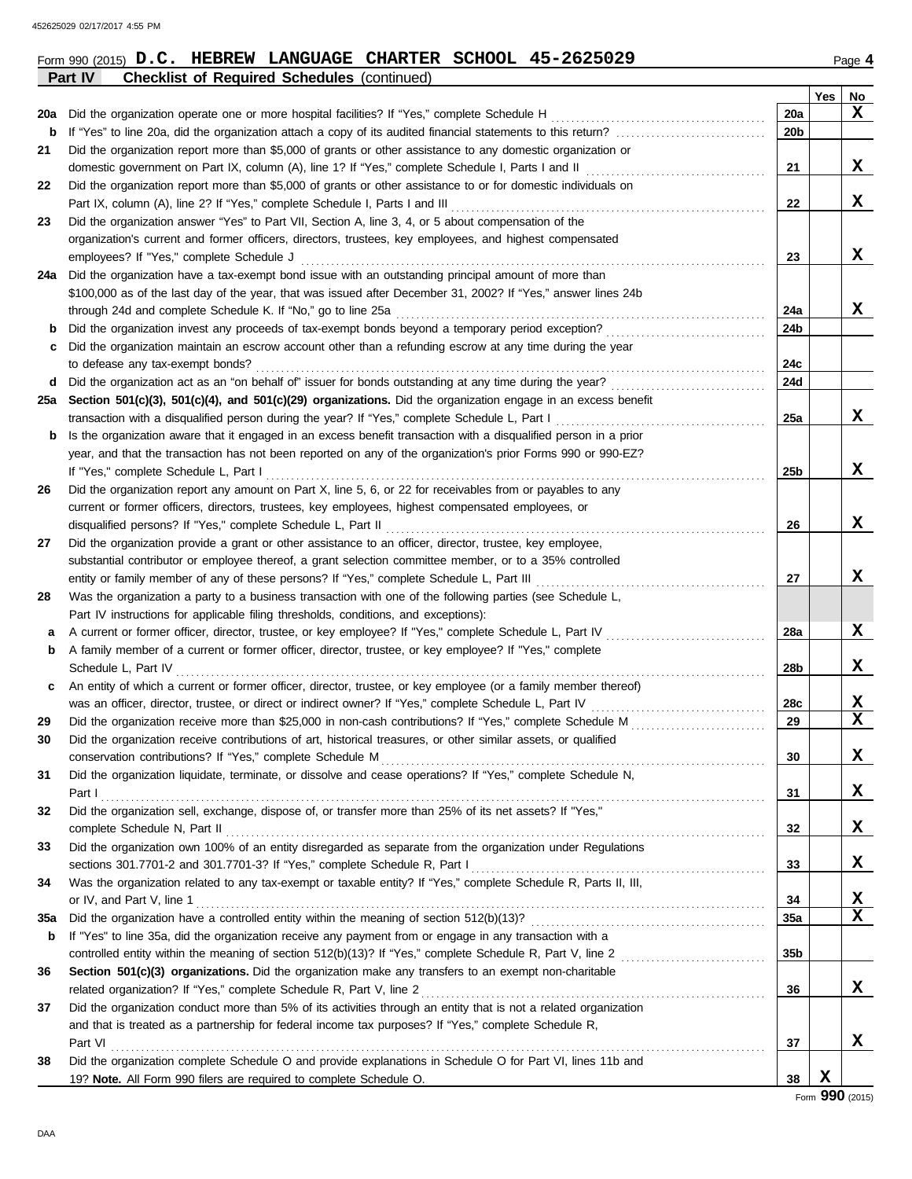|             | Part IV<br><b>Checklist of Required Schedules (continued)</b>                                                                                                            |                 |        |        |
|-------------|--------------------------------------------------------------------------------------------------------------------------------------------------------------------------|-----------------|--------|--------|
|             |                                                                                                                                                                          |                 | Yes    | No     |
| 20a         | Did the organization operate one or more hospital facilities? If "Yes," complete Schedule H                                                                              | 20a             |        | x      |
| b           |                                                                                                                                                                          | 20b             |        |        |
| 21          | Did the organization report more than \$5,000 of grants or other assistance to any domestic organization or                                                              |                 |        |        |
|             | domestic government on Part IX, column (A), line 1? If "Yes," complete Schedule I, Parts I and II                                                                        | 21              |        | X      |
| 22          | Did the organization report more than \$5,000 of grants or other assistance to or for domestic individuals on                                                            |                 |        |        |
|             | Part IX, column (A), line 2? If "Yes," complete Schedule I, Parts I and III                                                                                              | 22              |        | X      |
| 23          | Did the organization answer "Yes" to Part VII, Section A, line 3, 4, or 5 about compensation of the                                                                      |                 |        |        |
|             | organization's current and former officers, directors, trustees, key employees, and highest compensated                                                                  |                 |        |        |
|             | employees? If "Yes," complete Schedule J                                                                                                                                 | 23              |        | X      |
| 24a         | Did the organization have a tax-exempt bond issue with an outstanding principal amount of more than                                                                      |                 |        |        |
|             | \$100,000 as of the last day of the year, that was issued after December 31, 2002? If "Yes," answer lines 24b                                                            |                 |        |        |
|             | through 24d and complete Schedule K. If "No," go to line 25a                                                                                                             | 24a             |        | X      |
| b           | Did the organization invest any proceeds of tax-exempt bonds beyond a temporary period exception?                                                                        | 24b             |        |        |
| c           | Did the organization maintain an escrow account other than a refunding escrow at any time during the year                                                                |                 |        |        |
|             | to defease any tax-exempt bonds?                                                                                                                                         | 24c             |        |        |
| d           | Did the organization act as an "on behalf of" issuer for bonds outstanding at any time during the year?                                                                  | 24d             |        |        |
| 25а         | Section 501(c)(3), 501(c)(4), and 501(c)(29) organizations. Did the organization engage in an excess benefit                                                             |                 |        |        |
|             | transaction with a disqualified person during the year? If "Yes," complete Schedule L, Part I                                                                            | 25a             |        | X      |
| $\mathbf b$ | Is the organization aware that it engaged in an excess benefit transaction with a disqualified person in a prior                                                         |                 |        |        |
|             | year, and that the transaction has not been reported on any of the organization's prior Forms 990 or 990-EZ?                                                             |                 |        |        |
|             | If "Yes," complete Schedule L, Part I                                                                                                                                    | 25b             |        | X      |
| 26          | Did the organization report any amount on Part X, line 5, 6, or 22 for receivables from or payables to any                                                               |                 |        |        |
|             | current or former officers, directors, trustees, key employees, highest compensated employees, or                                                                        |                 |        |        |
|             | disqualified persons? If "Yes," complete Schedule L, Part II                                                                                                             | 26              |        | X      |
| 27          | Did the organization provide a grant or other assistance to an officer, director, trustee, key employee,                                                                 |                 |        |        |
|             | substantial contributor or employee thereof, a grant selection committee member, or to a 35% controlled                                                                  |                 |        |        |
|             | entity or family member of any of these persons? If "Yes," complete Schedule L, Part III                                                                                 | 27              |        | X      |
| 28          | Was the organization a party to a business transaction with one of the following parties (see Schedule L,                                                                |                 |        |        |
|             | Part IV instructions for applicable filing thresholds, conditions, and exceptions):                                                                                      |                 |        |        |
| а           | A current or former officer, director, trustee, or key employee? If "Yes," complete Schedule L, Part IV                                                                  | 28a             |        | X      |
| b           | A family member of a current or former officer, director, trustee, or key employee? If "Yes," complete                                                                   |                 |        |        |
|             | Schedule L, Part IV                                                                                                                                                      | 28b             |        | X      |
| c           | An entity of which a current or former officer, director, trustee, or key employee (or a family member thereof)                                                          |                 |        |        |
|             | was an officer, director, trustee, or direct or indirect owner? If "Yes," complete Schedule L, Part IV                                                                   | 28c             |        | X<br>X |
| 29          | Did the organization receive more than \$25,000 in non-cash contributions? If "Yes," complete Schedule M                                                                 | 29              |        |        |
|             | Did the organization receive contributions of art, historical treasures, or other similar assets, or qualified                                                           |                 |        | X      |
|             | conservation contributions? If "Yes," complete Schedule M<br>Did the organization liquidate, terminate, or dissolve and cease operations? If "Yes," complete Schedule N, | 30              |        |        |
| 31          | Part I                                                                                                                                                                   |                 |        | X      |
| 32          | Did the organization sell, exchange, dispose of, or transfer more than 25% of its net assets? If "Yes,"                                                                  | 31              |        |        |
|             | complete Schedule N, Part II                                                                                                                                             | 32              |        | X      |
| 33          | Did the organization own 100% of an entity disregarded as separate from the organization under Regulations                                                               |                 |        |        |
|             |                                                                                                                                                                          | 33              |        | X      |
| 34          | Was the organization related to any tax-exempt or taxable entity? If "Yes," complete Schedule R, Parts II, III,                                                          |                 |        |        |
|             | or IV, and Part V, line 1                                                                                                                                                | 34              |        | X      |
| 35a         |                                                                                                                                                                          | 35a             |        | X      |
| b           | If "Yes" to line 35a, did the organization receive any payment from or engage in any transaction with a                                                                  |                 |        |        |
|             |                                                                                                                                                                          | 35 <sub>b</sub> |        |        |
| 36          | Section 501(c)(3) organizations. Did the organization make any transfers to an exempt non-charitable                                                                     |                 |        |        |
|             | related organization? If "Yes," complete Schedule R, Part V, line 2                                                                                                      | 36              |        | X      |
| 37          | Did the organization conduct more than 5% of its activities through an entity that is not a related organization                                                         |                 |        |        |
|             | and that is treated as a partnership for federal income tax purposes? If "Yes," complete Schedule R,                                                                     |                 |        |        |
|             | Part VI                                                                                                                                                                  | 37              |        | X      |
| 38          | Did the organization complete Schedule O and provide explanations in Schedule O for Part VI, lines 11b and                                                               |                 |        |        |
|             | 19? Note. All Form 990 filers are required to complete Schedule O.                                                                                                       | 38              | X      |        |
|             |                                                                                                                                                                          |                 | $\sim$ |        |

Form **990** (2015)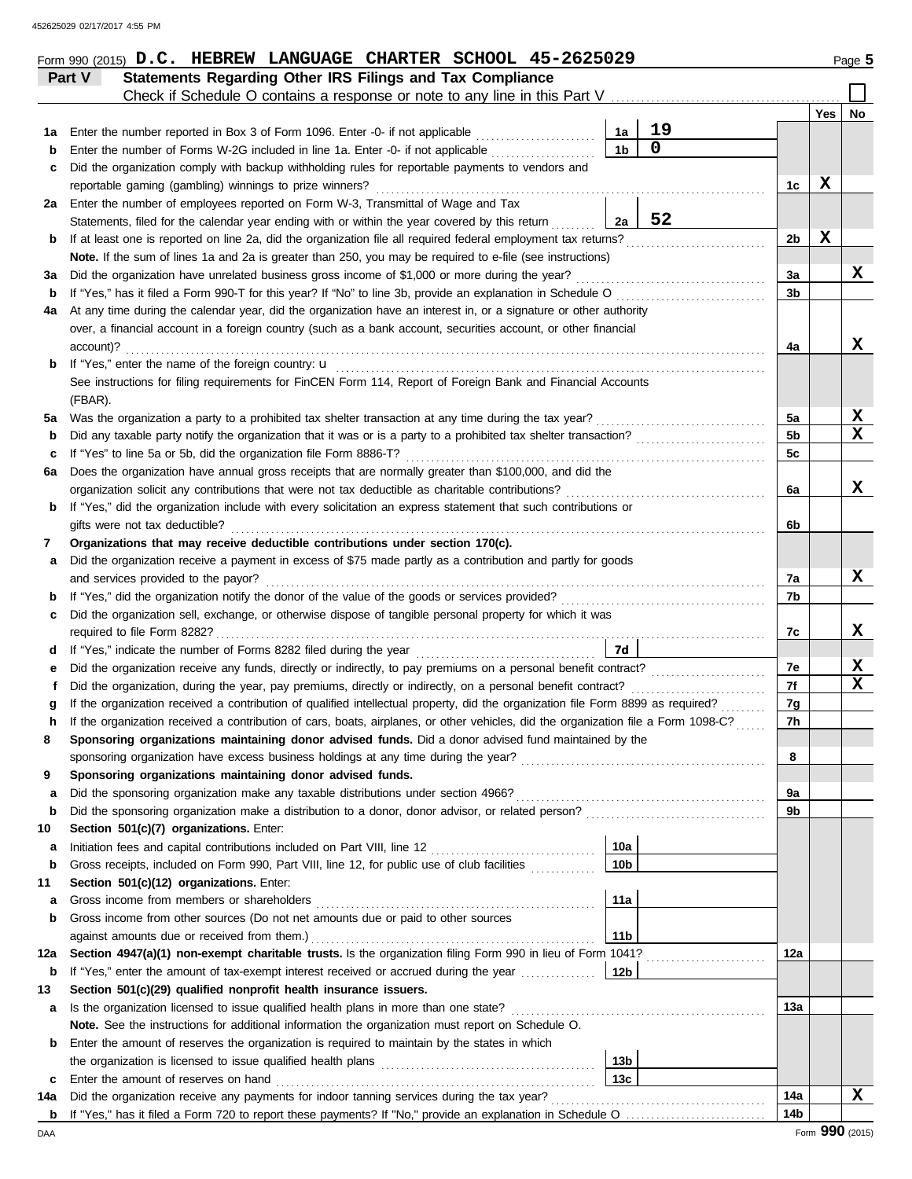|         | Part V    | Statements Regarding Other IRS Filings and Tax Compliance                                                                                                                                                     |                        |                   |                |     |                         |
|---------|-----------|---------------------------------------------------------------------------------------------------------------------------------------------------------------------------------------------------------------|------------------------|-------------------|----------------|-----|-------------------------|
|         |           | Check if Schedule O contains a response or note to any line in this Part V                                                                                                                                    |                        |                   |                |     |                         |
|         |           |                                                                                                                                                                                                               |                        |                   |                | Yes | No                      |
| 1а      |           | Enter the number reported in Box 3 of Form 1096. Enter -0- if not applicable                                                                                                                                  | 1а<br>1 <sub>b</sub>   | 19<br>$\mathbf 0$ |                |     |                         |
| b       |           | Enter the number of Forms W-2G included in line 1a. Enter -0- if not applicable<br>Did the organization comply with backup withholding rules for reportable payments to vendors and                           |                        |                   |                |     |                         |
| c       |           | reportable gaming (gambling) winnings to prize winners?                                                                                                                                                       |                        |                   | 1c             | х   |                         |
| 2a      |           | Enter the number of employees reported on Form W-3, Transmittal of Wage and Tax                                                                                                                               |                        |                   |                |     |                         |
|         |           | Statements, filed for the calendar year ending with or within the year covered by this return                                                                                                                 | 2a                     | 52                |                |     |                         |
| b       |           | If at least one is reported on line 2a, did the organization file all required federal employment tax returns?                                                                                                |                        |                   | 2b             | X   |                         |
|         |           | Note. If the sum of lines 1a and 2a is greater than 250, you may be required to e-file (see instructions)                                                                                                     |                        |                   |                |     |                         |
| за      |           | Did the organization have unrelated business gross income of \$1,000 or more during the year?                                                                                                                 |                        |                   | 3a             |     | X                       |
| b       |           | If "Yes," has it filed a Form 990-T for this year? If "No" to line 3b, provide an explanation in Schedule O                                                                                                   |                        |                   | 3b             |     |                         |
| 4a      |           | At any time during the calendar year, did the organization have an interest in, or a signature or other authority                                                                                             |                        |                   |                |     |                         |
|         |           | over, a financial account in a foreign country (such as a bank account, securities account, or other financial                                                                                                |                        |                   |                |     |                         |
|         | account)? |                                                                                                                                                                                                               |                        |                   | 4a             |     | x                       |
| b       |           | If "Yes," enter the name of the foreign country: u                                                                                                                                                            |                        |                   |                |     |                         |
|         |           | See instructions for filing requirements for FinCEN Form 114, Report of Foreign Bank and Financial Accounts                                                                                                   |                        |                   |                |     |                         |
|         | (FBAR).   |                                                                                                                                                                                                               |                        |                   |                |     |                         |
| 5a      |           | Was the organization a party to a prohibited tax shelter transaction at any time during the tax year?                                                                                                         |                        |                   | 5a             |     | X                       |
| b       |           | Did any taxable party notify the organization that it was or is a party to a prohibited tax shelter transaction?                                                                                              |                        |                   | 5 <sub>b</sub> |     | $\overline{\mathbf{x}}$ |
| c       |           | If "Yes" to line 5a or 5b, did the organization file Form 8886-T?                                                                                                                                             |                        |                   | 5c             |     |                         |
| 6а      |           | Does the organization have annual gross receipts that are normally greater than \$100,000, and did the                                                                                                        |                        |                   |                |     |                         |
|         |           | organization solicit any contributions that were not tax deductible as charitable contributions?                                                                                                              |                        |                   | 6a             |     | x                       |
| b       |           | If "Yes," did the organization include with every solicitation an express statement that such contributions or                                                                                                |                        |                   |                |     |                         |
| 7       |           | gifts were not tax deductible?<br>Organizations that may receive deductible contributions under section 170(c).                                                                                               |                        |                   | 6b             |     |                         |
| а       |           | Did the organization receive a payment in excess of \$75 made partly as a contribution and partly for goods                                                                                                   |                        |                   |                |     |                         |
|         |           | and services provided to the payor?                                                                                                                                                                           |                        |                   | 7a             |     | x                       |
| b       |           | If "Yes," did the organization notify the donor of the value of the goods or services provided?                                                                                                               |                        |                   | 7b             |     |                         |
| c       |           | Did the organization sell, exchange, or otherwise dispose of tangible personal property for which it was                                                                                                      |                        |                   |                |     |                         |
|         |           | required to file Form 8282?                                                                                                                                                                                   |                        |                   | 7c             |     | х                       |
| d       |           |                                                                                                                                                                                                               | 7d                     |                   |                |     |                         |
| е       |           | Did the organization receive any funds, directly or indirectly, to pay premiums on a personal benefit contract?                                                                                               |                        |                   | 7e             |     | X                       |
| f       |           | Did the organization, during the year, pay premiums, directly or indirectly, on a personal benefit contract?                                                                                                  |                        |                   | 7f             |     | $\mathbf x$             |
| g       |           | If the organization received a contribution of qualified intellectual property, did the organization file Form 8899 as required?                                                                              |                        |                   | 7g             |     |                         |
| h       |           | If the organization received a contribution of cars, boats, airplanes, or other vehicles, did the organization file a Form 1098-C?                                                                            |                        |                   | 7h             |     |                         |
|         |           | Sponsoring organizations maintaining donor advised funds. Did a donor advised fund maintained by the                                                                                                          |                        |                   |                |     |                         |
|         |           |                                                                                                                                                                                                               |                        |                   | 8              |     |                         |
| 9       |           | Sponsoring organizations maintaining donor advised funds.                                                                                                                                                     |                        |                   |                |     |                         |
| а       |           |                                                                                                                                                                                                               |                        |                   | 9a             |     |                         |
| b       |           | Did the sponsoring organization make a distribution to a donor, donor advisor, or related person?                                                                                                             |                        |                   | 9b             |     |                         |
| 10      |           | Section 501(c)(7) organizations. Enter:                                                                                                                                                                       |                        |                   |                |     |                         |
| а       |           | Initiation fees and capital contributions included on Part VIII, line 12 [11][11][11][11][11][11][11][11][11][<br>Gross receipts, included on Form 990, Part VIII, line 12, for public use of club facilities | 10a<br>10 <sub>b</sub> |                   |                |     |                         |
| b<br>11 |           | Section 501(c)(12) organizations. Enter:                                                                                                                                                                      |                        |                   |                |     |                         |
| а       |           | Gross income from members or shareholders                                                                                                                                                                     | 11a                    |                   |                |     |                         |
| b       |           | Gross income from other sources (Do not net amounts due or paid to other sources                                                                                                                              |                        |                   |                |     |                         |
|         |           |                                                                                                                                                                                                               | 11 <sub>b</sub>        |                   |                |     |                         |
| 12a     |           | Section 4947(a)(1) non-exempt charitable trusts. Is the organization filing Form 990 in lieu of Form 1041?                                                                                                    |                        |                   | 12a            |     |                         |
| b       |           | If "Yes," enter the amount of tax-exempt interest received or accrued during the year <i>minimizion</i> .                                                                                                     | 12b                    |                   |                |     |                         |
| 13      |           | Section 501(c)(29) qualified nonprofit health insurance issuers.                                                                                                                                              |                        |                   |                |     |                         |
| a       |           | Is the organization licensed to issue qualified health plans in more than one state?                                                                                                                          |                        |                   | 13а            |     |                         |
|         |           | Note. See the instructions for additional information the organization must report on Schedule O.                                                                                                             |                        |                   |                |     |                         |
| b       |           | Enter the amount of reserves the organization is required to maintain by the states in which                                                                                                                  |                        |                   |                |     |                         |
|         |           |                                                                                                                                                                                                               | 13 <sub>b</sub>        |                   |                |     |                         |
| c       |           | Enter the amount of reserves on hand                                                                                                                                                                          | 13 <sub>c</sub>        |                   |                |     |                         |
| 14a     |           | Did the organization receive any payments for indoor tanning services during the tax year?                                                                                                                    |                        |                   | 14a            |     | x                       |
|         |           |                                                                                                                                                                                                               |                        |                   | 14b            |     |                         |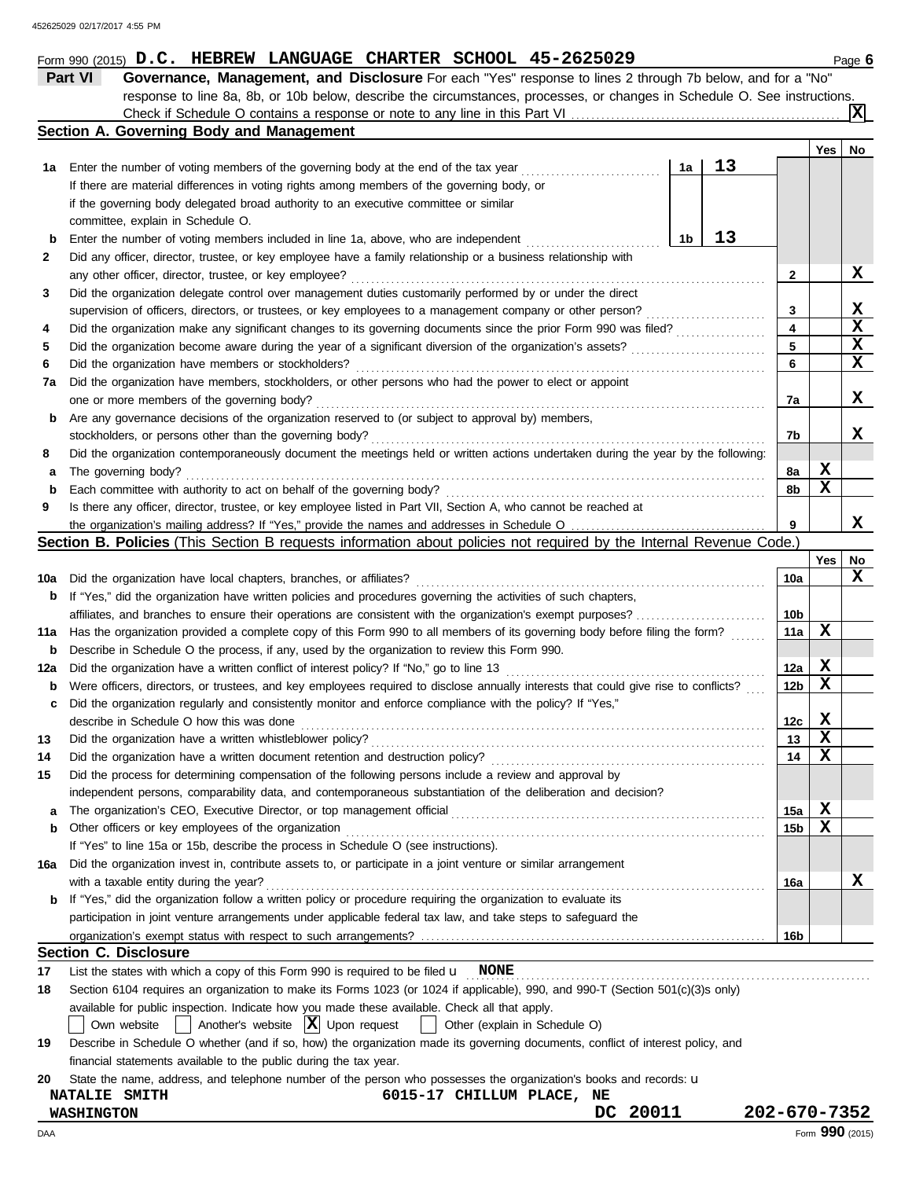|            | response to line 8a, 8b, or 10b below, describe the circumstances, processes, or changes in Schedule O. See instructions.                      |                 |                         | X       |
|------------|------------------------------------------------------------------------------------------------------------------------------------------------|-----------------|-------------------------|---------|
|            | Section A. Governing Body and Management                                                                                                       |                 |                         |         |
|            |                                                                                                                                                |                 | Yes                     | No      |
| 1a         | 13<br>Enter the number of voting members of the governing body at the end of the tax year<br>1a                                                |                 |                         |         |
|            | If there are material differences in voting rights among members of the governing body, or                                                     |                 |                         |         |
|            | if the governing body delegated broad authority to an executive committee or similar                                                           |                 |                         |         |
|            | committee, explain in Schedule O.                                                                                                              |                 |                         |         |
| b          | 13<br>1b<br>Enter the number of voting members included in line 1a, above, who are independent                                                 |                 |                         |         |
| 2          | Did any officer, director, trustee, or key employee have a family relationship or a business relationship with                                 |                 |                         |         |
|            | any other officer, director, trustee, or key employee?                                                                                         | 2               |                         | x       |
| 3          | Did the organization delegate control over management duties customarily performed by or under the direct                                      |                 |                         |         |
|            | supervision of officers, directors, or trustees, or key employees to a management company or other person?                                     | 3               |                         | x       |
| 4          | Did the organization make any significant changes to its governing documents since the prior Form 990 was filed?                               | 4               |                         | X       |
| 5          | Did the organization become aware during the year of a significant diversion of the organization's assets?                                     | 5               |                         | X       |
| 6          | Did the organization have members or stockholders?                                                                                             | 6               |                         | X       |
| 7a         | Did the organization have members, stockholders, or other persons who had the power to elect or appoint                                        |                 |                         |         |
|            | one or more members of the governing body?                                                                                                     | 7a              |                         | x       |
| b          | Are any governance decisions of the organization reserved to (or subject to approval by) members,                                              |                 |                         |         |
|            | stockholders, or persons other than the governing body?                                                                                        | 7b              |                         | x       |
| 8          | Did the organization contemporaneously document the meetings held or written actions undertaken during the year by the following:              |                 |                         |         |
| а          | The governing body?                                                                                                                            | 8a              | X                       |         |
| b          | Each committee with authority to act on behalf of the governing body?                                                                          | 8b              | X                       |         |
| 9          | Is there any officer, director, trustee, or key employee listed in Part VII, Section A, who cannot be reached at                               |                 |                         |         |
|            |                                                                                                                                                | 9               |                         | х       |
|            | Section B. Policies (This Section B requests information about policies not required by the Internal Revenue Code.)                            |                 |                         |         |
|            |                                                                                                                                                |                 | Yes                     | No<br>x |
| 10a        | Did the organization have local chapters, branches, or affiliates?                                                                             | 10a             |                         |         |
| b          | If "Yes," did the organization have written policies and procedures governing the activities of such chapters,                                 |                 |                         |         |
|            |                                                                                                                                                |                 |                         |         |
|            |                                                                                                                                                | 10b             |                         |         |
|            | Has the organization provided a complete copy of this Form 990 to all members of its governing body before filing the form?                    | 11a             | х                       |         |
| b          | Describe in Schedule O the process, if any, used by the organization to review this Form 990.                                                  |                 |                         |         |
| 11a<br>12a | Did the organization have a written conflict of interest policy? If "No," go to line 13                                                        | 12a             | X                       |         |
| b          | Were officers, directors, or trustees, and key employees required to disclose annually interests that could give rise to conflicts?            | 12 <sub>b</sub> | х                       |         |
| c          | Did the organization regularly and consistently monitor and enforce compliance with the policy? If "Yes,"                                      |                 |                         |         |
|            | describe in Schedule O how this was done                                                                                                       | 12c             | X                       |         |
|            | Did the organization have a written whistleblower policy?                                                                                      | 13              | $\overline{\mathbf{x}}$ |         |
| 14         | Did the organization have a written document retention and destruction policy?                                                                 | 14              | X                       |         |
|            | Did the process for determining compensation of the following persons include a review and approval by                                         |                 |                         |         |
| a          | independent persons, comparability data, and contemporaneous substantiation of the deliberation and decision?                                  | 15a             |                         |         |
| 15<br>b    | Other officers or key employees of the organization                                                                                            | 15 <sub>b</sub> | х<br>х                  |         |
|            | If "Yes" to line 15a or 15b, describe the process in Schedule O (see instructions).                                                            |                 |                         |         |
| 16a        | Did the organization invest in, contribute assets to, or participate in a joint venture or similar arrangement                                 |                 |                         |         |
|            | with a taxable entity during the year?                                                                                                         | 16a             |                         | x       |
| b          | If "Yes," did the organization follow a written policy or procedure requiring the organization to evaluate its                                 |                 |                         |         |
|            | participation in joint venture arrangements under applicable federal tax law, and take steps to safeguard the                                  |                 |                         |         |
|            |                                                                                                                                                | 16b             |                         |         |
|            | <b>Section C. Disclosure</b>                                                                                                                   |                 |                         |         |
|            | List the states with which a copy of this Form 990 is required to be filed $\mathbf{u}$ NONE                                                   |                 |                         |         |
|            | Section 6104 requires an organization to make its Forms 1023 (or 1024 if applicable), 990, and 990-T (Section 501(c)(3)s only)                 |                 |                         |         |
| 17<br>18   | available for public inspection. Indicate how you made these available. Check all that apply.<br>Another's website $ \mathbf{X} $ Upon request |                 |                         |         |

| 19 | Describe in Schedule O whether (and if so, how) the organization made its governing documents, conflict of interest policy, and |  |  |
|----|---------------------------------------------------------------------------------------------------------------------------------|--|--|
|    | financial statements available to the public during the tax year.                                                               |  |  |

**20** State the name, address, and telephone number of the person who possesses the organization's books and records: u

# **NATALIE SMITH 6015-17 CHILLUM PLACE, NE**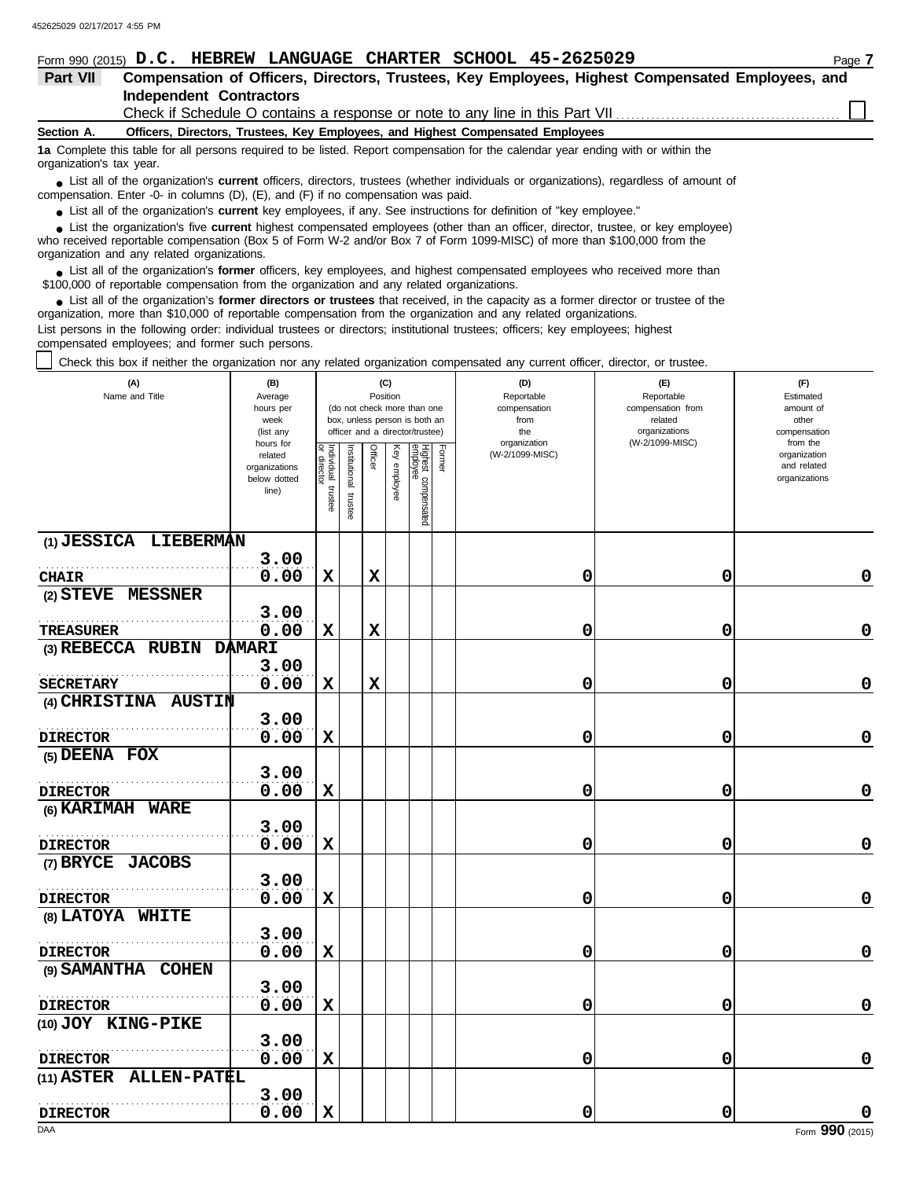|                          | Form 990 (2015) D.C. HEBREW LANGUAGE CHARTER SCHOOL 45-2625029                                                                                                                                                                | Page 7 |  |  |  |  |  |  |  |  |  |
|--------------------------|-------------------------------------------------------------------------------------------------------------------------------------------------------------------------------------------------------------------------------|--------|--|--|--|--|--|--|--|--|--|
| Part VII                 | Compensation of Officers, Directors, Trustees, Key Employees, Highest Compensated Employees, and                                                                                                                              |        |  |  |  |  |  |  |  |  |  |
|                          | <b>Independent Contractors</b>                                                                                                                                                                                                |        |  |  |  |  |  |  |  |  |  |
|                          | Check if Schedule O contains a response or note to any line in this Part VII [11] [11] Check if Schedule O contains a response or note to any line in this Part VII [11] [12] [12] Check if Schedule O contains a response or |        |  |  |  |  |  |  |  |  |  |
| Section A.               | Officers, Directors, Trustees, Key Employees, and Highest Compensated Employees                                                                                                                                               |        |  |  |  |  |  |  |  |  |  |
| organization's tax year. | 1a Complete this table for all persons required to be listed. Report compensation for the calendar year ending with or within the                                                                                             |        |  |  |  |  |  |  |  |  |  |
|                          | • List all of the organization's current officers, directors, trustees (whether individuals or organizations), regardless of amount of<br>compensation. Enter -0- in columns (D), (E), and (F) if no compensation was paid.   |        |  |  |  |  |  |  |  |  |  |

● List all of the organization's **current** key employees, if any. See instructions for definition of "key employee."

■ List the organization's five **current** highest compensated employees (other than an officer, director, trustee, or key employee)<br> **•** Preceived reportable compensation (Box 5 of Form W.2 and/or Box 7 of Form 1000 MISC)

who received reportable compensation (Box 5 of Form W-2 and/or Box 7 of Form 1099-MISC) of more than \$100,000 from the organization and any related organizations.

■ List all of the organization's **former** officers, key employees, and highest compensated employees who received more than<br> **•** 00,000 of reportable compensation from the ergonization and any related ergonizations \$100,000 of reportable compensation from the organization and any related organizations.

■ List all of the organization's **former directors or trustees** that received, in the capacity as a former director or trustee of the<br>paization, more than \$10,000 of reportable compensation from the organization and any r organization, more than \$10,000 of reportable compensation from the organization and any related organizations. List persons in the following order: individual trustees or directors; institutional trustees; officers; key employees; highest compensated employees; and former such persons.

Check this box if neither the organization nor any related organization compensated any current officer, director, or trustee.

| (A)<br>Name and Title              | (B)<br>Average<br>hours per<br>week<br>(list any<br>hours for |                                      |                          |             | (C)<br>Position | (do not check more than one<br>box, unless person is both an<br>officer and a director/trustee) |        | (D)<br>Reportable<br>compensation<br>from<br>the<br>organization | (E)<br>Reportable<br>compensation from<br>related<br>organizations<br>(W-2/1099-MISC) | (F)<br>Estimated<br>amount of<br>other<br>compensation<br>from the |
|------------------------------------|---------------------------------------------------------------|--------------------------------------|--------------------------|-------------|-----------------|-------------------------------------------------------------------------------------------------|--------|------------------------------------------------------------------|---------------------------------------------------------------------------------------|--------------------------------------------------------------------|
|                                    | related<br>organizations<br>below dotted<br>line)             | Individual<br>or director<br>trustee | Institutional<br>trustee | Officer     | Key employee    | Highest compensated<br>employee                                                                 | Former | (W-2/1099-MISC)                                                  |                                                                                       | organization<br>and related<br>organizations                       |
| (1) JESSICA LIEBERMAN              |                                                               |                                      |                          |             |                 |                                                                                                 |        |                                                                  |                                                                                       |                                                                    |
|                                    | 3.00<br>0.00                                                  |                                      |                          |             |                 |                                                                                                 |        |                                                                  |                                                                                       | $\mathbf 0$                                                        |
| <b>CHAIR</b>                       |                                                               | $\mathbf x$                          |                          | $\mathbf x$ |                 |                                                                                                 |        | 0                                                                | 0                                                                                     |                                                                    |
| (2) STEVE MESSNER                  | 3.00                                                          |                                      |                          |             |                 |                                                                                                 |        |                                                                  |                                                                                       |                                                                    |
| <b>TREASURER</b>                   | 0.00                                                          | $\mathbf x$                          |                          | $\mathbf x$ |                 |                                                                                                 |        | 0                                                                | 0                                                                                     | 0                                                                  |
| (3) REBECCA RUBIN                  | <b>DAMARI</b>                                                 |                                      |                          |             |                 |                                                                                                 |        |                                                                  |                                                                                       |                                                                    |
|                                    | 3.00                                                          |                                      |                          |             |                 |                                                                                                 |        |                                                                  |                                                                                       |                                                                    |
| <b>SECRETARY</b>                   | 0.00                                                          | $\mathbf x$                          |                          | $\mathbf x$ |                 |                                                                                                 |        | 0                                                                | 0                                                                                     | 0                                                                  |
| (4) CHRISTINA AUSTIN               |                                                               |                                      |                          |             |                 |                                                                                                 |        |                                                                  |                                                                                       |                                                                    |
|                                    | 3.00                                                          |                                      |                          |             |                 |                                                                                                 |        |                                                                  |                                                                                       |                                                                    |
| <b>DIRECTOR</b>                    | 0.00                                                          | $\mathbf x$                          |                          |             |                 |                                                                                                 |        | 0                                                                | 0                                                                                     | 0                                                                  |
| (5) DEENA FOX                      | 3.00                                                          |                                      |                          |             |                 |                                                                                                 |        |                                                                  |                                                                                       |                                                                    |
| <b>DIRECTOR</b>                    | 0.00                                                          | $\mathbf x$                          |                          |             |                 |                                                                                                 |        | 0                                                                | 0                                                                                     | 0                                                                  |
| (6) KARIMAH WARE                   |                                                               |                                      |                          |             |                 |                                                                                                 |        |                                                                  |                                                                                       |                                                                    |
|                                    | 3.00                                                          |                                      |                          |             |                 |                                                                                                 |        |                                                                  |                                                                                       |                                                                    |
| <b>DIRECTOR</b>                    | 0.00                                                          | $\mathbf x$                          |                          |             |                 |                                                                                                 |        | 0                                                                | 0                                                                                     | $\mathbf 0$                                                        |
| (7) BRYCE JACOBS                   |                                                               |                                      |                          |             |                 |                                                                                                 |        |                                                                  |                                                                                       |                                                                    |
|                                    | 3.00                                                          |                                      |                          |             |                 |                                                                                                 |        |                                                                  |                                                                                       |                                                                    |
| <b>DIRECTOR</b>                    | 0.00                                                          | $\mathbf x$                          |                          |             |                 |                                                                                                 |        | 0                                                                | 0                                                                                     | $\mathbf 0$                                                        |
| (8) LATOYA WHITE                   |                                                               |                                      |                          |             |                 |                                                                                                 |        |                                                                  |                                                                                       |                                                                    |
|                                    | 3.00                                                          |                                      |                          |             |                 |                                                                                                 |        |                                                                  |                                                                                       |                                                                    |
| <b>DIRECTOR</b>                    | 0.00                                                          | $\mathbf x$                          |                          |             |                 |                                                                                                 |        | 0                                                                | 0                                                                                     | $\mathbf 0$                                                        |
| (9) SAMANTHA COHEN                 |                                                               |                                      |                          |             |                 |                                                                                                 |        |                                                                  |                                                                                       |                                                                    |
|                                    | 3.00                                                          |                                      |                          |             |                 |                                                                                                 |        |                                                                  |                                                                                       |                                                                    |
| <b>DIRECTOR</b>                    | 0.00                                                          | X                                    |                          |             |                 |                                                                                                 |        | 0                                                                | 0                                                                                     | $\mathbf 0$                                                        |
| (10) JOY KING-PIKE                 |                                                               |                                      |                          |             |                 |                                                                                                 |        |                                                                  |                                                                                       |                                                                    |
|                                    | 3.00                                                          |                                      |                          |             |                 |                                                                                                 |        |                                                                  |                                                                                       |                                                                    |
| <b>DIRECTOR</b>                    | 0.00                                                          | $\mathbf x$                          |                          |             |                 |                                                                                                 |        | 0                                                                | 0                                                                                     | 0                                                                  |
| <b>ALLEN-PATEL</b><br>$(11)$ ASTER |                                                               |                                      |                          |             |                 |                                                                                                 |        |                                                                  |                                                                                       |                                                                    |
|                                    | 3.00                                                          |                                      |                          |             |                 |                                                                                                 |        |                                                                  |                                                                                       |                                                                    |
| <b>DIRECTOR</b>                    | 0.00                                                          | $\mathbf x$                          |                          |             |                 |                                                                                                 |        | 0                                                                | 0                                                                                     | 0                                                                  |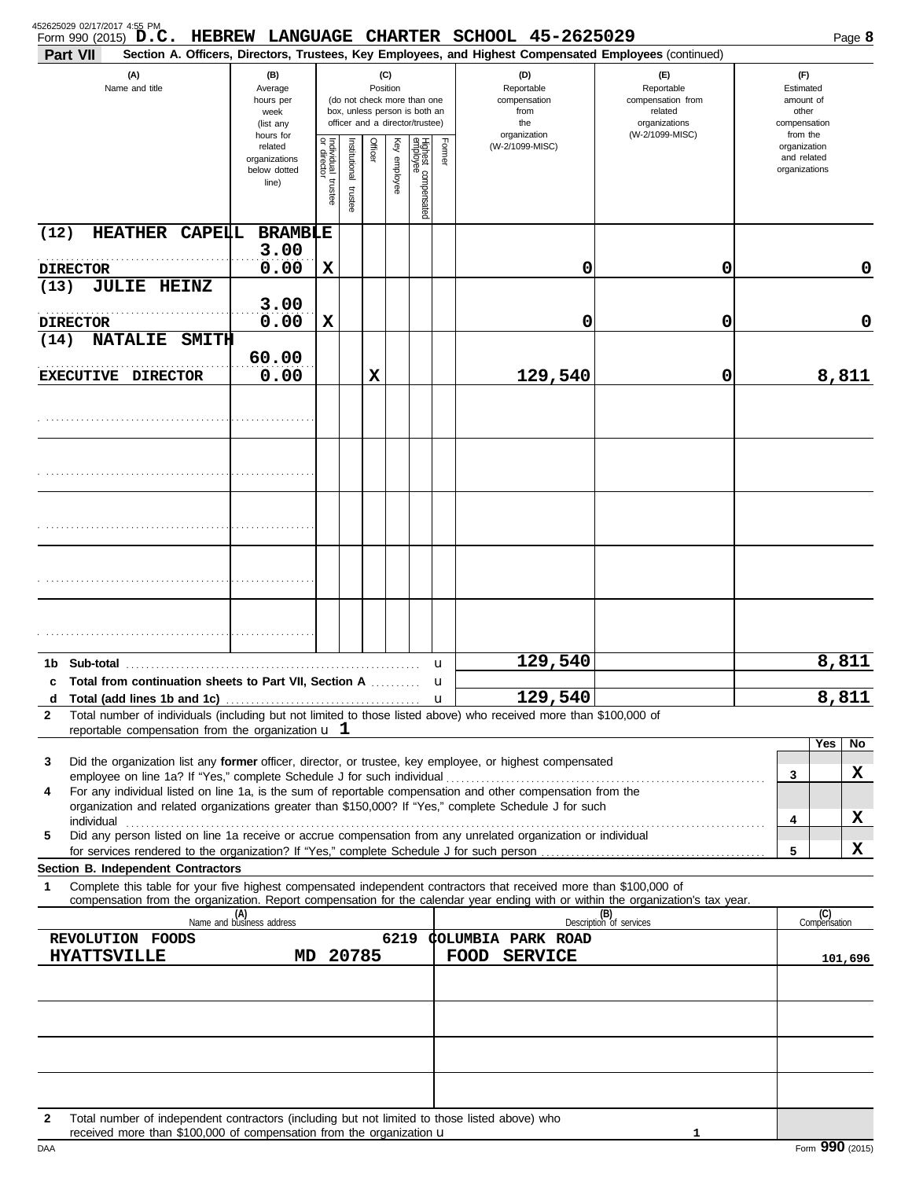| 452625029 02/17/2017 4:55 PM<br>Form 990 (2015) $D.C.$<br>Part VII                       |                                                                                                                                                                        |                                                                |                                                  |                      |                                                                    |                                                        |                                 |        | HEBREW LANGUAGE CHARTER SCHOOL 45-2625029<br>Section A. Officers, Directors, Trustees, Key Employees, and Highest Compensated Employees (continued)                                                                                                    |                                |                                                          | Page 8    |
|------------------------------------------------------------------------------------------|------------------------------------------------------------------------------------------------------------------------------------------------------------------------|----------------------------------------------------------------|--------------------------------------------------|----------------------|--------------------------------------------------------------------|--------------------------------------------------------|---------------------------------|--------|--------------------------------------------------------------------------------------------------------------------------------------------------------------------------------------------------------------------------------------------------------|--------------------------------|----------------------------------------------------------|-----------|
| (A)<br>Name and title                                                                    | (C)<br>(B)<br>Position<br>Average<br>hours per<br>(do not check more than one<br>box, unless person is both an<br>week<br>officer and a director/trustee)<br>(list any |                                                                | (D)<br>Reportable<br>compensation<br>from<br>the |                      | (E)<br>Reportable<br>compensation from<br>related<br>organizations | (F)<br>Estimated<br>amount of<br>other<br>compensation |                                 |        |                                                                                                                                                                                                                                                        |                                |                                                          |           |
|                                                                                          |                                                                                                                                                                        | hours for<br>related<br>organizations<br>below dotted<br>line) | Individual<br>or director<br>trustee             | nstitutional trustee | Officer                                                            | Key employee                                           | Highest compensated<br>employee | Former | organization<br>(W-2/1099-MISC)                                                                                                                                                                                                                        | (W-2/1099-MISC)                | from the<br>organization<br>and related<br>organizations |           |
| <b>HEATHER CAPELL</b><br>(12)                                                            |                                                                                                                                                                        | <b>BRAMBLE</b>                                                 |                                                  |                      |                                                                    |                                                        |                                 |        |                                                                                                                                                                                                                                                        |                                |                                                          |           |
| <b>DIRECTOR</b>                                                                          |                                                                                                                                                                        | 3.00<br>0.00                                                   | X                                                |                      |                                                                    |                                                        |                                 |        | 0                                                                                                                                                                                                                                                      | 0                              |                                                          | 0         |
| <b>JULIE HEINZ</b><br>(13)                                                               |                                                                                                                                                                        | 3.00                                                           |                                                  |                      |                                                                    |                                                        |                                 |        |                                                                                                                                                                                                                                                        |                                |                                                          |           |
| <b>DIRECTOR</b>                                                                          |                                                                                                                                                                        | 0.00                                                           | X                                                |                      |                                                                    |                                                        |                                 |        | 0                                                                                                                                                                                                                                                      | 0                              |                                                          | 0         |
| <b>NATALIE</b><br>(14)                                                                   | <b>SMITH</b>                                                                                                                                                           | 60.00                                                          |                                                  |                      |                                                                    |                                                        |                                 |        |                                                                                                                                                                                                                                                        |                                |                                                          |           |
| EXECUTIVE DIRECTOR                                                                       |                                                                                                                                                                        | 0.00                                                           |                                                  |                      | X                                                                  |                                                        |                                 |        | 129,540                                                                                                                                                                                                                                                | 0                              |                                                          | 8,811     |
|                                                                                          |                                                                                                                                                                        |                                                                |                                                  |                      |                                                                    |                                                        |                                 |        |                                                                                                                                                                                                                                                        |                                |                                                          |           |
|                                                                                          |                                                                                                                                                                        |                                                                |                                                  |                      |                                                                    |                                                        |                                 |        |                                                                                                                                                                                                                                                        |                                |                                                          |           |
|                                                                                          |                                                                                                                                                                        |                                                                |                                                  |                      |                                                                    |                                                        |                                 |        |                                                                                                                                                                                                                                                        |                                |                                                          |           |
|                                                                                          |                                                                                                                                                                        |                                                                |                                                  |                      |                                                                    |                                                        |                                 |        |                                                                                                                                                                                                                                                        |                                |                                                          |           |
|                                                                                          |                                                                                                                                                                        |                                                                |                                                  |                      |                                                                    |                                                        |                                 |        |                                                                                                                                                                                                                                                        |                                |                                                          |           |
|                                                                                          |                                                                                                                                                                        |                                                                |                                                  |                      |                                                                    |                                                        |                                 |        |                                                                                                                                                                                                                                                        |                                |                                                          |           |
| 1b Sub-total                                                                             |                                                                                                                                                                        |                                                                |                                                  |                      |                                                                    |                                                        |                                 | u      | 129,540                                                                                                                                                                                                                                                |                                |                                                          | 8,811     |
| c Total from continuation sheets to Part VII, Section A<br>d                             |                                                                                                                                                                        |                                                                |                                                  |                      |                                                                    |                                                        |                                 | u<br>u | 129,540                                                                                                                                                                                                                                                |                                |                                                          | 8,811     |
| $\mathbf{2}$<br>reportable compensation from the organization $\bf{u}$ $\bf{1}$          |                                                                                                                                                                        |                                                                |                                                  |                      |                                                                    |                                                        |                                 |        | Total number of individuals (including but not limited to those listed above) who received more than \$100,000 of                                                                                                                                      |                                |                                                          |           |
|                                                                                          |                                                                                                                                                                        |                                                                |                                                  |                      |                                                                    |                                                        |                                 |        |                                                                                                                                                                                                                                                        |                                |                                                          | Yes<br>No |
| 3                                                                                        |                                                                                                                                                                        |                                                                |                                                  |                      |                                                                    |                                                        |                                 |        | Did the organization list any former officer, director, or trustee, key employee, or highest compensated                                                                                                                                               |                                | 3                                                        | х         |
| 4                                                                                        |                                                                                                                                                                        |                                                                |                                                  |                      |                                                                    |                                                        |                                 |        | For any individual listed on line 1a, is the sum of reportable compensation and other compensation from the<br>organization and related organizations greater than \$150,000? If "Yes," complete Schedule J for such                                   |                                |                                                          |           |
| 5                                                                                        |                                                                                                                                                                        |                                                                |                                                  |                      |                                                                    |                                                        |                                 |        | Did any person listed on line 1a receive or accrue compensation from any unrelated organization or individual                                                                                                                                          |                                | 4                                                        | X         |
| for services rendered to the organization? If "Yes," complete Schedule J for such person |                                                                                                                                                                        |                                                                |                                                  |                      |                                                                    |                                                        |                                 |        |                                                                                                                                                                                                                                                        |                                | 5                                                        | X         |
| Section B. Independent Contractors<br>1                                                  |                                                                                                                                                                        |                                                                |                                                  |                      |                                                                    |                                                        |                                 |        | Complete this table for your five highest compensated independent contractors that received more than \$100,000 of<br>compensation from the organization. Report compensation for the calendar year ending with or within the organization's tax year. |                                |                                                          |           |
|                                                                                          |                                                                                                                                                                        | (A)<br>Name and business address                               |                                                  |                      |                                                                    |                                                        |                                 |        |                                                                                                                                                                                                                                                        | (B)<br>Description of services | (C)<br>Compensation                                      |           |
| REVOLUTION FOODS                                                                         |                                                                                                                                                                        |                                                                |                                                  | 20785                |                                                                    | 6219                                                   |                                 |        | <b>COLUMBIA PARK ROAD</b>                                                                                                                                                                                                                              |                                |                                                          |           |
| <b>HYATTSVILLE</b>                                                                       |                                                                                                                                                                        | MD.                                                            |                                                  |                      |                                                                    |                                                        |                                 |        | <b>FOOD SERVICE</b>                                                                                                                                                                                                                                    |                                |                                                          | 101,696   |
|                                                                                          |                                                                                                                                                                        |                                                                |                                                  |                      |                                                                    |                                                        |                                 |        |                                                                                                                                                                                                                                                        |                                |                                                          |           |
|                                                                                          |                                                                                                                                                                        |                                                                |                                                  |                      |                                                                    |                                                        |                                 |        |                                                                                                                                                                                                                                                        |                                |                                                          |           |
|                                                                                          |                                                                                                                                                                        |                                                                |                                                  |                      |                                                                    |                                                        |                                 |        |                                                                                                                                                                                                                                                        |                                |                                                          |           |
| 2<br>received more than \$100,000 of compensation from the organization u                |                                                                                                                                                                        |                                                                |                                                  |                      |                                                                    |                                                        |                                 |        | Total number of independent contractors (including but not limited to those listed above) who                                                                                                                                                          | 1                              |                                                          |           |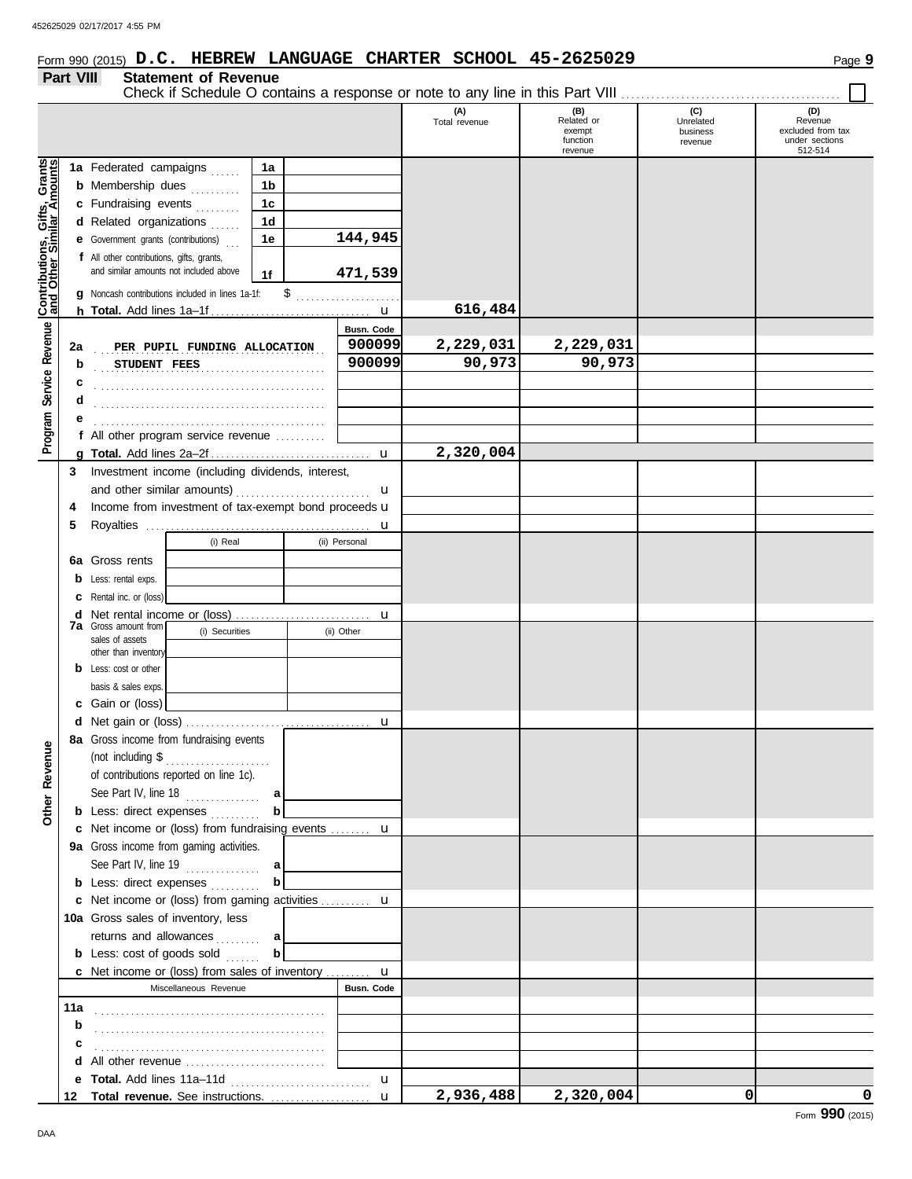# Form 990 (2015) Page **9 D.C. HEBREW LANGUAGE CHARTER SCHOOL 45-2625029**

#### **Part VIII Statement of Revenue**

|                                                             |     | Check if Schedule O contains a response or note to any line in this Part VIII |                |               |                      |                                                    |                                         |                                                                  |
|-------------------------------------------------------------|-----|-------------------------------------------------------------------------------|----------------|---------------|----------------------|----------------------------------------------------|-----------------------------------------|------------------------------------------------------------------|
|                                                             |     |                                                                               |                |               | (A)<br>Total revenue | (B)<br>Related or<br>exempt<br>function<br>revenue | (C)<br>Unrelated<br>business<br>revenue | (D)<br>Revenue<br>excluded from tax<br>under sections<br>512-514 |
|                                                             |     | 1a Federated campaigns                                                        | 1a             |               |                      |                                                    |                                         |                                                                  |
|                                                             |     | <b>b</b> Membership dues<br>.                                                 | 1b             |               |                      |                                                    |                                         |                                                                  |
|                                                             |     | c Fundraising events                                                          | 1 <sub>c</sub> |               |                      |                                                    |                                         |                                                                  |
|                                                             |     | d Related organizations                                                       | 1d             |               |                      |                                                    |                                         |                                                                  |
|                                                             |     | <b>e</b> Government grants (contributions)                                    | 1e             | 144,945       |                      |                                                    |                                         |                                                                  |
|                                                             |     | f All other contributions, gifts, grants,                                     |                |               |                      |                                                    |                                         |                                                                  |
|                                                             |     | and similar amounts not included above                                        | 1f             | 471,539       |                      |                                                    |                                         |                                                                  |
|                                                             |     | g Noncash contributions included in lines 1a-1f:                              |                | \$            |                      |                                                    |                                         |                                                                  |
| Program Service Revenue <b>Contributions, Gifts, Grants</b> |     |                                                                               |                |               | 616,484              |                                                    |                                         |                                                                  |
|                                                             |     |                                                                               |                | Busn. Code    |                      |                                                    |                                         |                                                                  |
|                                                             | 2a  | PER PUPIL FUNDING ALLOCATION                                                  |                | 900099        | 2,229,031            | 2,229,031                                          |                                         |                                                                  |
|                                                             | b   | STUDENT FEES                                                                  |                | 900099        | 90,973               | 90,973                                             |                                         |                                                                  |
|                                                             | c   |                                                                               |                |               |                      |                                                    |                                         |                                                                  |
|                                                             | d   |                                                                               |                |               |                      |                                                    |                                         |                                                                  |
|                                                             |     |                                                                               |                |               |                      |                                                    |                                         |                                                                  |
|                                                             |     | f All other program service revenue                                           |                |               |                      |                                                    |                                         |                                                                  |
|                                                             |     |                                                                               |                | $\mathbf u$   | 2,320,004            |                                                    |                                         |                                                                  |
|                                                             | 3   | Investment income (including dividends, interest,                             |                |               |                      |                                                    |                                         |                                                                  |
|                                                             |     |                                                                               |                | u             |                      |                                                    |                                         |                                                                  |
|                                                             | 4   | Income from investment of tax-exempt bond proceeds u                          |                |               |                      |                                                    |                                         |                                                                  |
|                                                             | 5   |                                                                               |                |               |                      |                                                    |                                         |                                                                  |
|                                                             |     | (i) Real                                                                      |                | (ii) Personal |                      |                                                    |                                         |                                                                  |
|                                                             | 6а  | Gross rents                                                                   |                |               |                      |                                                    |                                         |                                                                  |
|                                                             | b   | Less: rental exps.                                                            |                |               |                      |                                                    |                                         |                                                                  |
|                                                             | с   | Rental inc. or (loss)                                                         |                |               |                      |                                                    |                                         |                                                                  |
|                                                             | d   |                                                                               |                | $\mathbf u$   |                      |                                                    |                                         |                                                                  |
|                                                             |     | <b>7a</b> Gross amount from<br>(i) Securities<br>sales of assets              |                | (ii) Other    |                      |                                                    |                                         |                                                                  |
|                                                             |     | other than inventory                                                          |                |               |                      |                                                    |                                         |                                                                  |
|                                                             | b   | Less: cost or other                                                           |                |               |                      |                                                    |                                         |                                                                  |
|                                                             |     | basis & sales exps.                                                           |                |               |                      |                                                    |                                         |                                                                  |
|                                                             |     | c Gain or (loss)                                                              |                |               |                      |                                                    |                                         |                                                                  |
|                                                             |     |                                                                               |                |               |                      |                                                    |                                         |                                                                  |
| Ф                                                           |     | 8a Gross income from fundraising events                                       |                |               |                      |                                                    |                                         |                                                                  |
|                                                             |     | (not including \$<br>.                                                        |                |               |                      |                                                    |                                         |                                                                  |
|                                                             |     | of contributions reported on line 1c).                                        |                |               |                      |                                                    |                                         |                                                                  |
|                                                             |     | See Part IV, line 18 $\ldots$                                                 | a              |               |                      |                                                    |                                         |                                                                  |
| Other Revenu                                                |     | <b>b</b> Less: direct expenses                                                |                |               |                      |                                                    |                                         |                                                                  |
|                                                             |     | c Net income or (loss) from fundraising events  u                             |                |               |                      |                                                    |                                         |                                                                  |
|                                                             |     | 9a Gross income from gaming activities.                                       |                |               |                      |                                                    |                                         |                                                                  |
|                                                             |     | See Part IV, line 19 $\ldots$                                                 | a              |               |                      |                                                    |                                         |                                                                  |
|                                                             |     | <b>b</b> Less: direct expenses                                                |                |               |                      |                                                    |                                         |                                                                  |
|                                                             |     | c Net income or (loss) from gaming activities  u                              |                |               |                      |                                                    |                                         |                                                                  |
|                                                             |     | 10a Gross sales of inventory, less                                            |                |               |                      |                                                    |                                         |                                                                  |
|                                                             |     | returns and allowances                                                        | a              |               |                      |                                                    |                                         |                                                                  |
|                                                             |     | <b>b</b> Less: cost of goods sold                                             | b              |               |                      |                                                    |                                         |                                                                  |
|                                                             |     | <b>c</b> Net income or (loss) from sales of inventory $\mathbf{u}$            |                |               |                      |                                                    |                                         |                                                                  |
|                                                             |     | Miscellaneous Revenue                                                         |                | Busn. Code    |                      |                                                    |                                         |                                                                  |
|                                                             | 11a |                                                                               |                |               |                      |                                                    |                                         |                                                                  |
|                                                             | b   |                                                                               |                |               |                      |                                                    |                                         |                                                                  |
|                                                             | с   |                                                                               |                |               |                      |                                                    |                                         |                                                                  |
|                                                             |     | d All other revenue                                                           |                |               |                      |                                                    |                                         |                                                                  |
|                                                             |     |                                                                               |                | u             |                      |                                                    |                                         |                                                                  |
|                                                             | 12  |                                                                               |                |               | 2,936,488            | 2,320,004                                          | 0                                       | 0                                                                |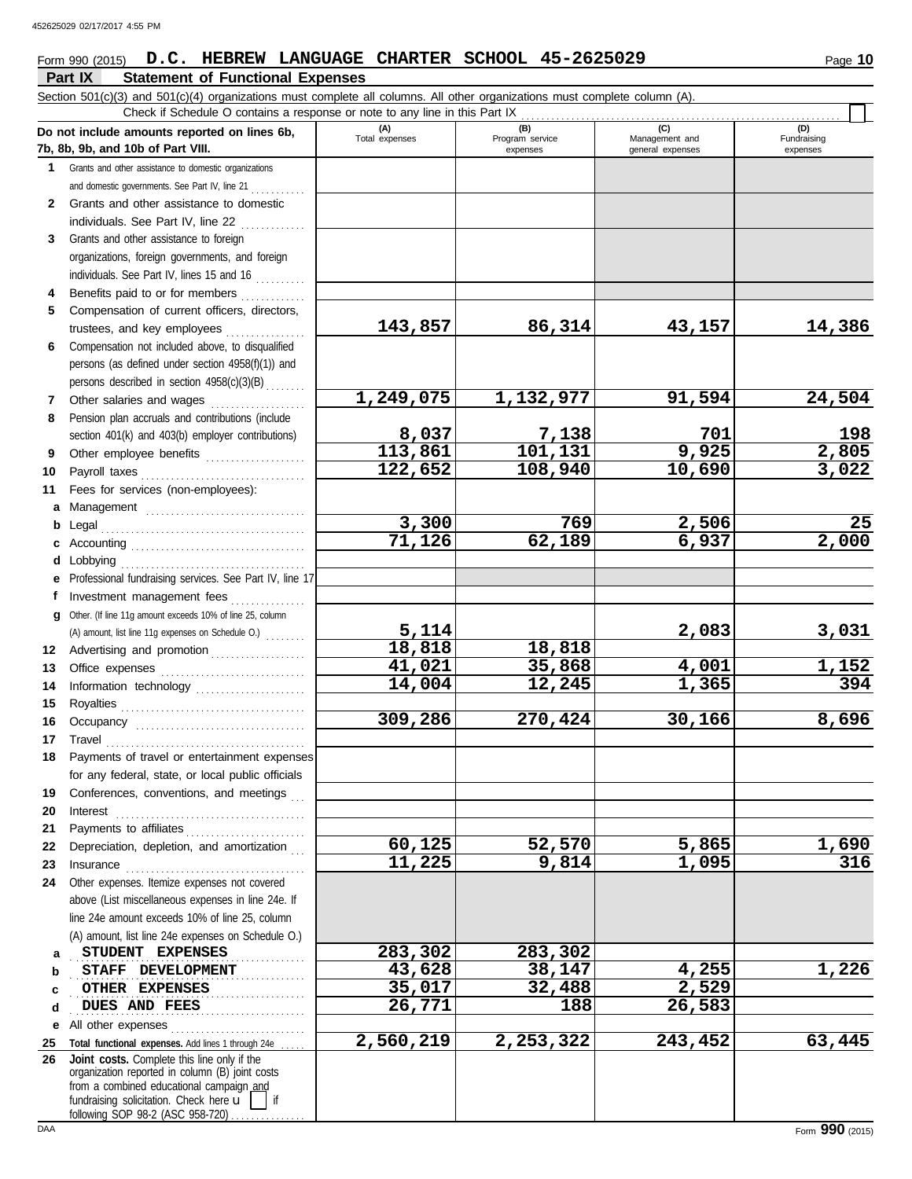### Form 990 (2015) Page **10 D.C. HEBREW LANGUAGE CHARTER SCHOOL 45-2625029**

|              | Part IX<br><b>Statement of Functional Expenses</b>                                                                          |                        |                             |                                    |                         |
|--------------|-----------------------------------------------------------------------------------------------------------------------------|------------------------|-----------------------------|------------------------------------|-------------------------|
|              | Section 501(c)(3) and 501(c)(4) organizations must complete all columns. All other organizations must complete column (A).  |                        |                             |                                    |                         |
|              | Check if Schedule O contains a response or note to any line in this Part IX<br>Do not include amounts reported on lines 6b, | (A)                    | (B)                         | (C)                                | (D)                     |
|              | 7b, 8b, 9b, and 10b of Part VIII.                                                                                           | Total expenses         | Program service<br>expenses | Management and<br>general expenses | Fundraising<br>expenses |
| 1.           | Grants and other assistance to domestic organizations                                                                       |                        |                             |                                    |                         |
|              | and domestic governments. See Part IV, line 21                                                                              |                        |                             |                                    |                         |
| $\mathbf{2}$ | Grants and other assistance to domestic                                                                                     |                        |                             |                                    |                         |
|              | individuals. See Part IV, line 22                                                                                           |                        |                             |                                    |                         |
| 3            | Grants and other assistance to foreign                                                                                      |                        |                             |                                    |                         |
|              | organizations, foreign governments, and foreign                                                                             |                        |                             |                                    |                         |
|              | individuals. See Part IV, lines 15 and 16                                                                                   |                        |                             |                                    |                         |
| 4            | Benefits paid to or for members                                                                                             |                        |                             |                                    |                         |
| 5            | Compensation of current officers, directors,                                                                                |                        |                             |                                    |                         |
|              | trustees, and key employees                                                                                                 | 143,857                | 86,314                      | 43,157                             | 14,386                  |
| 6            | Compensation not included above, to disqualified                                                                            |                        |                             |                                    |                         |
|              | persons (as defined under section 4958(f)(1)) and<br>persons described in section 4958(c)(3)(B)                             |                        |                             |                                    |                         |
| 7            | Other salaries and wages                                                                                                    | 1,249,075              | 1,132,977                   | 91,594                             | 24,504                  |
| 8            | Pension plan accruals and contributions (include                                                                            |                        |                             |                                    |                         |
|              | section 401(k) and 403(b) employer contributions)                                                                           | 8,037                  | 7,138                       |                                    |                         |
| 9            | Other employee benefits                                                                                                     | 113,861                | 101, 131                    | $\frac{701}{9,925}$                | $\frac{198}{2,805}$     |
| 10           | Payroll taxes                                                                                                               | 122,652                | 108,940                     | 10,690                             | 3,022                   |
| 11           | Fees for services (non-employees):                                                                                          |                        |                             |                                    |                         |
| a            |                                                                                                                             |                        |                             |                                    |                         |
| b            | Legal                                                                                                                       | 3,300                  | 769                         | 2,506                              | 25                      |
| c            |                                                                                                                             | 71,126                 | 62,189                      | 6,937                              | $\overline{2,000}$      |
| d            | obbying                                                                                                                     |                        |                             |                                    |                         |
| е            | Professional fundraising services. See Part IV, line 17                                                                     |                        |                             |                                    |                         |
| f            | Investment management fees                                                                                                  |                        |                             |                                    |                         |
| q            | Other. (If line 11g amount exceeds 10% of line 25, column                                                                   |                        |                             |                                    |                         |
|              | (A) amount, list line 11g expenses on Schedule O.)                                                                          | $\frac{5,114}{18,818}$ |                             | 2,083                              | <u>3,031</u>            |
| 12           | Advertising and promotion                                                                                                   | 41,021                 | 18,818<br>35,868            | 4,001                              |                         |
| 13<br>14     |                                                                                                                             | 14,004                 | 12,245                      | 1,365                              | $\frac{1,152}{394}$     |
| 15           | Information technology                                                                                                      |                        |                             |                                    |                         |
| 16           |                                                                                                                             | 309,286                | 270,424                     | 30,166                             | 8,696                   |
|              | 17 Travel                                                                                                                   |                        |                             |                                    |                         |
| 18           | Payments of travel or entertainment expenses                                                                                |                        |                             |                                    |                         |
|              | for any federal, state, or local public officials                                                                           |                        |                             |                                    |                         |
| 19           | Conferences, conventions, and meetings                                                                                      |                        |                             |                                    |                         |
| 20           | Interest                                                                                                                    |                        |                             |                                    |                         |
| 21           | Payments to affiliates                                                                                                      |                        |                             |                                    |                         |
| 22           | Depreciation, depletion, and amortization                                                                                   | 60,125                 | 52,570                      | 5,865                              | <u>1,690</u>            |
| 23           |                                                                                                                             | 11,225                 | 9,814                       | 1,095                              | 316                     |
| 24           | Other expenses. Itemize expenses not covered                                                                                |                        |                             |                                    |                         |
|              | above (List miscellaneous expenses in line 24e. If                                                                          |                        |                             |                                    |                         |
|              | line 24e amount exceeds 10% of line 25, column                                                                              |                        |                             |                                    |                         |
|              | (A) amount, list line 24e expenses on Schedule O.)<br>STUDENT EXPENSES                                                      | 283,302                | 283,302                     |                                    |                         |
| a<br>b       | STAFF DEVELOPMENT                                                                                                           | 43,628                 | 38,147                      | 4,255                              | 1,226                   |
| C            | OTHER EXPENSES                                                                                                              | 35,017                 | 32,488                      | 2,529                              |                         |
| d            | DUES AND FEES                                                                                                               | 26,771                 | 188                         | 26,583                             |                         |
| е            | All other expenses                                                                                                          |                        |                             |                                    |                         |
| 25           | Total functional expenses. Add lines 1 through 24e                                                                          | 2,560,219              | 2,253,322                   | 243,452                            | 63,445                  |
| 26           | Joint costs. Complete this line only if the                                                                                 |                        |                             |                                    |                         |
|              | organization reported in column (B) joint costs<br>from a combined educational campaign and                                 |                        |                             |                                    |                         |
|              | fundraising solicitation. Check here u                                                                                      |                        |                             |                                    |                         |

following SOP 98-2 (ASC 958-720) . . . . . . . . . . . . .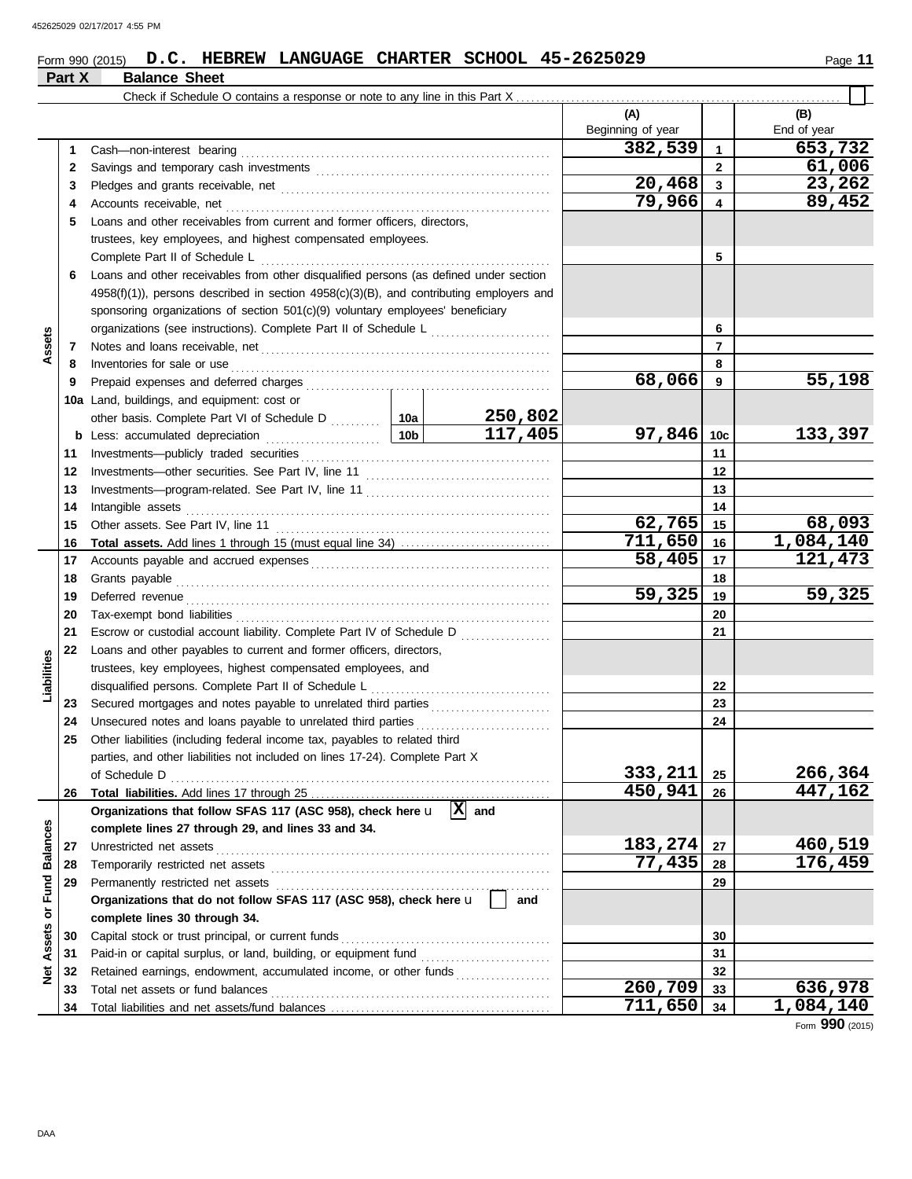### **Form 990 (2015) D.C. HEBREW LANGUAGE CHARTER SCHOOL 45-2625029** Page 11

# **Part X Balance Sheet**

|                 |    |                                                                                                                                                                                                                                      |  |         | (A)<br>Beginning of year |              | (B)<br>End of year |
|-----------------|----|--------------------------------------------------------------------------------------------------------------------------------------------------------------------------------------------------------------------------------------|--|---------|--------------------------|--------------|--------------------|
|                 | 1  | Cash-non-interest bearing                                                                                                                                                                                                            |  |         | 382,539                  | 1            | 653,732            |
|                 | 2  |                                                                                                                                                                                                                                      |  |         |                          | $\mathbf{2}$ | 61,006             |
|                 | 3  |                                                                                                                                                                                                                                      |  |         | 20,468                   | 3            | 23,262             |
|                 | 4  | Accounts receivable, net                                                                                                                                                                                                             |  |         | 79,966                   | 4            | 89,452             |
|                 | 5  | Loans and other receivables from current and former officers, directors,                                                                                                                                                             |  |         |                          |              |                    |
|                 |    | trustees, key employees, and highest compensated employees.                                                                                                                                                                          |  |         |                          |              |                    |
|                 |    | Complete Part II of Schedule L                                                                                                                                                                                                       |  |         |                          | 5            |                    |
|                 | 6  | Loans and other receivables from other disqualified persons (as defined under section                                                                                                                                                |  |         |                          |              |                    |
|                 |    | $4958(f)(1)$ ), persons described in section $4958(c)(3)(B)$ , and contributing employers and                                                                                                                                        |  |         |                          |              |                    |
|                 |    | sponsoring organizations of section 501(c)(9) voluntary employees' beneficiary                                                                                                                                                       |  |         |                          |              |                    |
|                 |    |                                                                                                                                                                                                                                      |  |         |                          | 6            |                    |
| Assets          | 7  |                                                                                                                                                                                                                                      |  |         |                          | 7            |                    |
|                 | 8  | Inventories for sale or use <i>communication</i> and the state of the state or use of the state of the state of the state of the state of the state of the state of the state of the state of the state of the state of the state o  |  |         |                          | 8            |                    |
|                 | 9  |                                                                                                                                                                                                                                      |  |         | 68,066                   | 9            | 55,198             |
|                 |    | 10a Land, buildings, and equipment: cost or                                                                                                                                                                                          |  |         |                          |              |                    |
|                 |    |                                                                                                                                                                                                                                      |  | 250,802 |                          |              |                    |
|                 |    |                                                                                                                                                                                                                                      |  | 117,405 | 97,846                   | 10c          | 133,397            |
|                 | 11 |                                                                                                                                                                                                                                      |  |         |                          | 11           |                    |
|                 | 12 |                                                                                                                                                                                                                                      |  |         |                          | 12           |                    |
|                 | 13 |                                                                                                                                                                                                                                      |  |         |                          | 13           |                    |
|                 | 14 | Intangible assets                                                                                                                                                                                                                    |  |         |                          | 14           |                    |
|                 | 15 |                                                                                                                                                                                                                                      |  |         | 62,765                   | 15           | 68,093             |
|                 | 16 | Total assets. Add lines 1 through 15 (must equal line 34)                                                                                                                                                                            |  |         | 711,650                  | 16           | 1,084,140          |
|                 | 17 |                                                                                                                                                                                                                                      |  |         | 58,405                   | 17           | 121,473            |
|                 | 18 |                                                                                                                                                                                                                                      |  |         |                          | 18           |                    |
|                 | 19 | Deferred revenue <b>contract and the contract of the contract of the contract of the contract of the contract of the contract of the contract of the contract of the contract of the contract of the contract of the contract of</b> |  |         | 59,325                   | 19           | 59,325             |
|                 | 20 |                                                                                                                                                                                                                                      |  |         |                          | 20           |                    |
|                 | 21 | Escrow or custodial account liability. Complete Part IV of Schedule D                                                                                                                                                                |  |         |                          | 21           |                    |
|                 | 22 | Loans and other payables to current and former officers, directors,                                                                                                                                                                  |  |         |                          |              |                    |
| Liabilities     |    | trustees, key employees, highest compensated employees, and                                                                                                                                                                          |  |         |                          |              |                    |
|                 |    | disqualified persons. Complete Part II of Schedule L                                                                                                                                                                                 |  |         |                          | 22           |                    |
|                 | 23 |                                                                                                                                                                                                                                      |  |         |                          | 23           |                    |
|                 | 24 | Unsecured notes and loans payable to unrelated third parties                                                                                                                                                                         |  |         |                          | 24           |                    |
|                 | 25 | Other liabilities (including federal income tax, payables to related third                                                                                                                                                           |  |         |                          |              |                    |
|                 |    | parties, and other liabilities not included on lines 17-24). Complete Part X                                                                                                                                                         |  |         |                          |              |                    |
|                 |    |                                                                                                                                                                                                                                      |  |         | 333,211                  | 25           | 266,364            |
|                 | 26 |                                                                                                                                                                                                                                      |  |         | 450,941                  | 26           | 447,162            |
|                 |    | Organizations that follow SFAS 117 (ASC 958), check here $\mathbf{u}$  X  and                                                                                                                                                        |  |         |                          |              |                    |
|                 |    | complete lines 27 through 29, and lines 33 and 34.                                                                                                                                                                                   |  |         |                          |              |                    |
| <b>Balances</b> | 27 | Unrestricted net assets                                                                                                                                                                                                              |  |         | 183,274                  | 27           | 460,519            |
|                 | 28 |                                                                                                                                                                                                                                      |  |         | 77,435                   | 28           | 176,459            |
| Fund            | 29 | Permanently restricted net assets                                                                                                                                                                                                    |  |         |                          | 29           |                    |
|                 |    | Organizations that do not follow SFAS 117 (ASC 958), check here u                                                                                                                                                                    |  | and     |                          |              |                    |
| ŏ               |    | complete lines 30 through 34.                                                                                                                                                                                                        |  |         |                          |              |                    |
| Assets          | 30 | Capital stock or trust principal, or current funds                                                                                                                                                                                   |  |         |                          | 30           |                    |
|                 | 31 |                                                                                                                                                                                                                                      |  |         |                          | 31           |                    |
| ğ               | 32 | Retained earnings, endowment, accumulated income, or other funds                                                                                                                                                                     |  |         |                          | 32           |                    |
|                 | 33 |                                                                                                                                                                                                                                      |  |         | 260,709                  | 33           | 636,978            |
|                 | 34 |                                                                                                                                                                                                                                      |  |         | 711,650                  | 34           | 1,084,140          |

Form **990** (2015)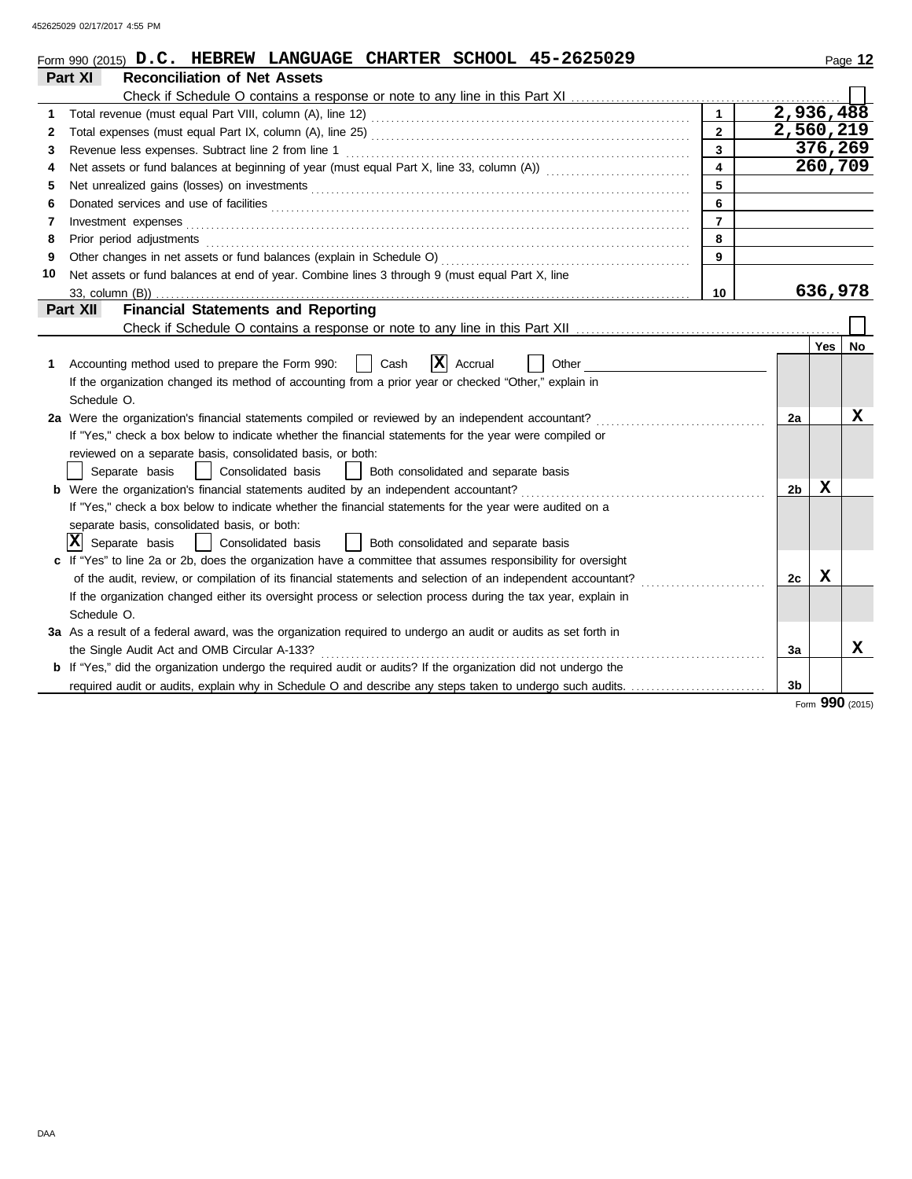452625029 02/17/2017 4:55 PM

|              | Form 990 (2015) $D.C.$ HEBREW LANGUAGE CHARTER SCHOOL 45-2625029                                                      |                         |                        |         | Page 12         |
|--------------|-----------------------------------------------------------------------------------------------------------------------|-------------------------|------------------------|---------|-----------------|
|              | <b>Reconciliation of Net Assets</b><br>Part XI                                                                        |                         |                        |         |                 |
|              |                                                                                                                       |                         |                        |         |                 |
| 1.           |                                                                                                                       | $\mathbf{1}$            | $\overline{2,936,488}$ |         |                 |
| $\mathbf{2}$ |                                                                                                                       | $\overline{2}$          | 2,560,219              |         |                 |
| 3            | Revenue less expenses. Subtract line 2 from line 1                                                                    | $\overline{\mathbf{3}}$ |                        |         | 376,269         |
| 4            |                                                                                                                       | $\overline{\mathbf{4}}$ |                        |         | 260,709         |
| 5            |                                                                                                                       | 5                       |                        |         |                 |
| 6            |                                                                                                                       | 6                       |                        |         |                 |
| 7            | Investment expenses                                                                                                   | $\overline{7}$          |                        |         |                 |
| 8            | Prior period adjustments                                                                                              | 8                       |                        |         |                 |
| 9            | Other changes in net assets or fund balances (explain in Schedule O)                                                  | 9                       |                        |         |                 |
| 10           | Net assets or fund balances at end of year. Combine lines 3 through 9 (must equal Part X, line                        |                         |                        |         |                 |
|              | 33, column (B))                                                                                                       | 10                      |                        | 636,978 |                 |
|              | <b>Financial Statements and Reporting</b><br>Part XII                                                                 |                         |                        |         |                 |
|              |                                                                                                                       |                         |                        |         |                 |
|              |                                                                                                                       |                         |                        | Yes     | No              |
| 1.           | Ιx<br>Accounting method used to prepare the Form 990:<br>Cash<br>Accrual<br>Other                                     |                         |                        |         |                 |
|              | If the organization changed its method of accounting from a prior year or checked "Other," explain in                 |                         |                        |         |                 |
|              | Schedule O.                                                                                                           |                         |                        |         |                 |
|              | 2a Were the organization's financial statements compiled or reviewed by an independent accountant?                    |                         | 2a                     |         | х               |
|              | If "Yes," check a box below to indicate whether the financial statements for the year were compiled or                |                         |                        |         |                 |
|              | reviewed on a separate basis, consolidated basis, or both:                                                            |                         |                        |         |                 |
|              | Consolidated basis<br>Separate basis<br>Both consolidated and separate basis                                          |                         |                        |         |                 |
|              | <b>b</b> Were the organization's financial statements audited by an independent accountant?                           |                         | 2b                     | x       |                 |
|              | If "Yes," check a box below to indicate whether the financial statements for the year were audited on a               |                         |                        |         |                 |
|              | separate basis, consolidated basis, or both:                                                                          |                         |                        |         |                 |
|              | $ \mathbf{X} $ Separate basis<br>Both consolidated and separate basis<br>Consolidated basis                           |                         |                        |         |                 |
|              | c If "Yes" to line 2a or 2b, does the organization have a committee that assumes responsibility for oversight         |                         |                        |         |                 |
|              | of the audit, review, or compilation of its financial statements and selection of an independent accountant?          |                         | 2c                     | X       |                 |
|              | If the organization changed either its oversight process or selection process during the tax year, explain in         |                         |                        |         |                 |
|              | Schedule O.                                                                                                           |                         |                        |         |                 |
|              | 3a As a result of a federal award, was the organization required to undergo an audit or audits as set forth in        |                         |                        |         |                 |
|              | the Single Audit Act and OMB Circular A-133?                                                                          |                         | 3a                     |         | x               |
|              | <b>b</b> If "Yes," did the organization undergo the required audit or audits? If the organization did not undergo the |                         |                        |         |                 |
|              | required audit or audits, explain why in Schedule O and describe any steps taken to undergo such audits.              |                         | 3b                     |         |                 |
|              |                                                                                                                       |                         |                        |         | Form 990 (2015) |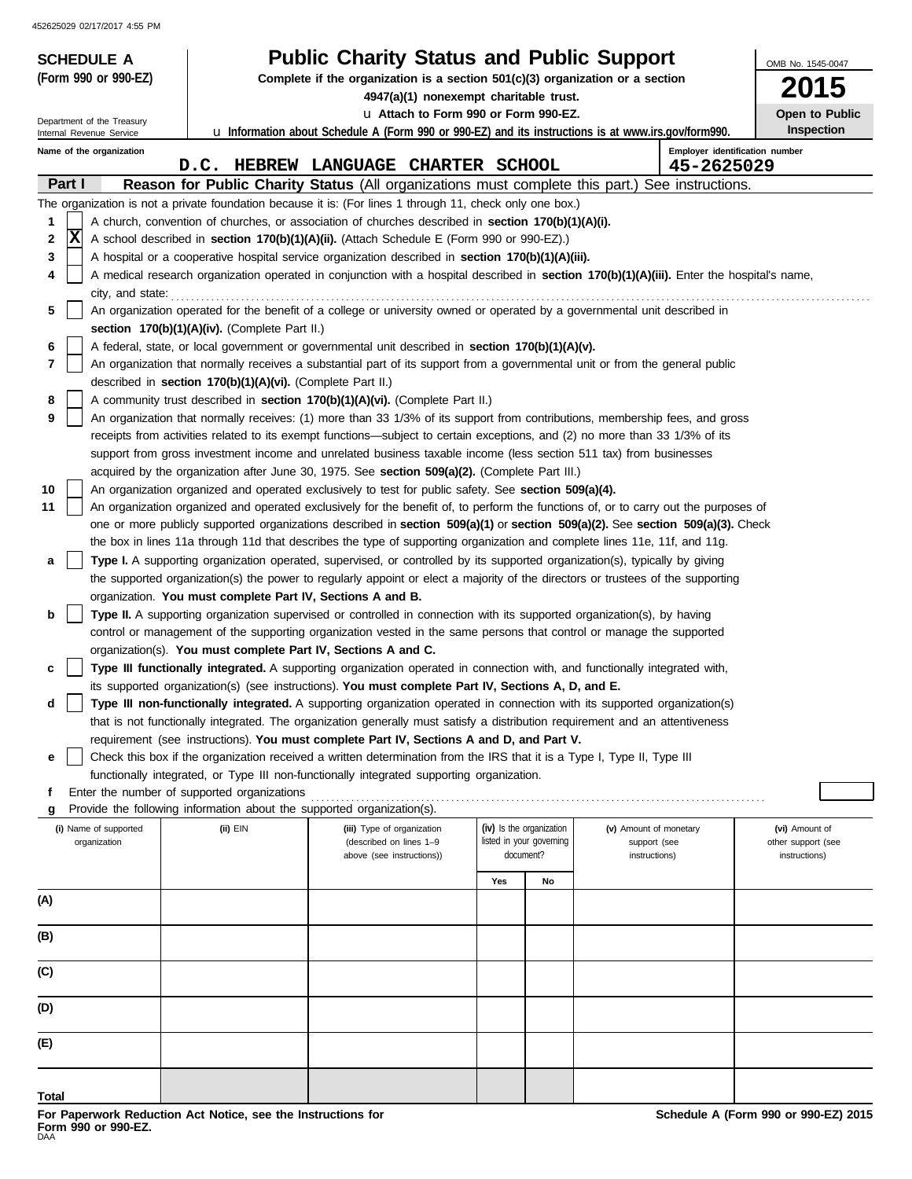452625029 02/17/2017 4:55 PM

| <b>SCHEDULE A</b>                                      |                                                                                                                                                                                                                                                      | <b>Public Charity Status and Public Support</b>                                                                                                                                                                                 |           |                          |                               | OMB No. 1545-0047                   |  |  |  |
|--------------------------------------------------------|------------------------------------------------------------------------------------------------------------------------------------------------------------------------------------------------------------------------------------------------------|---------------------------------------------------------------------------------------------------------------------------------------------------------------------------------------------------------------------------------|-----------|--------------------------|-------------------------------|-------------------------------------|--|--|--|
| (Form 990 or 990-EZ)                                   |                                                                                                                                                                                                                                                      | Complete if the organization is a section $501(c)(3)$ organization or a section                                                                                                                                                 |           |                          |                               | <b>2015</b>                         |  |  |  |
|                                                        |                                                                                                                                                                                                                                                      | 4947(a)(1) nonexempt charitable trust.<br>u Attach to Form 990 or Form 990-EZ.                                                                                                                                                  |           |                          |                               | Open to Public                      |  |  |  |
| Department of the Treasury<br>Internal Revenue Service |                                                                                                                                                                                                                                                      | <b>u</b> Information about Schedule A (Form 990 or 990-EZ) and its instructions is at www.irs.gov/form990.                                                                                                                      |           |                          |                               | <b>Inspection</b>                   |  |  |  |
| Name of the organization                               |                                                                                                                                                                                                                                                      | D.C. HEBREW LANGUAGE CHARTER SCHOOL                                                                                                                                                                                             |           |                          | 45-2625029                    | Employer identification number      |  |  |  |
| Part I                                                 |                                                                                                                                                                                                                                                      | <b>Reason for Public Charity Status</b> (All organizations must complete this part.)                                                                                                                                            |           |                          | See instructions.             |                                     |  |  |  |
|                                                        |                                                                                                                                                                                                                                                      | The organization is not a private foundation because it is: (For lines 1 through 11, check only one box.)                                                                                                                       |           |                          |                               |                                     |  |  |  |
| 1                                                      | A church, convention of churches, or association of churches described in section 170(b)(1)(A)(i).                                                                                                                                                   |                                                                                                                                                                                                                                 |           |                          |                               |                                     |  |  |  |
| X<br>2                                                 | A school described in section 170(b)(1)(A)(ii). (Attach Schedule E (Form 990 or 990-EZ).)                                                                                                                                                            |                                                                                                                                                                                                                                 |           |                          |                               |                                     |  |  |  |
| 3                                                      | A hospital or a cooperative hospital service organization described in section 170(b)(1)(A)(iii).<br>A medical research organization operated in conjunction with a hospital described in section 170(b)(1)(A)(iii). Enter the hospital's name,<br>4 |                                                                                                                                                                                                                                 |           |                          |                               |                                     |  |  |  |
|                                                        | city, and state:                                                                                                                                                                                                                                     |                                                                                                                                                                                                                                 |           |                          |                               |                                     |  |  |  |
| 5                                                      | An organization operated for the benefit of a college or university owned or operated by a governmental unit described in                                                                                                                            |                                                                                                                                                                                                                                 |           |                          |                               |                                     |  |  |  |
|                                                        | section $170(b)(1)(A)(iv)$ . (Complete Part II.)                                                                                                                                                                                                     |                                                                                                                                                                                                                                 |           |                          |                               |                                     |  |  |  |
| 6                                                      |                                                                                                                                                                                                                                                      | A federal, state, or local government or governmental unit described in section 170(b)(1)(A)(v).                                                                                                                                |           |                          |                               |                                     |  |  |  |
| 7                                                      | described in section 170(b)(1)(A)(vi). (Complete Part II.)                                                                                                                                                                                           | An organization that normally receives a substantial part of its support from a governmental unit or from the general public                                                                                                    |           |                          |                               |                                     |  |  |  |
| 8                                                      |                                                                                                                                                                                                                                                      | A community trust described in section 170(b)(1)(A)(vi). (Complete Part II.)                                                                                                                                                    |           |                          |                               |                                     |  |  |  |
| 9                                                      |                                                                                                                                                                                                                                                      | An organization that normally receives: (1) more than 33 1/3% of its support from contributions, membership fees, and gross                                                                                                     |           |                          |                               |                                     |  |  |  |
|                                                        |                                                                                                                                                                                                                                                      | receipts from activities related to its exempt functions—subject to certain exceptions, and (2) no more than 33 1/3% of its                                                                                                     |           |                          |                               |                                     |  |  |  |
|                                                        |                                                                                                                                                                                                                                                      | support from gross investment income and unrelated business taxable income (less section 511 tax) from businesses                                                                                                               |           |                          |                               |                                     |  |  |  |
| 10                                                     |                                                                                                                                                                                                                                                      | acquired by the organization after June 30, 1975. See section 509(a)(2). (Complete Part III.)<br>An organization organized and operated exclusively to test for public safety. See section 509(a)(4).                           |           |                          |                               |                                     |  |  |  |
| 11                                                     |                                                                                                                                                                                                                                                      | An organization organized and operated exclusively for the benefit of, to perform the functions of, or to carry out the purposes of                                                                                             |           |                          |                               |                                     |  |  |  |
|                                                        |                                                                                                                                                                                                                                                      | one or more publicly supported organizations described in section 509(a)(1) or section 509(a)(2). See section 509(a)(3). Check                                                                                                  |           |                          |                               |                                     |  |  |  |
|                                                        |                                                                                                                                                                                                                                                      | the box in lines 11a through 11d that describes the type of supporting organization and complete lines 11e, 11f, and 11g.                                                                                                       |           |                          |                               |                                     |  |  |  |
| а                                                      |                                                                                                                                                                                                                                                      | Type I. A supporting organization operated, supervised, or controlled by its supported organization(s), typically by giving                                                                                                     |           |                          |                               |                                     |  |  |  |
|                                                        | organization. You must complete Part IV, Sections A and B.                                                                                                                                                                                           | the supported organization(s) the power to regularly appoint or elect a majority of the directors or trustees of the supporting                                                                                                 |           |                          |                               |                                     |  |  |  |
| b                                                      |                                                                                                                                                                                                                                                      | Type II. A supporting organization supervised or controlled in connection with its supported organization(s), by having                                                                                                         |           |                          |                               |                                     |  |  |  |
|                                                        |                                                                                                                                                                                                                                                      | control or management of the supporting organization vested in the same persons that control or manage the supported                                                                                                            |           |                          |                               |                                     |  |  |  |
|                                                        | organization(s). You must complete Part IV, Sections A and C.                                                                                                                                                                                        |                                                                                                                                                                                                                                 |           |                          |                               |                                     |  |  |  |
| c                                                      |                                                                                                                                                                                                                                                      | Type III functionally integrated. A supporting organization operated in connection with, and functionally integrated with,                                                                                                      |           |                          |                               |                                     |  |  |  |
| a                                                      |                                                                                                                                                                                                                                                      | its supported organization(s) (see instructions). You must complete Part IV, Sections A, D, and E.<br>Type III non-functionally integrated. A supporting organization operated in connection with its supported organization(s) |           |                          |                               |                                     |  |  |  |
|                                                        |                                                                                                                                                                                                                                                      | that is not functionally integrated. The organization generally must satisfy a distribution requirement and an attentiveness                                                                                                    |           |                          |                               |                                     |  |  |  |
|                                                        |                                                                                                                                                                                                                                                      | requirement (see instructions). You must complete Part IV, Sections A and D, and Part V.                                                                                                                                        |           |                          |                               |                                     |  |  |  |
| е                                                      |                                                                                                                                                                                                                                                      | Check this box if the organization received a written determination from the IRS that it is a Type I, Type II, Type III                                                                                                         |           |                          |                               |                                     |  |  |  |
|                                                        | Enter the number of supported organizations                                                                                                                                                                                                          | functionally integrated, or Type III non-functionally integrated supporting organization.                                                                                                                                       |           |                          |                               |                                     |  |  |  |
| f<br>g                                                 | Provide the following information about the supported organization(s).                                                                                                                                                                               |                                                                                                                                                                                                                                 |           |                          |                               |                                     |  |  |  |
| (i) Name of supported                                  | (ii) EIN                                                                                                                                                                                                                                             | (iii) Type of organization                                                                                                                                                                                                      |           | (iv) Is the organization | (v) Amount of monetary        | (vi) Amount of                      |  |  |  |
| organization                                           |                                                                                                                                                                                                                                                      | (described on lines 1-9<br>above (see instructions))                                                                                                                                                                            | document? | listed in your governing | support (see<br>instructions) | other support (see<br>instructions) |  |  |  |
|                                                        |                                                                                                                                                                                                                                                      |                                                                                                                                                                                                                                 |           |                          |                               |                                     |  |  |  |
|                                                        |                                                                                                                                                                                                                                                      |                                                                                                                                                                                                                                 | Yes       | No                       |                               |                                     |  |  |  |
| (A)                                                    |                                                                                                                                                                                                                                                      |                                                                                                                                                                                                                                 |           |                          |                               |                                     |  |  |  |
| (B)                                                    |                                                                                                                                                                                                                                                      |                                                                                                                                                                                                                                 |           |                          |                               |                                     |  |  |  |
|                                                        |                                                                                                                                                                                                                                                      |                                                                                                                                                                                                                                 |           |                          |                               |                                     |  |  |  |
| (C)                                                    |                                                                                                                                                                                                                                                      |                                                                                                                                                                                                                                 |           |                          |                               |                                     |  |  |  |
| (D)                                                    |                                                                                                                                                                                                                                                      |                                                                                                                                                                                                                                 |           |                          |                               |                                     |  |  |  |
| (E)                                                    |                                                                                                                                                                                                                                                      |                                                                                                                                                                                                                                 |           |                          |                               |                                     |  |  |  |
|                                                        |                                                                                                                                                                                                                                                      |                                                                                                                                                                                                                                 |           |                          |                               |                                     |  |  |  |
| Total                                                  |                                                                                                                                                                                                                                                      |                                                                                                                                                                                                                                 |           |                          |                               |                                     |  |  |  |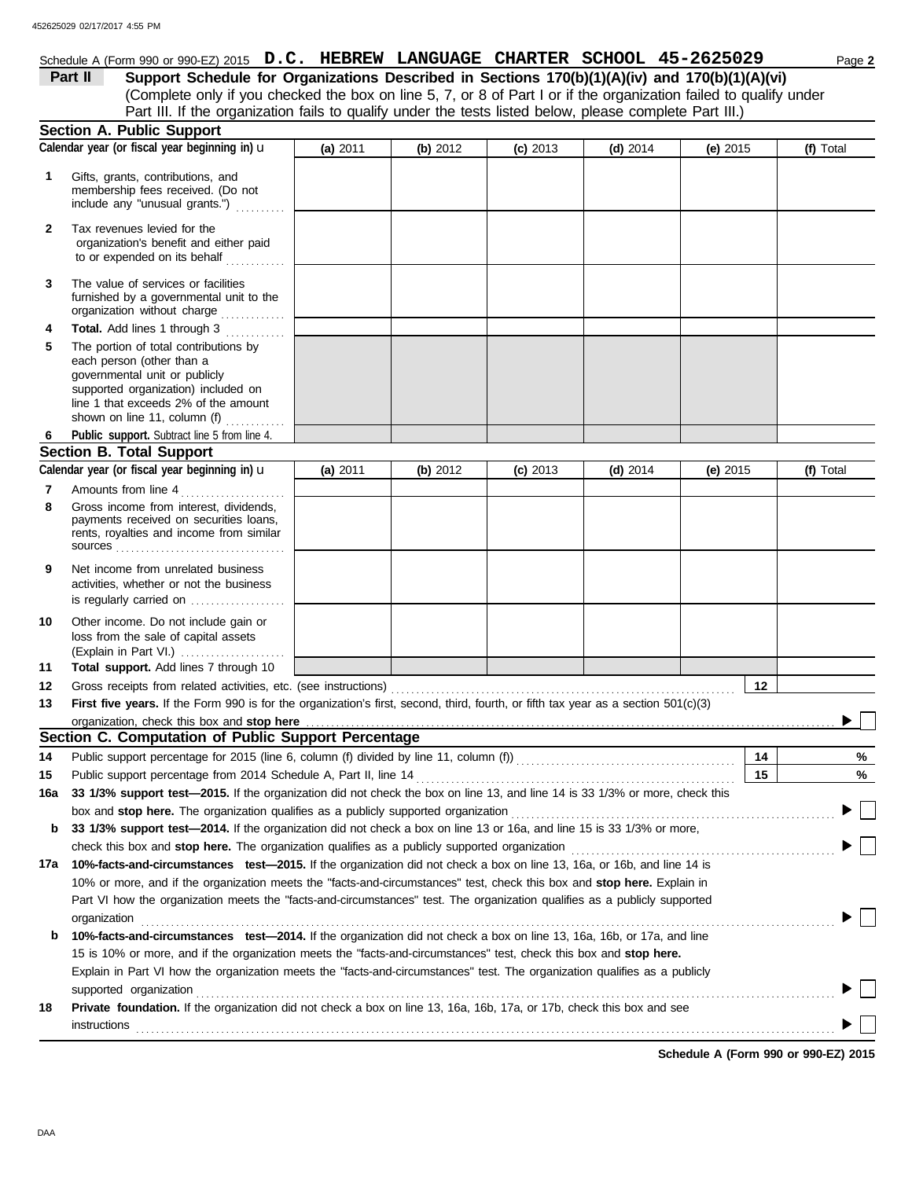# Schedule A (Form 990 or 990-EZ) 2015 **D.C. HEBREW LANGUAGE CHARTER SCHOOL 45-2625029** Page 2

(Complete only if you checked the box on line 5, 7, or 8 of Part I or if the organization failed to qualify under **Part II** Support Schedule for Organizations Described in Sections 170(b)(1)(A)(iv) and 170(b)(1)(A)(vi) Part III. If the organization fails to qualify under the tests listed below, please complete Part III.)

|        | <b>Section A. Public Support</b>                                                                                                                                                                                                                        |          |          |            |            |            |           |
|--------|---------------------------------------------------------------------------------------------------------------------------------------------------------------------------------------------------------------------------------------------------------|----------|----------|------------|------------|------------|-----------|
|        | Calendar year (or fiscal year beginning in) u                                                                                                                                                                                                           | (a) 2011 | (b) 2012 | $(c)$ 2013 | $(d)$ 2014 | (e) 2015   | (f) Total |
| 1      | Gifts, grants, contributions, and<br>membership fees received. (Do not<br>include any "unusual grants.")                                                                                                                                                |          |          |            |            |            |           |
| 2      | Tax revenues levied for the<br>organization's benefit and either paid<br>to or expended on its behalf                                                                                                                                                   |          |          |            |            |            |           |
| 3      | The value of services or facilities<br>furnished by a governmental unit to the<br>organization without charge                                                                                                                                           |          |          |            |            |            |           |
| 4<br>5 | Total. Add lines 1 through 3<br>.<br>The portion of total contributions by<br>each person (other than a<br>governmental unit or publicly<br>supported organization) included on<br>line 1 that exceeds 2% of the amount<br>shown on line 11, column (f) |          |          |            |            |            |           |
| 6      | Public support. Subtract line 5 from line 4.                                                                                                                                                                                                            |          |          |            |            |            |           |
|        | <b>Section B. Total Support</b>                                                                                                                                                                                                                         |          |          |            |            |            |           |
|        | Calendar year (or fiscal year beginning in) u                                                                                                                                                                                                           | (a) 2011 | (b) 2012 | $(c)$ 2013 | $(d)$ 2014 | (e) $2015$ | (f) Total |
| 7      | Amounts from line 4                                                                                                                                                                                                                                     |          |          |            |            |            |           |
| 8      | Gross income from interest, dividends,<br>payments received on securities loans,<br>rents, royalties and income from similar<br>sources                                                                                                                 |          |          |            |            |            |           |
| 9      | Net income from unrelated business<br>activities, whether or not the business<br>is regularly carried on                                                                                                                                                |          |          |            |            |            |           |
| 10     | Other income. Do not include gain or<br>loss from the sale of capital assets<br>(Explain in Part VI.)                                                                                                                                                   |          |          |            |            |            |           |
| 11     | Total support. Add lines 7 through 10                                                                                                                                                                                                                   |          |          |            |            |            |           |
| 12     | Gross receipts from related activities, etc. (see instructions)                                                                                                                                                                                         |          |          |            |            | 12         |           |
| 13     | First five years. If the Form 990 is for the organization's first, second, third, fourth, or fifth tax year as a section 501(c)(3)                                                                                                                      |          |          |            |            |            |           |
|        | organization, check this box and stop here                                                                                                                                                                                                              |          |          |            |            |            |           |
|        | Section C. Computation of Public Support Percentage                                                                                                                                                                                                     |          |          |            |            |            |           |
| 14     | Public support percentage for 2015 (line 6, column (f) divided by line 11, column (f)) [[[[[[[[[[[[[[[[[[[[[[                                                                                                                                           |          |          |            |            | 14         | %         |
| 15     | Public support percentage from 2014 Schedule A, Part II, line 14                                                                                                                                                                                        |          |          |            |            | 15         | %         |
| 16a    | 33 1/3% support test-2015. If the organization did not check the box on line 13, and line 14 is 33 1/3% or more, check this                                                                                                                             |          |          |            |            |            |           |
|        | box and stop here. The organization qualifies as a publicly supported organization                                                                                                                                                                      |          |          |            |            |            |           |
|        | <b>b</b> 33 1/3% support test-2014. If the organization did not check a box on line 13 or 16a, and line 15 is 33 1/3% or more,                                                                                                                          |          |          |            |            |            |           |
|        | check this box and stop here. The organization qualifies as a publicly supported organization                                                                                                                                                           |          |          |            |            |            |           |
| 17a    | 10%-facts-and-circumstances test-2015. If the organization did not check a box on line 13, 16a, or 16b, and line 14 is                                                                                                                                  |          |          |            |            |            |           |
|        | 10% or more, and if the organization meets the "facts-and-circumstances" test, check this box and stop here. Explain in                                                                                                                                 |          |          |            |            |            |           |
|        | Part VI how the organization meets the "facts-and-circumstances" test. The organization qualifies as a publicly supported                                                                                                                               |          |          |            |            |            |           |
|        | organization                                                                                                                                                                                                                                            |          |          |            |            |            |           |
| b      | 10%-facts-and-circumstances test-2014. If the organization did not check a box on line 13, 16a, 16b, or 17a, and line                                                                                                                                   |          |          |            |            |            |           |
|        | 15 is 10% or more, and if the organization meets the "facts-and-circumstances" test, check this box and stop here.                                                                                                                                      |          |          |            |            |            |           |
|        | Explain in Part VI how the organization meets the "facts-and-circumstances" test. The organization qualifies as a publicly                                                                                                                              |          |          |            |            |            |           |
|        | supported organization                                                                                                                                                                                                                                  |          |          |            |            |            |           |
| 18     | Private foundation. If the organization did not check a box on line 13, 16a, 16b, 17a, or 17b, check this box and see                                                                                                                                   |          |          |            |            |            |           |
|        | instructions                                                                                                                                                                                                                                            |          |          |            |            |            |           |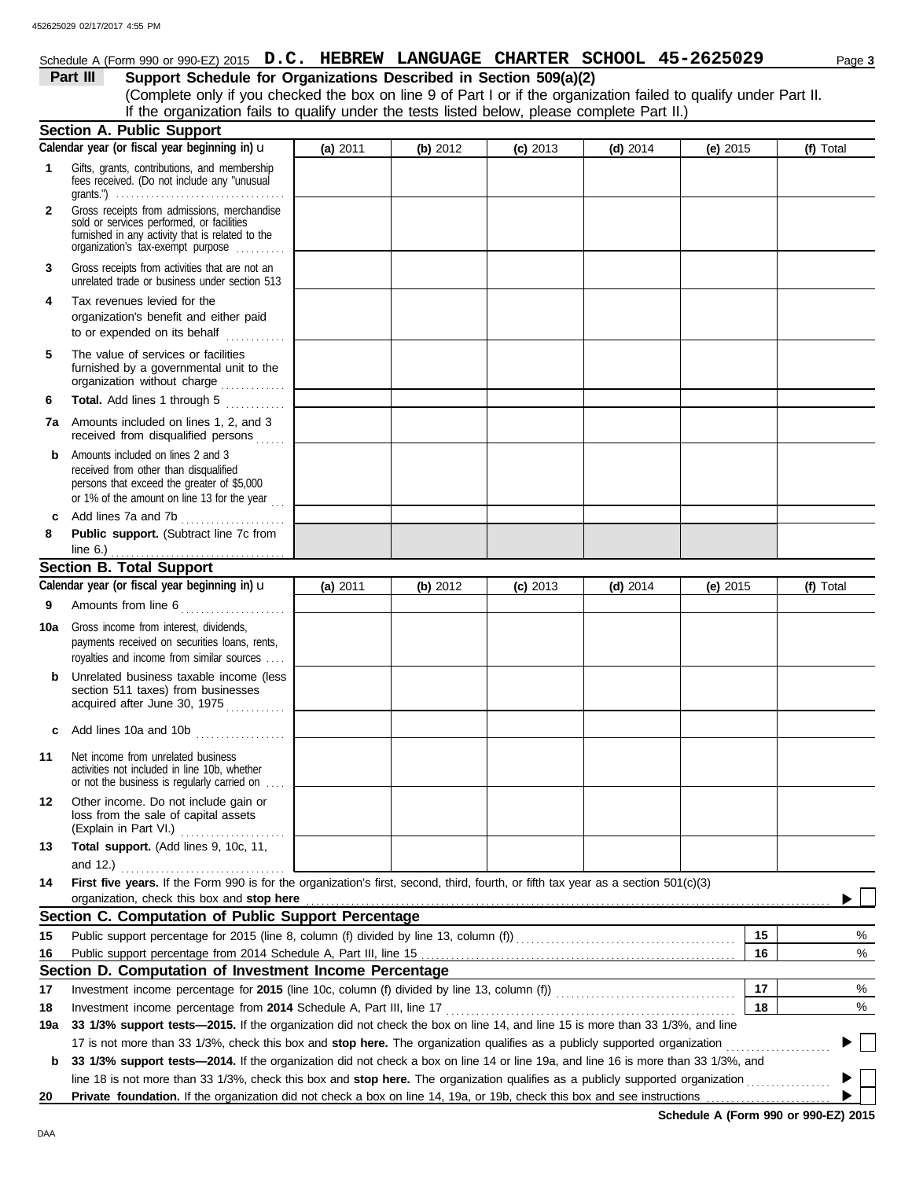## Schedule A (Form 990 or 990-EZ) 2015 **D.C. HEBREW LANGUAGE CHARTER SCHOOL 45-2625029** Page 3

**Part III Support Schedule for Organizations Described in Section 509(a)(2)**

(Complete only if you checked the box on line 9 of Part I or if the organization failed to qualify under Part II. If the organization fails to qualify under the tests listed below, please complete Part II.)

|              | <b>Section A. Public Support</b>                                                                                                                                                                                                                                     |          |          |            |            |            |           |
|--------------|----------------------------------------------------------------------------------------------------------------------------------------------------------------------------------------------------------------------------------------------------------------------|----------|----------|------------|------------|------------|-----------|
|              | Calendar year (or fiscal year beginning in) u                                                                                                                                                                                                                        | (a) 2011 | (b) 2012 | $(c)$ 2013 | $(d)$ 2014 | $(e)$ 2015 | (f) Total |
| 1            | Gifts, grants, contributions, and membership<br>fees received. (Do not include any "unusual<br>grants.") $\ldots \ldots \ldots \ldots \ldots \ldots \ldots \ldots \ldots \ldots \ldots \ldots$                                                                       |          |          |            |            |            |           |
| $\mathbf{2}$ | Gross receipts from admissions, merchandise<br>sold or services performed, or facilities<br>furnished in any activity that is related to the<br>organization's tax-exempt purpose                                                                                    |          |          |            |            |            |           |
| 3            | Gross receipts from activities that are not an<br>unrelated trade or business under section 513                                                                                                                                                                      |          |          |            |            |            |           |
| 4            | Tax revenues levied for the<br>organization's benefit and either paid<br>to or expended on its behalf                                                                                                                                                                |          |          |            |            |            |           |
| 5            | The value of services or facilities<br>furnished by a governmental unit to the<br>organization without charge                                                                                                                                                        |          |          |            |            |            |           |
| 6            | <b>Total.</b> Add lines 1 through 5<br>.                                                                                                                                                                                                                             |          |          |            |            |            |           |
| 7а           | Amounts included on lines 1, 2, and 3<br>received from disqualified persons                                                                                                                                                                                          |          |          |            |            |            |           |
| b            | Amounts included on lines 2 and 3<br>received from other than disqualified<br>persons that exceed the greater of \$5,000<br>or 1% of the amount on line 13 for the year $\ldots$                                                                                     |          |          |            |            |            |           |
| c            | Add lines 7a and 7b                                                                                                                                                                                                                                                  |          |          |            |            |            |           |
| 8            | Public support. (Subtract line 7c from                                                                                                                                                                                                                               |          |          |            |            |            |           |
|              | line $6.$ )<br><b>Section B. Total Support</b>                                                                                                                                                                                                                       |          |          |            |            |            |           |
|              | Calendar year (or fiscal year beginning in) $\mathbf u$                                                                                                                                                                                                              | (a) 2011 | (b) 2012 | $(c)$ 2013 | $(d)$ 2014 | (e) $2015$ | (f) Total |
| 9            | Amounts from line 6                                                                                                                                                                                                                                                  |          |          |            |            |            |           |
|              |                                                                                                                                                                                                                                                                      |          |          |            |            |            |           |
| 10a          | Gross income from interest, dividends,<br>payments received on securities loans, rents,<br>royalties and income from similar sources                                                                                                                                 |          |          |            |            |            |           |
| b            | Unrelated business taxable income (less<br>section 511 taxes) from businesses<br>acquired after June 30, 1975                                                                                                                                                        |          |          |            |            |            |           |
| c            | Add lines 10a and 10b                                                                                                                                                                                                                                                |          |          |            |            |            |           |
| 11           | Net income from unrelated business<br>activities not included in line 10b, whether<br>or not the business is regularly carried on                                                                                                                                    |          |          |            |            |            |           |
| 12           | Other income. Do not include gain or<br>loss from the sale of capital assets<br>(Explain in Part VI.)<br>.                                                                                                                                                           |          |          |            |            |            |           |
| 13           | Total support. (Add lines 9, 10c, 11,<br>and 12.) $\qquad \qquad$                                                                                                                                                                                                    |          |          |            |            |            |           |
| 14           | First five years. If the Form 990 is for the organization's first, second, third, fourth, or fifth tax year as a section 501(c)(3)                                                                                                                                   |          |          |            |            |            |           |
|              | organization, check this box and stop here manufactured and stop here contained and stop here may be a series of the series of the series of the series of the series of the series of the series of the series of the series                                        |          |          |            |            |            |           |
|              | Section C. Computation of Public Support Percentage                                                                                                                                                                                                                  |          |          |            |            |            |           |
| 15           | Public support percentage for 2015 (line 8, column (f) divided by line 13, column (f)) [[[[[[[[[[[[[[[[[[[[[[                                                                                                                                                        |          |          |            |            | 15         | %         |
| 16           |                                                                                                                                                                                                                                                                      |          |          |            |            | 16         | %         |
|              | Section D. Computation of Investment Income Percentage                                                                                                                                                                                                               |          |          |            |            |            |           |
| 17           |                                                                                                                                                                                                                                                                      |          |          |            |            | 17         | %         |
| 18           | Investment income percentage from 2014 Schedule A, Part III, line 17                                                                                                                                                                                                 |          |          |            |            | 18         | %         |
| 19a          | 33 1/3% support tests-2015. If the organization did not check the box on line 14, and line 15 is more than 33 1/3%, and line                                                                                                                                         |          |          |            |            |            |           |
|              | 17 is not more than 33 1/3%, check this box and stop here. The organization qualifies as a publicly supported organization                                                                                                                                           |          |          |            |            |            |           |
| b            | 33 1/3% support tests-2014. If the organization did not check a box on line 14 or line 19a, and line 16 is more than 33 1/3%, and<br>line 18 is not more than 33 1/3%, check this box and stop here. The organization qualifies as a publicly supported organization |          |          |            |            |            |           |
| 20           | Private foundation. If the organization did not check a box on line 14, 19a, or 19b, check this box and see instructions                                                                                                                                             |          |          |            |            |            |           |
|              |                                                                                                                                                                                                                                                                      |          |          |            |            |            |           |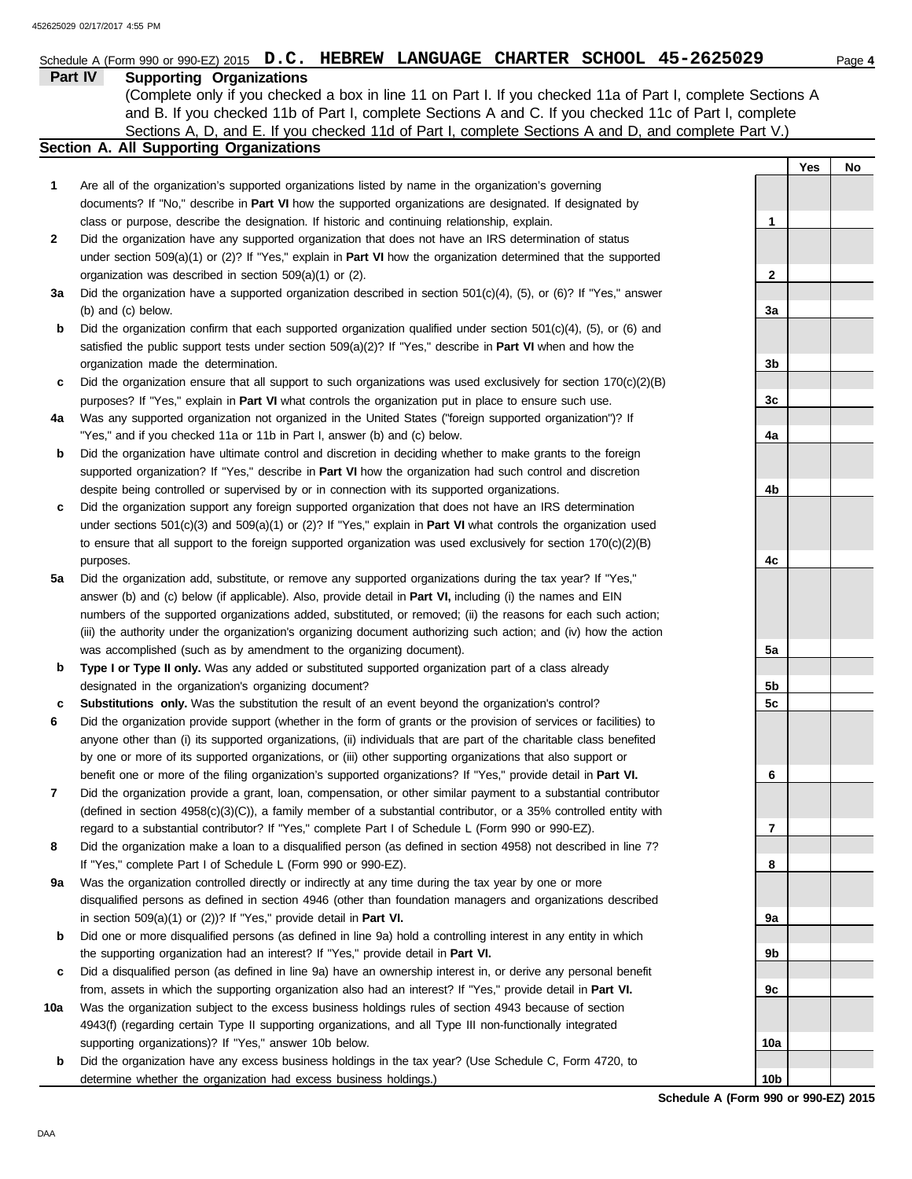|         | Schedule A (Form 990 or 990-EZ) 2015 $D.C.$ HEBREW LANGUAGE CHARTER SCHOOL 45-2625029                                      |                 |     | Page 4 |
|---------|----------------------------------------------------------------------------------------------------------------------------|-----------------|-----|--------|
| Part IV | <b>Supporting Organizations</b>                                                                                            |                 |     |        |
|         | (Complete only if you checked a box in line 11 on Part I. If you checked 11a of Part I, complete Sections A                |                 |     |        |
|         | and B. If you checked 11b of Part I, complete Sections A and C. If you checked 11c of Part I, complete                     |                 |     |        |
|         | Sections A, D, and E. If you checked 11d of Part I, complete Sections A and D, and complete Part V.)                       |                 |     |        |
|         | <b>Section A. All Supporting Organizations</b>                                                                             |                 |     |        |
|         |                                                                                                                            |                 | Yes | No     |
| 1       | Are all of the organization's supported organizations listed by name in the organization's governing                       |                 |     |        |
|         | documents? If "No," describe in Part VI how the supported organizations are designated. If designated by                   |                 |     |        |
|         | class or purpose, describe the designation. If historic and continuing relationship, explain.                              | 1               |     |        |
| 2       | Did the organization have any supported organization that does not have an IRS determination of status                     |                 |     |        |
|         | under section $509(a)(1)$ or (2)? If "Yes," explain in <b>Part VI</b> how the organization determined that the supported   |                 |     |        |
|         | organization was described in section 509(a)(1) or (2).                                                                    | $\mathbf{2}$    |     |        |
| За      | Did the organization have a supported organization described in section $501(c)(4)$ , $(5)$ , or $(6)$ ? If "Yes," answer  |                 |     |        |
|         | (b) and (c) below.                                                                                                         | 3a              |     |        |
| b       | Did the organization confirm that each supported organization qualified under section $501(c)(4)$ , $(5)$ , or $(6)$ and   |                 |     |        |
|         | satisfied the public support tests under section $509(a)(2)$ ? If "Yes," describe in <b>Part VI</b> when and how the       |                 |     |        |
|         | organization made the determination.                                                                                       | 3b              |     |        |
| c       | Did the organization ensure that all support to such organizations was used exclusively for section $170(c)(2)(B)$         |                 |     |        |
|         | purposes? If "Yes," explain in Part VI what controls the organization put in place to ensure such use.                     | 3c              |     |        |
| 4a      | Was any supported organization not organized in the United States ("foreign supported organization")? If                   |                 |     |        |
|         | "Yes," and if you checked 11a or 11b in Part I, answer (b) and (c) below.                                                  | 4a              |     |        |
| b       | Did the organization have ultimate control and discretion in deciding whether to make grants to the foreign                |                 |     |        |
|         | supported organization? If "Yes," describe in Part VI how the organization had such control and discretion                 |                 |     |        |
|         | despite being controlled or supervised by or in connection with its supported organizations.                               | 4b              |     |        |
| c       | Did the organization support any foreign supported organization that does not have an IRS determination                    |                 |     |        |
|         | under sections $501(c)(3)$ and $509(a)(1)$ or (2)? If "Yes," explain in <b>Part VI</b> what controls the organization used |                 |     |        |
|         | to ensure that all support to the foreign supported organization was used exclusively for section $170(c)(2)(B)$           |                 |     |        |
|         | purposes.                                                                                                                  | 4c              |     |        |
| 5a      | Did the organization add, substitute, or remove any supported organizations during the tax year? If "Yes,"                 |                 |     |        |
|         | answer (b) and (c) below (if applicable). Also, provide detail in Part VI, including (i) the names and EIN                 |                 |     |        |
|         | numbers of the supported organizations added, substituted, or removed; (ii) the reasons for each such action;              |                 |     |        |
|         | (iii) the authority under the organization's organizing document authorizing such action; and (iv) how the action          |                 |     |        |
|         | was accomplished (such as by amendment to the organizing document).                                                        | 5a              |     |        |
| b       | Type I or Type II only. Was any added or substituted supported organization part of a class already                        |                 |     |        |
|         | designated in the organization's organizing document?                                                                      | 5b              |     |        |
| с       | Substitutions only. Was the substitution the result of an event beyond the organization's control?                         | 5c              |     |        |
|         | Did the organization provide support (whether in the form of grants or the provision of services or facilities) to         |                 |     |        |
|         | anyone other than (i) its supported organizations, (ii) individuals that are part of the charitable class benefited        |                 |     |        |
|         | by one or more of its supported organizations, or (iii) other supporting organizations that also support or                |                 |     |        |
|         | benefit one or more of the filing organization's supported organizations? If "Yes," provide detail in Part VI.             | 6               |     |        |
| 7       | Did the organization provide a grant, loan, compensation, or other similar payment to a substantial contributor            |                 |     |        |
|         | (defined in section $4958(c)(3)(C)$ ), a family member of a substantial contributor, or a 35% controlled entity with       |                 |     |        |
|         | regard to a substantial contributor? If "Yes," complete Part I of Schedule L (Form 990 or 990-EZ).                         | 7               |     |        |
| 8       | Did the organization make a loan to a disqualified person (as defined in section 4958) not described in line 7?            |                 |     |        |
|         | If "Yes," complete Part I of Schedule L (Form 990 or 990-EZ).                                                              | 8               |     |        |
| 9а      | Was the organization controlled directly or indirectly at any time during the tax year by one or more                      |                 |     |        |
|         | disqualified persons as defined in section 4946 (other than foundation managers and organizations described                |                 |     |        |
|         | in section $509(a)(1)$ or $(2)$ ? If "Yes," provide detail in Part VI.                                                     | 9а              |     |        |
| b       | Did one or more disqualified persons (as defined in line 9a) hold a controlling interest in any entity in which            |                 |     |        |
|         | the supporting organization had an interest? If "Yes," provide detail in Part VI.                                          | 9b              |     |        |
| c       | Did a disqualified person (as defined in line 9a) have an ownership interest in, or derive any personal benefit            |                 |     |        |
|         | from, assets in which the supporting organization also had an interest? If "Yes," provide detail in Part VI.               | 9с              |     |        |
| 10a     | Was the organization subject to the excess business holdings rules of section 4943 because of section                      |                 |     |        |
|         | 4943(f) (regarding certain Type II supporting organizations, and all Type III non-functionally integrated                  |                 |     |        |
|         | supporting organizations)? If "Yes," answer 10b below.                                                                     | 10a             |     |        |
| b       | Did the organization have any excess business holdings in the tax year? (Use Schedule C, Form 4720, to                     |                 |     |        |
|         | determine whether the organization had excess business holdings.)                                                          | 10 <sub>b</sub> |     |        |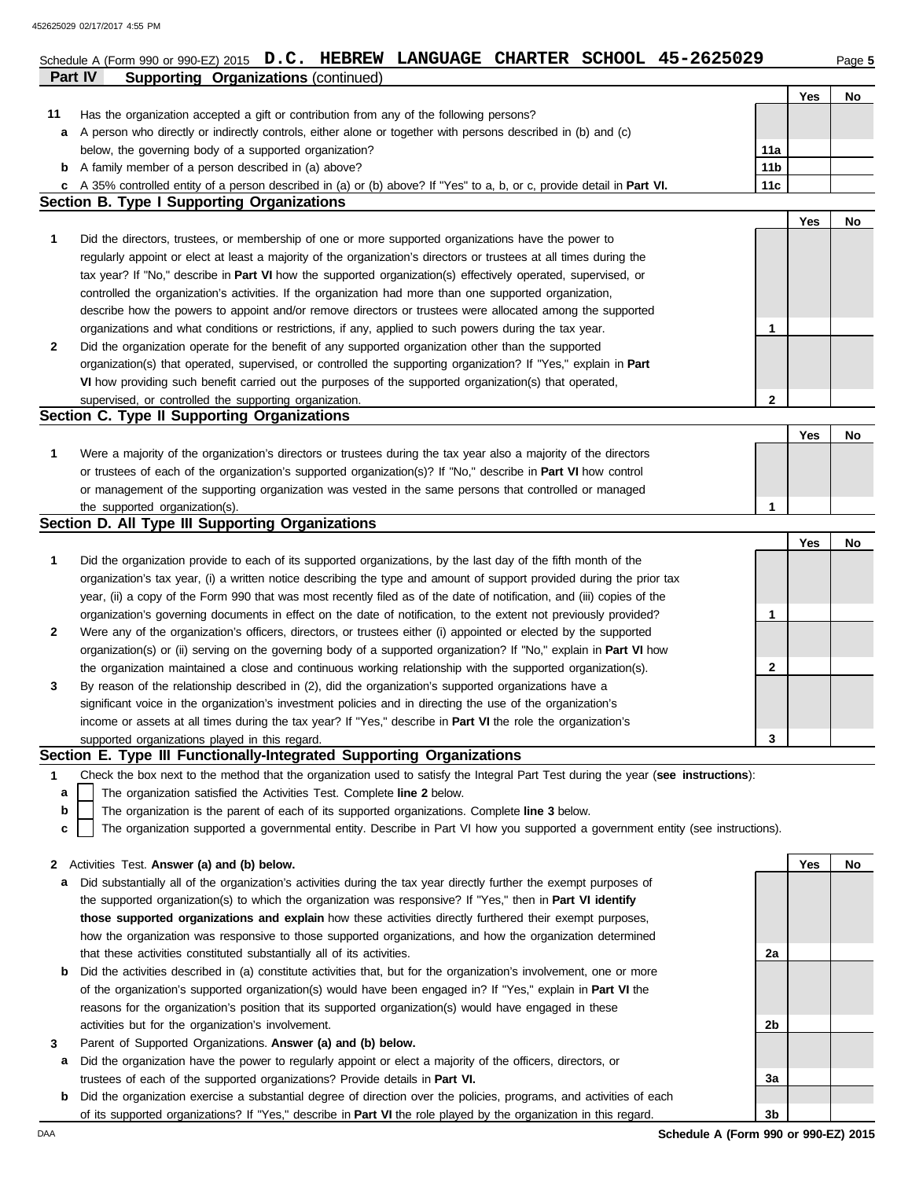| Part IV      | <b>Supporting Organizations (continued)</b>                                                                                       |                 |            |    |
|--------------|-----------------------------------------------------------------------------------------------------------------------------------|-----------------|------------|----|
|              |                                                                                                                                   |                 | Yes        | No |
| 11           | Has the organization accepted a gift or contribution from any of the following persons?                                           |                 |            |    |
| а            | A person who directly or indirectly controls, either alone or together with persons described in (b) and (c)                      |                 |            |    |
|              | below, the governing body of a supported organization?                                                                            | 11a             |            |    |
| b            | A family member of a person described in (a) above?                                                                               | 11 <sub>b</sub> |            |    |
| c            | A 35% controlled entity of a person described in (a) or (b) above? If "Yes" to a, b, or c, provide detail in Part VI.             | 11 <sub>c</sub> |            |    |
|              | <b>Section B. Type I Supporting Organizations</b>                                                                                 |                 |            |    |
|              |                                                                                                                                   |                 | <b>Yes</b> | No |
| 1            | Did the directors, trustees, or membership of one or more supported organizations have the power to                               |                 |            |    |
|              | regularly appoint or elect at least a majority of the organization's directors or trustees at all times during the                |                 |            |    |
|              | tax year? If "No," describe in Part VI how the supported organization(s) effectively operated, supervised, or                     |                 |            |    |
|              | controlled the organization's activities. If the organization had more than one supported organization,                           |                 |            |    |
|              | describe how the powers to appoint and/or remove directors or trustees were allocated among the supported                         |                 |            |    |
|              | organizations and what conditions or restrictions, if any, applied to such powers during the tax year.                            | 1               |            |    |
| 2            | Did the organization operate for the benefit of any supported organization other than the supported                               |                 |            |    |
|              | organization(s) that operated, supervised, or controlled the supporting organization? If "Yes," explain in Part                   |                 |            |    |
|              | VI how providing such benefit carried out the purposes of the supported organization(s) that operated,                            |                 |            |    |
|              | supervised, or controlled the supporting organization.                                                                            | 2               |            |    |
|              | Section C. Type II Supporting Organizations                                                                                       |                 |            |    |
|              |                                                                                                                                   |                 | Yes        |    |
|              |                                                                                                                                   |                 |            | No |
| 1            | Were a majority of the organization's directors or trustees during the tax year also a majority of the directors                  |                 |            |    |
|              | or trustees of each of the organization's supported organization(s)? If "No," describe in Part VI how control                     |                 |            |    |
|              | or management of the supporting organization was vested in the same persons that controlled or managed                            |                 |            |    |
|              | the supported organization(s).                                                                                                    | 1               |            |    |
|              | Section D. All Type III Supporting Organizations                                                                                  |                 |            |    |
|              |                                                                                                                                   |                 | Yes        | No |
| 1            | Did the organization provide to each of its supported organizations, by the last day of the fifth month of the                    |                 |            |    |
|              | organization's tax year, (i) a written notice describing the type and amount of support provided during the prior tax             |                 |            |    |
|              | year, (ii) a copy of the Form 990 that was most recently filed as of the date of notification, and (iii) copies of the            |                 |            |    |
|              | organization's governing documents in effect on the date of notification, to the extent not previously provided?                  | 1               |            |    |
| 2            | Were any of the organization's officers, directors, or trustees either (i) appointed or elected by the supported                  |                 |            |    |
|              | organization(s) or (ii) serving on the governing body of a supported organization? If "No," explain in Part VI how                |                 |            |    |
|              | the organization maintained a close and continuous working relationship with the supported organization(s).                       | 2               |            |    |
| 3            | By reason of the relationship described in (2), did the organization's supported organizations have a                             |                 |            |    |
|              | significant voice in the organization's investment policies and in directing the use of the organization's                        |                 |            |    |
|              | income or assets at all times during the tax year? If "Yes," describe in Part VI the role the organization's                      |                 |            |    |
|              | supported organizations played in this regard.                                                                                    | 3               |            |    |
|              | Section E. Type III Functionally-Integrated Supporting Organizations                                                              |                 |            |    |
| 1            | Check the box next to the method that the organization used to satisfy the Integral Part Test during the year (see instructions): |                 |            |    |
| a            | The organization satisfied the Activities Test. Complete line 2 below.                                                            |                 |            |    |
| b            | The organization is the parent of each of its supported organizations. Complete line 3 below.                                     |                 |            |    |
| C            | The organization supported a governmental entity. Describe in Part VI how you supported a government entity (see instructions).   |                 |            |    |
|              |                                                                                                                                   |                 |            |    |
| $\mathbf{z}$ | Activities Test. Answer (a) and (b) below.                                                                                        |                 | Yes        | No |
| a            | Did substantially all of the organization's activities during the tax year directly further the exempt purposes of                |                 |            |    |
|              | the supported organization(s) to which the organization was responsive? If "Yes," then in Part VI identify                        |                 |            |    |
|              | those supported organizations and explain how these activities directly furthered their exempt purposes,                          |                 |            |    |
|              | how the organization was responsive to those supported organizations, and how the organization determined                         |                 |            |    |
|              | that these activities constituted substantially all of its activities.                                                            | 2a              |            |    |
| b            | Did the activities described in (a) constitute activities that, but for the organization's involvement, one or more               |                 |            |    |
|              | of the organization's supported organization(s) would have been engaged in? If "Yes," explain in Part VI the                      |                 |            |    |
|              | reasons for the organization's position that its supported organization(s) would have engaged in these                            |                 |            |    |
|              | activities but for the organization's involvement.                                                                                | 2b              |            |    |
| 3            | Parent of Supported Organizations. Answer (a) and (b) below.                                                                      |                 |            |    |
| а            | Did the organization have the power to regularly appoint or elect a majority of the officers, directors, or                       |                 |            |    |
|              | trustees of each of the supported organizations? Provide details in Part VI.                                                      | За              |            |    |
| b            | Did the organization exercise a substantial degree of direction over the policies, programs, and activities of each               |                 |            |    |
|              | of its supported organizations? If "Yes," describe in Part VI the role played by the organization in this regard.                 | 3b              |            |    |
| DAA          | Schedule A (Form 990 or 990-EZ) 2015                                                                                              |                 |            |    |
|              |                                                                                                                                   |                 |            |    |

Schedule A (Form 990 or 990-EZ) 2015 **D.C. HEBREW LANGUAGE CHARTER SCHOOL 45-2625029** Page 5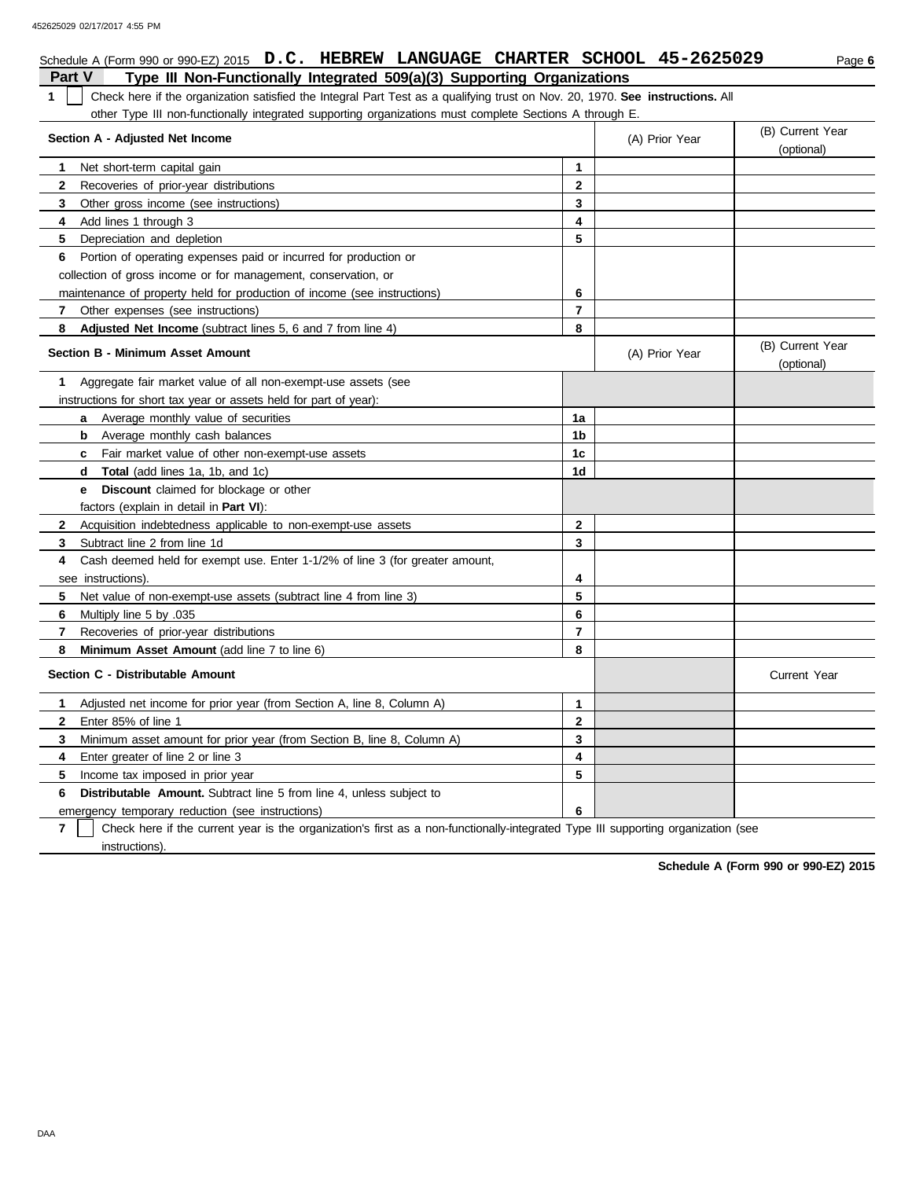**Section A - Adjusted Net Income**

|                                                                                                                                        |                |                | (Optiorial)                    |
|----------------------------------------------------------------------------------------------------------------------------------------|----------------|----------------|--------------------------------|
| Net short-term capital gain<br>1.                                                                                                      | 1              |                |                                |
| Recoveries of prior-year distributions<br>$\mathbf{2}$                                                                                 | $\mathbf{2}$   |                |                                |
| 3<br>Other gross income (see instructions)                                                                                             | 3              |                |                                |
| Add lines 1 through 3<br>4                                                                                                             | 4              |                |                                |
| 5<br>Depreciation and depletion                                                                                                        | 5              |                |                                |
| Portion of operating expenses paid or incurred for production or<br>6                                                                  |                |                |                                |
| collection of gross income or for management, conservation, or                                                                         |                |                |                                |
| maintenance of property held for production of income (see instructions)                                                               | 6              |                |                                |
| Other expenses (see instructions)<br>$\mathbf{7}$                                                                                      | 7              |                |                                |
| Adjusted Net Income (subtract lines 5, 6 and 7 from line 4)<br>8                                                                       | 8              |                |                                |
| <b>Section B - Minimum Asset Amount</b>                                                                                                |                | (A) Prior Year | (B) Current Year<br>(optional) |
| Aggregate fair market value of all non-exempt-use assets (see<br>1.                                                                    |                |                |                                |
| instructions for short tax year or assets held for part of year):                                                                      |                |                |                                |
| <b>a</b> Average monthly value of securities                                                                                           | 1a             |                |                                |
| Average monthly cash balances<br>b                                                                                                     | 1b             |                |                                |
| Fair market value of other non-exempt-use assets<br>c                                                                                  | 1 <sub>c</sub> |                |                                |
| <b>Total</b> (add lines 1a, 1b, and 1c)<br>d                                                                                           | 1d             |                |                                |
| Discount claimed for blockage or other<br>е                                                                                            |                |                |                                |
| factors (explain in detail in Part VI):                                                                                                |                |                |                                |
| Acquisition indebtedness applicable to non-exempt-use assets<br>$\mathbf{2}$                                                           | $\mathbf{2}$   |                |                                |
| Subtract line 2 from line 1d<br>3                                                                                                      | 3              |                |                                |
| Cash deemed held for exempt use. Enter 1-1/2% of line 3 (for greater amount,<br>4                                                      |                |                |                                |
| see instructions).                                                                                                                     | 4              |                |                                |
| Net value of non-exempt-use assets (subtract line 4 from line 3)<br>5.                                                                 | 5              |                |                                |
| 6<br>Multiply line 5 by .035                                                                                                           | 6              |                |                                |
| 7<br>Recoveries of prior-year distributions                                                                                            | $\overline{7}$ |                |                                |
| 8<br>Minimum Asset Amount (add line 7 to line 6)                                                                                       | 8              |                |                                |
| Section C - Distributable Amount                                                                                                       |                |                | <b>Current Year</b>            |
| Adjusted net income for prior year (from Section A, line 8, Column A)<br>$\mathbf 1$                                                   | $\mathbf{1}$   |                |                                |
| Enter 85% of line 1<br>$\mathbf{2}$                                                                                                    | $\mathbf 2$    |                |                                |
| 3<br>Minimum asset amount for prior year (from Section B, line 8, Column A)                                                            | 3              |                |                                |
| Enter greater of line 2 or line 3<br>4                                                                                                 | 4              |                |                                |
| 5<br>Income tax imposed in prior year                                                                                                  | 5              |                |                                |
| 6<br><b>Distributable Amount.</b> Subtract line 5 from line 4, unless subject to                                                       |                |                |                                |
| emergency temporary reduction (see instructions)                                                                                       | 6              |                |                                |
| 7<br>Check here if the current year is the organization's first as a non-functionally-integrated Type III supporting organization (see |                |                |                                |

instructions).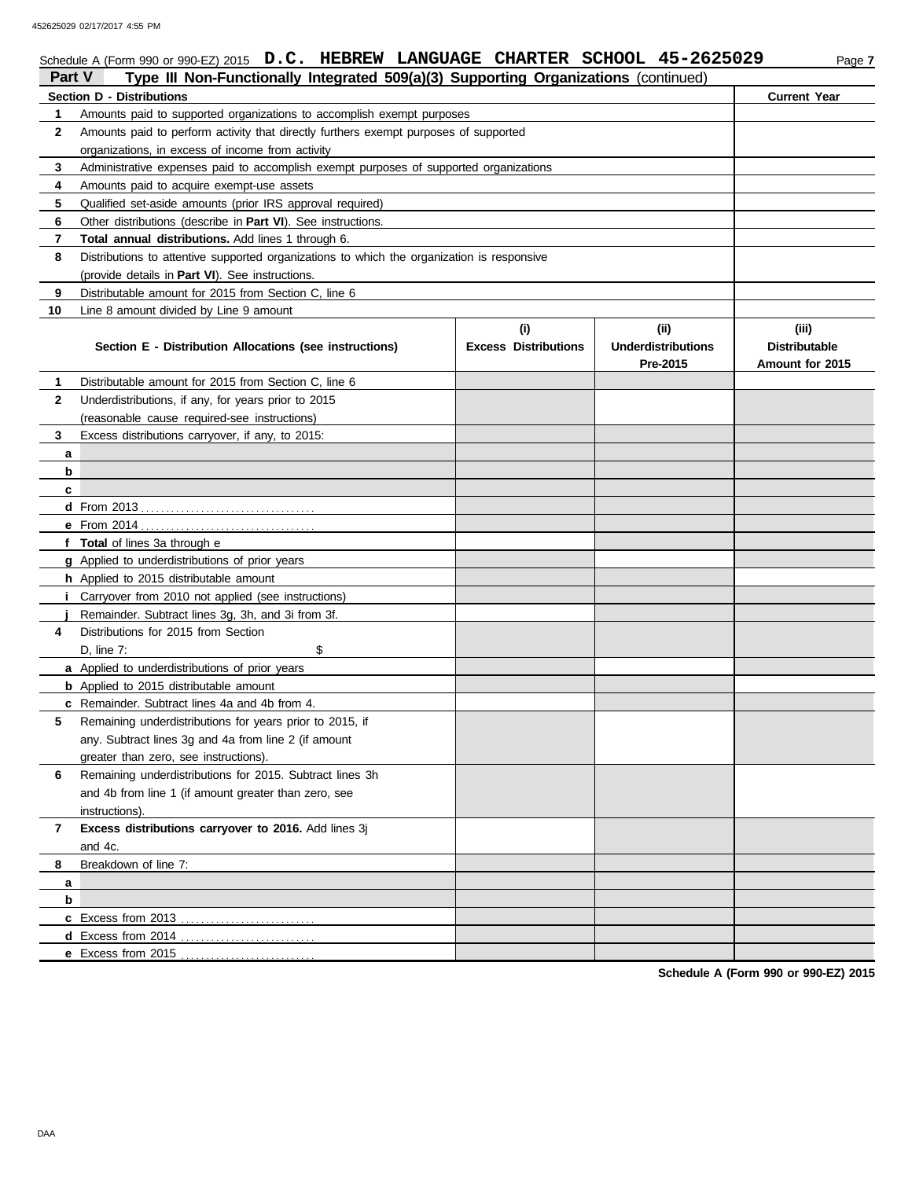452625029 02/17/2017 4:55 PM

# Schedule A (Form 990 or 990-EZ) 2015 **D.C. HEBREW LANGUAGE CHARTER SCHOOL 45-2625029** Page 7

| Part V       | Type III Non-Functionally Integrated 509(a)(3) Supporting Organizations (continued)        |                             |                           |                      |  |  |  |  |  |
|--------------|--------------------------------------------------------------------------------------------|-----------------------------|---------------------------|----------------------|--|--|--|--|--|
|              | <b>Section D - Distributions</b>                                                           |                             |                           |                      |  |  |  |  |  |
| 1            | Amounts paid to supported organizations to accomplish exempt purposes                      |                             |                           |                      |  |  |  |  |  |
| $\mathbf{2}$ | Amounts paid to perform activity that directly furthers exempt purposes of supported       |                             |                           |                      |  |  |  |  |  |
|              | organizations, in excess of income from activity                                           |                             |                           |                      |  |  |  |  |  |
| 3            | Administrative expenses paid to accomplish exempt purposes of supported organizations      |                             |                           |                      |  |  |  |  |  |
| 4            | Amounts paid to acquire exempt-use assets                                                  |                             |                           |                      |  |  |  |  |  |
| 5            | Qualified set-aside amounts (prior IRS approval required)                                  |                             |                           |                      |  |  |  |  |  |
| 6            | Other distributions (describe in Part VI). See instructions.                               |                             |                           |                      |  |  |  |  |  |
| 7            | Total annual distributions. Add lines 1 through 6.                                         |                             |                           |                      |  |  |  |  |  |
| 8            | Distributions to attentive supported organizations to which the organization is responsive |                             |                           |                      |  |  |  |  |  |
|              | (provide details in Part VI). See instructions.                                            |                             |                           |                      |  |  |  |  |  |
| 9            | Distributable amount for 2015 from Section C, line 6                                       |                             |                           |                      |  |  |  |  |  |
| 10           | Line 8 amount divided by Line 9 amount                                                     |                             |                           |                      |  |  |  |  |  |
|              |                                                                                            | (i)                         | (iii)                     | (iii)                |  |  |  |  |  |
|              | Section E - Distribution Allocations (see instructions)                                    | <b>Excess Distributions</b> | <b>Underdistributions</b> | <b>Distributable</b> |  |  |  |  |  |
|              |                                                                                            |                             | Pre-2015                  | Amount for 2015      |  |  |  |  |  |
| 1            | Distributable amount for 2015 from Section C, line 6                                       |                             |                           |                      |  |  |  |  |  |
| $\mathbf{2}$ | Underdistributions, if any, for years prior to 2015                                        |                             |                           |                      |  |  |  |  |  |
|              | (reasonable cause required-see instructions)                                               |                             |                           |                      |  |  |  |  |  |
| 3            | Excess distributions carryover, if any, to 2015:                                           |                             |                           |                      |  |  |  |  |  |
| a            |                                                                                            |                             |                           |                      |  |  |  |  |  |
| b            |                                                                                            |                             |                           |                      |  |  |  |  |  |
| c            |                                                                                            |                             |                           |                      |  |  |  |  |  |
|              |                                                                                            |                             |                           |                      |  |  |  |  |  |
|              |                                                                                            |                             |                           |                      |  |  |  |  |  |
|              | f Total of lines 3a through e                                                              |                             |                           |                      |  |  |  |  |  |
|              | g Applied to underdistributions of prior years                                             |                             |                           |                      |  |  |  |  |  |
|              | h Applied to 2015 distributable amount                                                     |                             |                           |                      |  |  |  |  |  |
|              | <i>i</i> Carryover from 2010 not applied (see instructions)                                |                             |                           |                      |  |  |  |  |  |
|              | Remainder. Subtract lines 3g, 3h, and 3i from 3f.                                          |                             |                           |                      |  |  |  |  |  |
| 4            | Distributions for 2015 from Section                                                        |                             |                           |                      |  |  |  |  |  |
|              | \$<br>D, line 7:                                                                           |                             |                           |                      |  |  |  |  |  |
|              | a Applied to underdistributions of prior years                                             |                             |                           |                      |  |  |  |  |  |
|              | <b>b</b> Applied to 2015 distributable amount                                              |                             |                           |                      |  |  |  |  |  |
|              | c Remainder. Subtract lines 4a and 4b from 4.                                              |                             |                           |                      |  |  |  |  |  |
| 5            | Remaining underdistributions for years prior to 2015, if                                   |                             |                           |                      |  |  |  |  |  |
|              | any. Subtract lines 3g and 4a from line 2 (if amount                                       |                             |                           |                      |  |  |  |  |  |
|              | greater than zero, see instructions).                                                      |                             |                           |                      |  |  |  |  |  |
| 6            | Remaining underdistributions for 2015. Subtract lines 3h                                   |                             |                           |                      |  |  |  |  |  |
|              | and 4b from line 1 (if amount greater than zero, see                                       |                             |                           |                      |  |  |  |  |  |
|              | instructions).                                                                             |                             |                           |                      |  |  |  |  |  |
| 7            | Excess distributions carryover to 2016. Add lines 3j                                       |                             |                           |                      |  |  |  |  |  |
|              | and 4c.                                                                                    |                             |                           |                      |  |  |  |  |  |
| 8            | Breakdown of line 7:                                                                       |                             |                           |                      |  |  |  |  |  |
| a            |                                                                                            |                             |                           |                      |  |  |  |  |  |
| b            |                                                                                            |                             |                           |                      |  |  |  |  |  |
|              |                                                                                            |                             |                           |                      |  |  |  |  |  |
|              |                                                                                            |                             |                           |                      |  |  |  |  |  |
|              |                                                                                            |                             |                           |                      |  |  |  |  |  |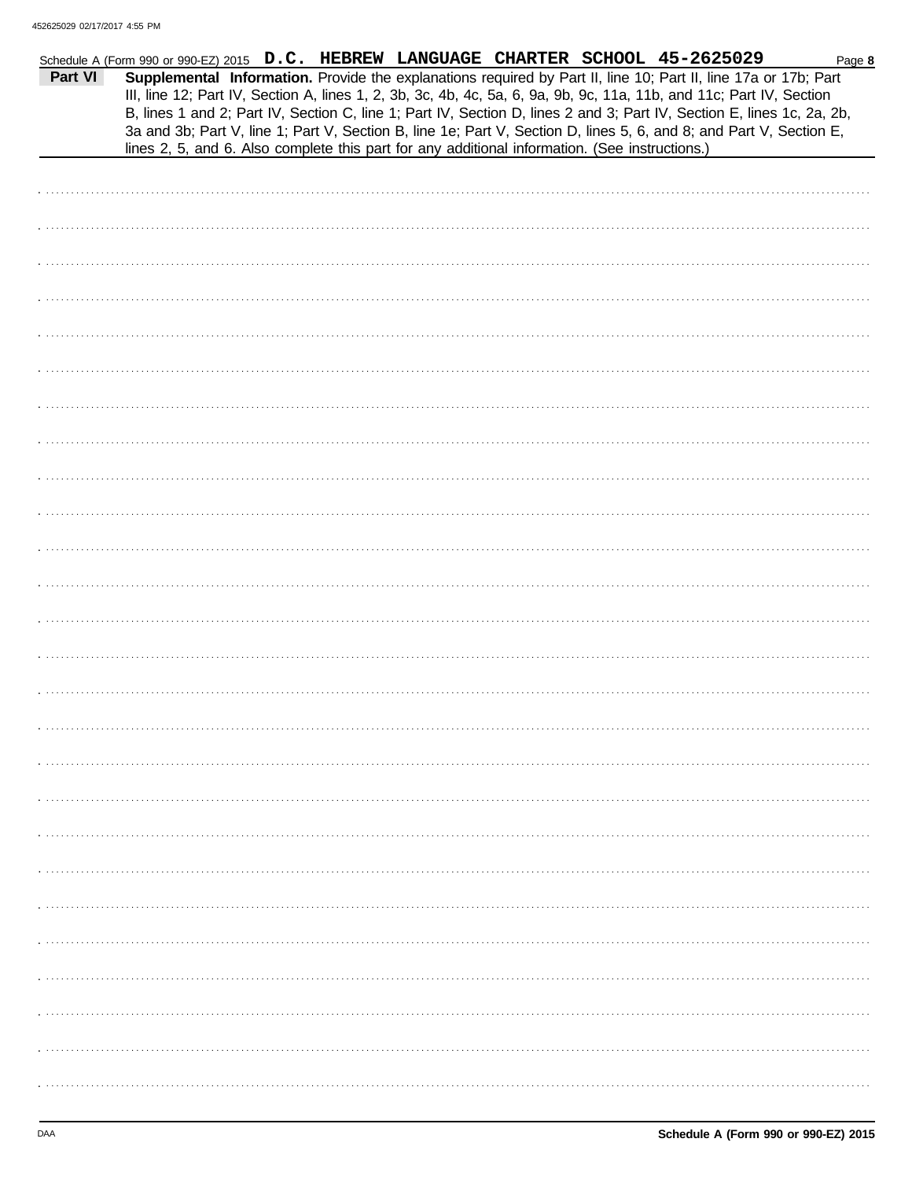|         | Schedule A (Form 990 or 990-EZ) 2015 D.C. HEBREW LANGUAGE CHARTER SCHOOL 45-2625029                                                                                                                                                                                                                                                                                                                                                                                                                                                                                                        |  | Page 8 |
|---------|--------------------------------------------------------------------------------------------------------------------------------------------------------------------------------------------------------------------------------------------------------------------------------------------------------------------------------------------------------------------------------------------------------------------------------------------------------------------------------------------------------------------------------------------------------------------------------------------|--|--------|
| Part VI | Supplemental Information. Provide the explanations required by Part II, line 10; Part II, line 17a or 17b; Part<br>III, line 12; Part IV, Section A, lines 1, 2, 3b, 3c, 4b, 4c, 5a, 6, 9a, 9b, 9c, 11a, 11b, and 11c; Part IV, Section<br>B, lines 1 and 2; Part IV, Section C, line 1; Part IV, Section D, lines 2 and 3; Part IV, Section E, lines 1c, 2a, 2b,<br>3a and 3b; Part V, line 1; Part V, Section B, line 1e; Part V, Section D, lines 5, 6, and 8; and Part V, Section E,<br>lines 2, 5, and 6. Also complete this part for any additional information. (See instructions.) |  |        |
|         |                                                                                                                                                                                                                                                                                                                                                                                                                                                                                                                                                                                            |  |        |
|         |                                                                                                                                                                                                                                                                                                                                                                                                                                                                                                                                                                                            |  |        |
|         |                                                                                                                                                                                                                                                                                                                                                                                                                                                                                                                                                                                            |  |        |
|         |                                                                                                                                                                                                                                                                                                                                                                                                                                                                                                                                                                                            |  |        |
|         |                                                                                                                                                                                                                                                                                                                                                                                                                                                                                                                                                                                            |  |        |
|         |                                                                                                                                                                                                                                                                                                                                                                                                                                                                                                                                                                                            |  |        |
|         |                                                                                                                                                                                                                                                                                                                                                                                                                                                                                                                                                                                            |  |        |
|         |                                                                                                                                                                                                                                                                                                                                                                                                                                                                                                                                                                                            |  |        |
|         |                                                                                                                                                                                                                                                                                                                                                                                                                                                                                                                                                                                            |  |        |
|         |                                                                                                                                                                                                                                                                                                                                                                                                                                                                                                                                                                                            |  |        |
|         |                                                                                                                                                                                                                                                                                                                                                                                                                                                                                                                                                                                            |  |        |
|         |                                                                                                                                                                                                                                                                                                                                                                                                                                                                                                                                                                                            |  |        |
|         |                                                                                                                                                                                                                                                                                                                                                                                                                                                                                                                                                                                            |  |        |
|         |                                                                                                                                                                                                                                                                                                                                                                                                                                                                                                                                                                                            |  |        |
|         |                                                                                                                                                                                                                                                                                                                                                                                                                                                                                                                                                                                            |  |        |
|         |                                                                                                                                                                                                                                                                                                                                                                                                                                                                                                                                                                                            |  |        |
|         |                                                                                                                                                                                                                                                                                                                                                                                                                                                                                                                                                                                            |  |        |
|         |                                                                                                                                                                                                                                                                                                                                                                                                                                                                                                                                                                                            |  |        |
|         |                                                                                                                                                                                                                                                                                                                                                                                                                                                                                                                                                                                            |  |        |
|         |                                                                                                                                                                                                                                                                                                                                                                                                                                                                                                                                                                                            |  |        |
|         |                                                                                                                                                                                                                                                                                                                                                                                                                                                                                                                                                                                            |  |        |
|         |                                                                                                                                                                                                                                                                                                                                                                                                                                                                                                                                                                                            |  |        |
|         |                                                                                                                                                                                                                                                                                                                                                                                                                                                                                                                                                                                            |  |        |
|         |                                                                                                                                                                                                                                                                                                                                                                                                                                                                                                                                                                                            |  |        |
|         |                                                                                                                                                                                                                                                                                                                                                                                                                                                                                                                                                                                            |  |        |
|         |                                                                                                                                                                                                                                                                                                                                                                                                                                                                                                                                                                                            |  |        |
|         |                                                                                                                                                                                                                                                                                                                                                                                                                                                                                                                                                                                            |  |        |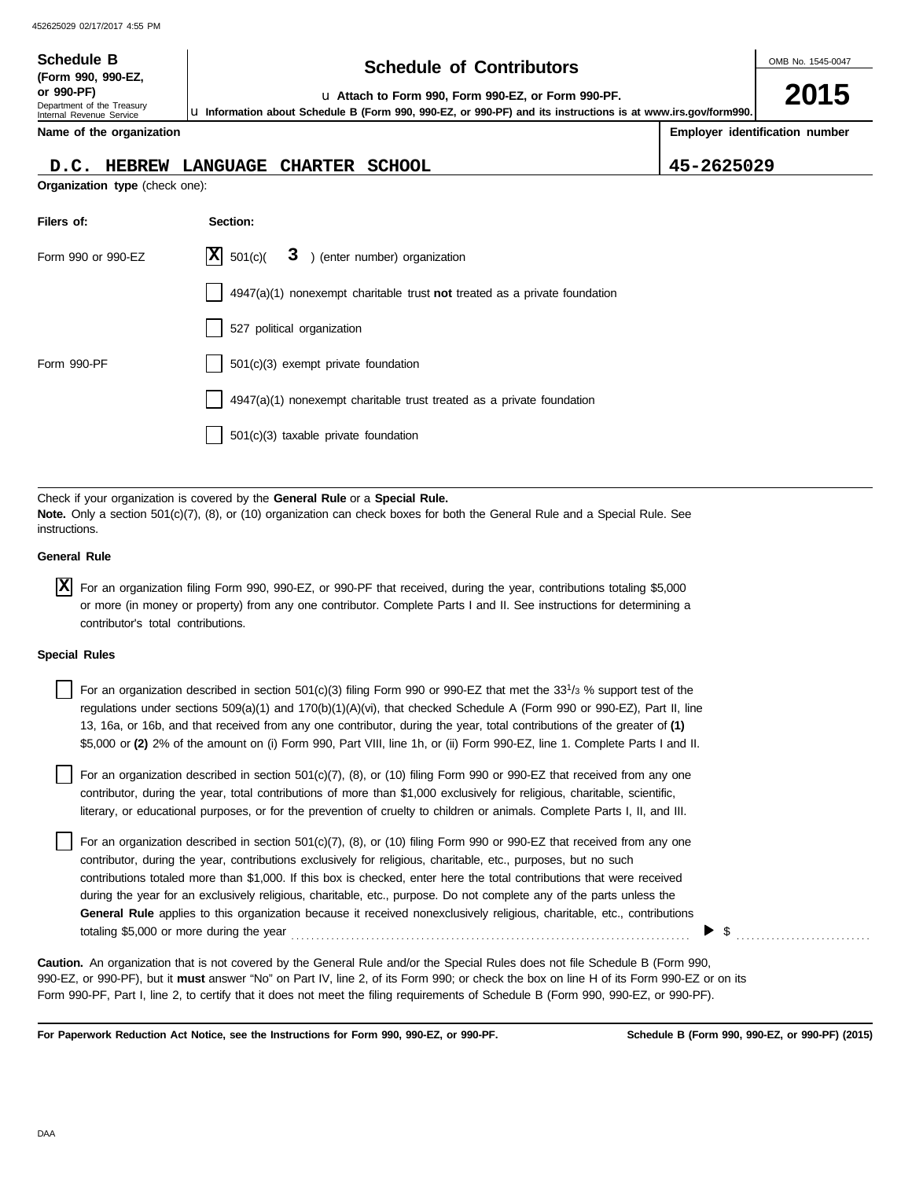| <b>Schedule B</b><br>(Form 990, 990-EZ,<br>or 990-PF)<br>Department of the Treasury<br>Internal Revenue Service | <b>Schedule of Contributors</b><br>u Attach to Form 990, Form 990-EZ, or Form 990-PF.<br>La Information about Schedule B (Form 990, 990-EZ, or 990-PF) and its instructions is at www.irs.gov/form990. |                                |  |  |  |  |
|-----------------------------------------------------------------------------------------------------------------|--------------------------------------------------------------------------------------------------------------------------------------------------------------------------------------------------------|--------------------------------|--|--|--|--|
| Name of the organization                                                                                        |                                                                                                                                                                                                        | Employer identification number |  |  |  |  |
| HEBREW LANGUAGE<br>D.C.                                                                                         | <b>CHARTER</b><br><b>SCHOOL</b>                                                                                                                                                                        | 45-2625029                     |  |  |  |  |
| Organization type (check one):                                                                                  |                                                                                                                                                                                                        |                                |  |  |  |  |
| Filers of:                                                                                                      | Section:                                                                                                                                                                                               |                                |  |  |  |  |
| Form 990 or 990-EZ                                                                                              | x <br>3<br>) (enter number) organization<br>501(c)                                                                                                                                                     |                                |  |  |  |  |
|                                                                                                                 | $4947(a)(1)$ nonexempt charitable trust not treated as a private foundation                                                                                                                            |                                |  |  |  |  |
|                                                                                                                 | 527 political organization                                                                                                                                                                             |                                |  |  |  |  |
| Form 990-PF                                                                                                     | 501(c)(3) exempt private foundation                                                                                                                                                                    |                                |  |  |  |  |
|                                                                                                                 | 4947(a)(1) nonexempt charitable trust treated as a private foundation                                                                                                                                  |                                |  |  |  |  |
|                                                                                                                 | 501(c)(3) taxable private foundation                                                                                                                                                                   |                                |  |  |  |  |

Check if your organization is covered by the **General Rule** or a **Special Rule. Note.** Only a section 501(c)(7), (8), or (10) organization can check boxes for both the General Rule and a Special Rule. See instructions.

#### **General Rule**

For an organization filing Form 990, 990-EZ, or 990-PF that received, during the year, contributions totaling \$5,000 **X** or more (in money or property) from any one contributor. Complete Parts I and II. See instructions for determining a contributor's total contributions.

#### **Special Rules**

| For an organization described in section 501(c)(3) filing Form 990 or 990-EZ that met the 33 <sup>1</sup> /3 % support test of the |
|------------------------------------------------------------------------------------------------------------------------------------|
| regulations under sections $509(a)(1)$ and $170(b)(1)(A)(vi)$ , that checked Schedule A (Form 990 or 990-EZ), Part II, line        |
| 13, 16a, or 16b, and that received from any one contributor, during the year, total contributions of the greater of (1)            |
| \$5,000 or (2) 2% of the amount on (i) Form 990, Part VIII, line 1h, or (ii) Form 990-EZ, line 1. Complete Parts I and II.         |

literary, or educational purposes, or for the prevention of cruelty to children or animals. Complete Parts I, II, and III. For an organization described in section 501(c)(7), (8), or (10) filing Form 990 or 990-EZ that received from any one contributor, during the year, total contributions of more than \$1,000 exclusively for religious, charitable, scientific,

For an organization described in section 501(c)(7), (8), or (10) filing Form 990 or 990-EZ that received from any one contributor, during the year, contributions exclusively for religious, charitable, etc., purposes, but no such contributions totaled more than \$1,000. If this box is checked, enter here the total contributions that were received during the year for an exclusively religious, charitable, etc., purpose. Do not complete any of the parts unless the **General Rule** applies to this organization because it received nonexclusively religious, charitable, etc., contributions totaling \$5,000 or more during the year . . . . . . . . . . . . . . . . . . . . . . . . . . . . . . . . . . . . . . . . . . . . . . . . . . . . . . . . . . . . . . . . . . . . . . . . . . . . . . . .

990-EZ, or 990-PF), but it **must** answer "No" on Part IV, line 2, of its Form 990; or check the box on line H of its Form 990-EZ or on its Form 990-PF, Part I, line 2, to certify that it does not meet the filing requirements of Schedule B (Form 990, 990-EZ, or 990-PF). **Caution.** An organization that is not covered by the General Rule and/or the Special Rules does not file Schedule B (Form 990,

**For Paperwork Reduction Act Notice, see the Instructions for Form 990, 990-EZ, or 990-PF.**

\$ . . . . . . . . . . . . . . . . . . . . . . . . . . .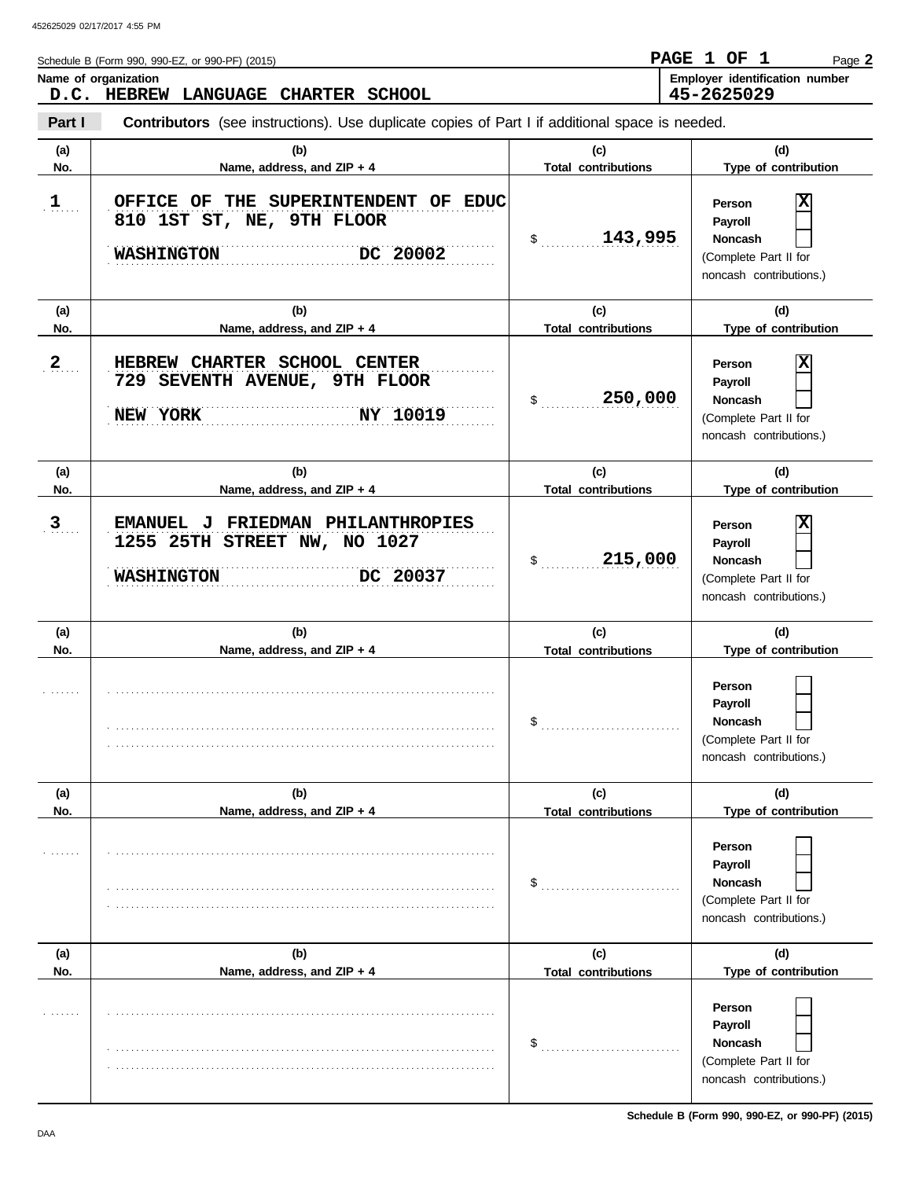| Schedule B (Form 990, 990-EZ, or 990-PF) (2015) | PAGE 1 OF  |  | Page 2                                |
|-------------------------------------------------|------------|--|---------------------------------------|
| Name of organization                            |            |  | <b>Employer identification number</b> |
| D.C. HEBREW LANGUAGE CHARTER SCHOOL             | 45-2625029 |  |                                       |

**Part I Contributors** (see instructions). Use duplicate copies of Part I if additional space is needed.

| (a) | (b)                                                                                                | (c)                              | (d)                                                                                          |
|-----|----------------------------------------------------------------------------------------------------|----------------------------------|----------------------------------------------------------------------------------------------|
| No. | Name, address, and ZIP + 4                                                                         | <b>Total contributions</b>       | Type of contribution                                                                         |
| 1   | OFFICE OF THE SUPERINTENDENT OF EDUC<br>810 1ST ST, NE, 9TH FLOOR<br>DC 20002<br><b>WASHINGTON</b> | 143,995<br>$\frac{1}{2}$         | х<br>Person<br>Payroll<br><b>Noncash</b><br>(Complete Part II for<br>noncash contributions.) |
| (a) | (b)                                                                                                | (c)                              | (d)                                                                                          |
| No. | Name, address, and ZIP + 4                                                                         | <b>Total contributions</b>       | Type of contribution                                                                         |
| 2   | HEBREW CHARTER SCHOOL CENTER<br>729 SEVENTH AVENUE, 9TH FLOOR<br>NEW YORK<br>NY 10019              | 250,000<br>\$                    | х<br>Person<br>Payroll<br><b>Noncash</b><br>(Complete Part II for<br>noncash contributions.) |
| (a) | (b)                                                                                                | (c)                              | (d)                                                                                          |
| No. | Name, address, and ZIP + 4                                                                         | <b>Total contributions</b>       | Type of contribution                                                                         |
| 3   | EMANUEL J FRIEDMAN PHILANTHROPIES<br>1255 25TH STREET NW, NO 1027<br>DC 20037<br><b>WASHINGTON</b> | 215,000<br>\$                    | х<br>Person<br>Payroll<br><b>Noncash</b><br>(Complete Part II for<br>noncash contributions.) |
|     |                                                                                                    |                                  |                                                                                              |
| (a) | (b)                                                                                                | (c)                              | (d)                                                                                          |
| No. | Name, address, and ZIP + 4                                                                         | <b>Total contributions</b>       | Type of contribution                                                                         |
|     |                                                                                                    | $\updownarrow$                   | Person<br>Payroll<br>Noncash<br>(Complete Part II for<br>noncash contributions.)             |
| (a) | (b)                                                                                                | (c)                              | (d)                                                                                          |
| No. | Name, address, and ZIP + 4                                                                         |                                  | Type of contribution                                                                         |
| .   |                                                                                                    | <b>Total contributions</b><br>\$ | Person<br>Payroll<br>Noncash<br>(Complete Part II for<br>noncash contributions.)             |
| (a) | (b)                                                                                                | (c)                              | (d)                                                                                          |
| No. | Name, address, and ZIP + 4                                                                         | <b>Total contributions</b>       | Type of contribution                                                                         |

**Schedule B (Form 990, 990-EZ, or 990-PF) (2015)**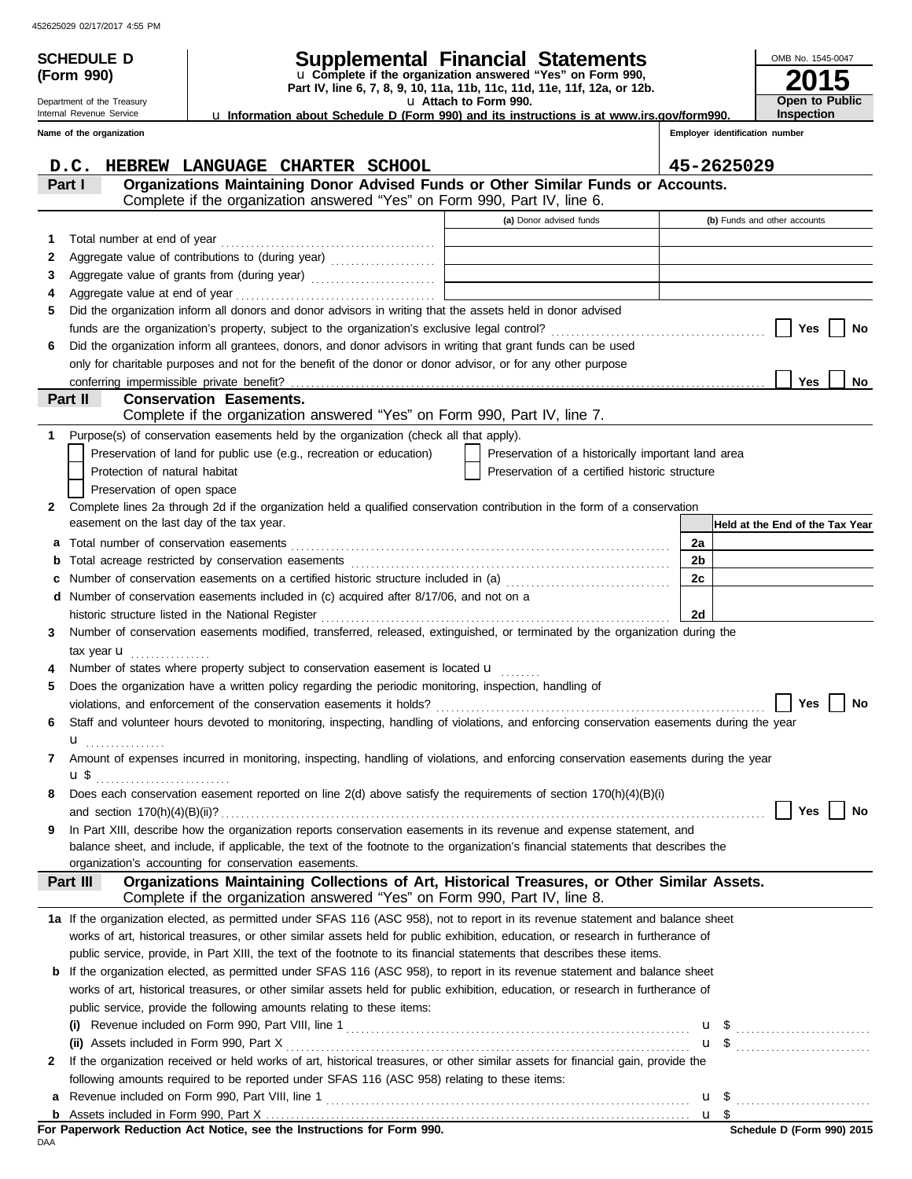**(Form 990)**

Department of the Treasury Internal Revenue Service

# **SCHEDULE D Supplemental Financial Statements**

**Part IV, line 6, 7, 8, 9, 10, 11a, 11b, 11c, 11d, 11e, 11f, 12a, or 12b.** u **Complete if the organization answered "Yes" on Form 990,**

u **Attach to Form 990.**  u **Information about Schedule D (Form 990) and its instructions is at www.irs.gov/form990.**

**Inspection**

**2015**

**Open to Public**

OMB No. 1545-0047

|              | Name of the organization                                                                                                                                                              |                                                    | Employer identification number |                                                      |
|--------------|---------------------------------------------------------------------------------------------------------------------------------------------------------------------------------------|----------------------------------------------------|--------------------------------|------------------------------------------------------|
|              | D.C.<br>HEBREW LANGUAGE CHARTER SCHOOL                                                                                                                                                |                                                    | 45-2625029                     |                                                      |
|              | Organizations Maintaining Donor Advised Funds or Other Similar Funds or Accounts.<br>Part I<br>Complete if the organization answered "Yes" on Form 990, Part IV, line 6.              |                                                    |                                |                                                      |
|              |                                                                                                                                                                                       | (a) Donor advised funds                            |                                | (b) Funds and other accounts                         |
| 1            |                                                                                                                                                                                       |                                                    |                                |                                                      |
| 2            | Aggregate value of contributions to (during year)                                                                                                                                     |                                                    |                                |                                                      |
| 3            |                                                                                                                                                                                       |                                                    |                                |                                                      |
| 4            |                                                                                                                                                                                       |                                                    |                                |                                                      |
| 5            | Did the organization inform all donors and donor advisors in writing that the assets held in donor advised                                                                            |                                                    |                                |                                                      |
|              |                                                                                                                                                                                       |                                                    |                                | Yes<br>No                                            |
| 6            | Did the organization inform all grantees, donors, and donor advisors in writing that grant funds can be used                                                                          |                                                    |                                |                                                      |
|              | only for charitable purposes and not for the benefit of the donor or donor advisor, or for any other purpose                                                                          |                                                    |                                |                                                      |
|              |                                                                                                                                                                                       |                                                    |                                | Yes<br>No                                            |
|              | Part II<br><b>Conservation Easements.</b><br>Complete if the organization answered "Yes" on Form 990, Part IV, line 7.                                                                |                                                    |                                |                                                      |
| 1            | Purpose(s) of conservation easements held by the organization (check all that apply).                                                                                                 |                                                    |                                |                                                      |
|              | Preservation of land for public use (e.g., recreation or education)                                                                                                                   | Preservation of a historically important land area |                                |                                                      |
|              | Protection of natural habitat                                                                                                                                                         | Preservation of a certified historic structure     |                                |                                                      |
|              | Preservation of open space                                                                                                                                                            |                                                    |                                |                                                      |
| $\mathbf{2}$ | Complete lines 2a through 2d if the organization held a qualified conservation contribution in the form of a conservation                                                             |                                                    |                                |                                                      |
|              | easement on the last day of the tax year.                                                                                                                                             |                                                    |                                | Held at the End of the Tax Year                      |
| a            |                                                                                                                                                                                       |                                                    | 2a                             |                                                      |
| b            |                                                                                                                                                                                       |                                                    | 2b                             |                                                      |
|              | Number of conservation easements on a certified historic structure included in (a) [[[[[[[[[[[[[[[[[[[[[[[[[]]]]]]]                                                                   |                                                    | 2c                             |                                                      |
| d            | Number of conservation easements included in (c) acquired after 8/17/06, and not on a                                                                                                 |                                                    | 2d                             |                                                      |
| 3            | Number of conservation easements modified, transferred, released, extinguished, or terminated by the organization during the                                                          |                                                    |                                |                                                      |
|              | tax year $\mathbf u$                                                                                                                                                                  |                                                    |                                |                                                      |
|              | Number of states where property subject to conservation easement is located $\mathbf u$                                                                                               |                                                    |                                |                                                      |
| 5            | Does the organization have a written policy regarding the periodic monitoring, inspection, handling of                                                                                |                                                    |                                |                                                      |
|              |                                                                                                                                                                                       |                                                    |                                | Yes<br>No                                            |
| 6            | Staff and volunteer hours devoted to monitoring, inspecting, handling of violations, and enforcing conservation easements during the year                                             |                                                    |                                |                                                      |
|              |                                                                                                                                                                                       |                                                    |                                |                                                      |
| 7            | Amount of expenses incurred in monitoring, inspecting, handling of violations, and enforcing conservation easements during the year                                                   |                                                    |                                |                                                      |
|              | u\$                                                                                                                                                                                   |                                                    |                                |                                                      |
|              | Does each conservation easement reported on line $2(d)$ above satisfy the requirements of section $170(h)(4)(B)(i)$                                                                   |                                                    |                                |                                                      |
|              |                                                                                                                                                                                       |                                                    |                                | No<br>Yes                                            |
| 9            | In Part XIII, describe how the organization reports conservation easements in its revenue and expense statement, and                                                                  |                                                    |                                |                                                      |
|              | balance sheet, and include, if applicable, the text of the footnote to the organization's financial statements that describes the                                                     |                                                    |                                |                                                      |
|              | organization's accounting for conservation easements.                                                                                                                                 |                                                    |                                |                                                      |
|              | Organizations Maintaining Collections of Art, Historical Treasures, or Other Similar Assets.<br>Part III<br>Complete if the organization answered "Yes" on Form 990, Part IV, line 8. |                                                    |                                |                                                      |
|              | 1a If the organization elected, as permitted under SFAS 116 (ASC 958), not to report in its revenue statement and balance sheet                                                       |                                                    |                                |                                                      |
|              | works of art, historical treasures, or other similar assets held for public exhibition, education, or research in furtherance of                                                      |                                                    |                                |                                                      |
|              | public service, provide, in Part XIII, the text of the footnote to its financial statements that describes these items.                                                               |                                                    |                                |                                                      |
|              | <b>b</b> If the organization elected, as permitted under SFAS 116 (ASC 958), to report in its revenue statement and balance sheet                                                     |                                                    |                                |                                                      |
|              | works of art, historical treasures, or other similar assets held for public exhibition, education, or research in furtherance of                                                      |                                                    |                                |                                                      |
|              | public service, provide the following amounts relating to these items:                                                                                                                |                                                    |                                |                                                      |
|              |                                                                                                                                                                                       |                                                    |                                |                                                      |
|              |                                                                                                                                                                                       |                                                    |                                | $\mathbf{u}$ \$                                      |
| $\mathbf{2}$ | If the organization received or held works of art, historical treasures, or other similar assets for financial gain, provide the                                                      |                                                    |                                |                                                      |
|              | following amounts required to be reported under SFAS 116 (ASC 958) relating to these items:                                                                                           |                                                    |                                |                                                      |
| а            |                                                                                                                                                                                       |                                                    | u \$                           | <u> 1986 - Johann Stoff, Amerikaansk politiker (</u> |
|              |                                                                                                                                                                                       |                                                    |                                |                                                      |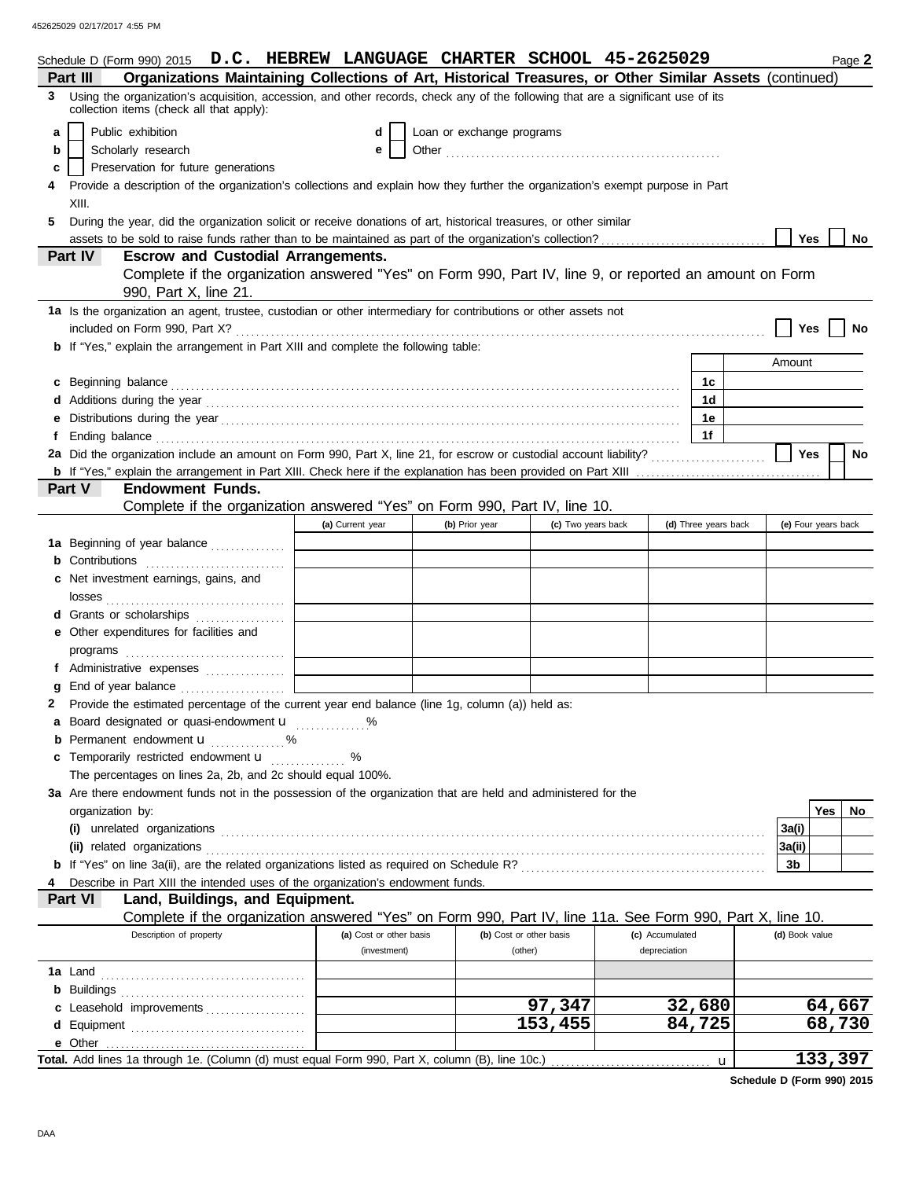| Schedule D (Form 990) 2015 D.C. HEBREW LANGUAGE CHARTER SCHOOL 45-2625029                                                                                                      |                                                                                                                                                                                                                                         |                           |                    |                      | Page 2              |  |  |  |  |  |
|--------------------------------------------------------------------------------------------------------------------------------------------------------------------------------|-----------------------------------------------------------------------------------------------------------------------------------------------------------------------------------------------------------------------------------------|---------------------------|--------------------|----------------------|---------------------|--|--|--|--|--|
| Organizations Maintaining Collections of Art, Historical Treasures, or Other Similar Assets (continued)<br>Part III                                                            |                                                                                                                                                                                                                                         |                           |                    |                      |                     |  |  |  |  |  |
| 3 Using the organization's acquisition, accession, and other records, check any of the following that are a significant use of its<br>collection items (check all that apply): |                                                                                                                                                                                                                                         |                           |                    |                      |                     |  |  |  |  |  |
| Public exhibition<br>a                                                                                                                                                         | d                                                                                                                                                                                                                                       | Loan or exchange programs |                    |                      |                     |  |  |  |  |  |
| Scholarly research<br>b                                                                                                                                                        | е                                                                                                                                                                                                                                       |                           |                    |                      |                     |  |  |  |  |  |
| Preservation for future generations<br>c                                                                                                                                       |                                                                                                                                                                                                                                         |                           |                    |                      |                     |  |  |  |  |  |
| Provide a description of the organization's collections and explain how they further the organization's exempt purpose in Part                                                 |                                                                                                                                                                                                                                         |                           |                    |                      |                     |  |  |  |  |  |
| XIII.                                                                                                                                                                          |                                                                                                                                                                                                                                         |                           |                    |                      |                     |  |  |  |  |  |
| During the year, did the organization solicit or receive donations of art, historical treasures, or other similar<br>5.                                                        |                                                                                                                                                                                                                                         |                           |                    |                      |                     |  |  |  |  |  |
|                                                                                                                                                                                |                                                                                                                                                                                                                                         |                           |                    |                      | <b>Yes</b><br>No    |  |  |  |  |  |
| Part IV<br><b>Escrow and Custodial Arrangements.</b>                                                                                                                           |                                                                                                                                                                                                                                         |                           |                    |                      |                     |  |  |  |  |  |
| Complete if the organization answered "Yes" on Form 990, Part IV, line 9, or reported an amount on Form<br>990, Part X, line 21.                                               |                                                                                                                                                                                                                                         |                           |                    |                      |                     |  |  |  |  |  |
| 1a Is the organization an agent, trustee, custodian or other intermediary for contributions or other assets not                                                                |                                                                                                                                                                                                                                         |                           |                    |                      |                     |  |  |  |  |  |
| included on Form 990, Part X?                                                                                                                                                  |                                                                                                                                                                                                                                         |                           |                    |                      | Yes<br>No           |  |  |  |  |  |
| <b>b</b> If "Yes," explain the arrangement in Part XIII and complete the following table:                                                                                      |                                                                                                                                                                                                                                         |                           |                    |                      |                     |  |  |  |  |  |
|                                                                                                                                                                                |                                                                                                                                                                                                                                         |                           |                    |                      | Amount              |  |  |  |  |  |
| c Beginning balance                                                                                                                                                            |                                                                                                                                                                                                                                         |                           |                    | 1c                   |                     |  |  |  |  |  |
|                                                                                                                                                                                |                                                                                                                                                                                                                                         |                           |                    | 1 <sub>d</sub>       |                     |  |  |  |  |  |
|                                                                                                                                                                                |                                                                                                                                                                                                                                         |                           |                    | 1e                   |                     |  |  |  |  |  |
|                                                                                                                                                                                |                                                                                                                                                                                                                                         |                           |                    | 1f                   |                     |  |  |  |  |  |
| 2a Did the organization include an amount on Form 990, Part X, line 21, for escrow or custodial account liability?                                                             |                                                                                                                                                                                                                                         |                           |                    |                      | <b>Yes</b><br>No    |  |  |  |  |  |
| Part V                                                                                                                                                                         |                                                                                                                                                                                                                                         |                           |                    |                      |                     |  |  |  |  |  |
| <b>Endowment Funds.</b><br>Complete if the organization answered "Yes" on Form 990, Part IV, line 10.                                                                          |                                                                                                                                                                                                                                         |                           |                    |                      |                     |  |  |  |  |  |
|                                                                                                                                                                                | (a) Current year                                                                                                                                                                                                                        | (b) Prior year            | (c) Two years back | (d) Three years back | (e) Four years back |  |  |  |  |  |
|                                                                                                                                                                                |                                                                                                                                                                                                                                         |                           |                    |                      |                     |  |  |  |  |  |
| 1a Beginning of year balance                                                                                                                                                   |                                                                                                                                                                                                                                         |                           |                    |                      |                     |  |  |  |  |  |
| <b>b</b> Contributions <b>contributions</b>                                                                                                                                    |                                                                                                                                                                                                                                         |                           |                    |                      |                     |  |  |  |  |  |
| Net investment earnings, gains, and<br>c                                                                                                                                       |                                                                                                                                                                                                                                         |                           |                    |                      |                     |  |  |  |  |  |
| losses                                                                                                                                                                         |                                                                                                                                                                                                                                         |                           |                    |                      |                     |  |  |  |  |  |
| <b>d</b> Grants or scholarships<br>.                                                                                                                                           |                                                                                                                                                                                                                                         |                           |                    |                      |                     |  |  |  |  |  |
| e Other expenditures for facilities and                                                                                                                                        |                                                                                                                                                                                                                                         |                           |                    |                      |                     |  |  |  |  |  |
| programs $\Box$                                                                                                                                                                |                                                                                                                                                                                                                                         |                           |                    |                      |                     |  |  |  |  |  |
|                                                                                                                                                                                | <u> 1990 - Jan James Barnett, politik e</u> ta eta erresta eta erresta eta erresta eta erresta eta erresta eta erresta<br>Eta erresta eta erresta eta erresta eta erresta eta erresta eta erresta eta erresta eta erresta eta erresta e |                           |                    |                      |                     |  |  |  |  |  |
| End of year balance <i>[[[[[[[[[[[[[[[[[[[[[[[[[[[[[]]]]</i> ]]                                                                                                                |                                                                                                                                                                                                                                         |                           |                    |                      |                     |  |  |  |  |  |
| Provide the estimated percentage of the current year end balance (line 1g, column (a)) held as:                                                                                |                                                                                                                                                                                                                                         |                           |                    |                      |                     |  |  |  |  |  |
| Board designated or quasi-endowment <b>u</b> %                                                                                                                                 |                                                                                                                                                                                                                                         |                           |                    |                      |                     |  |  |  |  |  |
| <b>b</b> Permanent endowment $\mathbf{u}$ %<br>Temporarily restricted endowment <b>u</b>                                                                                       | %                                                                                                                                                                                                                                       |                           |                    |                      |                     |  |  |  |  |  |
| c<br>The percentages on lines 2a, 2b, and 2c should equal 100%.                                                                                                                |                                                                                                                                                                                                                                         |                           |                    |                      |                     |  |  |  |  |  |
|                                                                                                                                                                                |                                                                                                                                                                                                                                         |                           |                    |                      |                     |  |  |  |  |  |
| 3a Are there endowment funds not in the possession of the organization that are held and administered for the<br>organization by:                                              |                                                                                                                                                                                                                                         |                           |                    |                      | Yes<br>No           |  |  |  |  |  |
|                                                                                                                                                                                |                                                                                                                                                                                                                                         |                           |                    |                      | 3a(i)               |  |  |  |  |  |
| (ii) related organizations                                                                                                                                                     |                                                                                                                                                                                                                                         |                           |                    |                      | 3a(ii)              |  |  |  |  |  |
|                                                                                                                                                                                |                                                                                                                                                                                                                                         |                           |                    |                      | 3 <sub>b</sub>      |  |  |  |  |  |
| Describe in Part XIII the intended uses of the organization's endowment funds.                                                                                                 |                                                                                                                                                                                                                                         |                           |                    |                      |                     |  |  |  |  |  |
| Part VI<br>Land, Buildings, and Equipment.                                                                                                                                     |                                                                                                                                                                                                                                         |                           |                    |                      |                     |  |  |  |  |  |
| Complete if the organization answered "Yes" on Form 990, Part IV, line 11a. See Form 990, Part X, line 10.                                                                     |                                                                                                                                                                                                                                         |                           |                    |                      |                     |  |  |  |  |  |
| Description of property                                                                                                                                                        | (a) Cost or other basis                                                                                                                                                                                                                 | (b) Cost or other basis   |                    | (c) Accumulated      | (d) Book value      |  |  |  |  |  |
|                                                                                                                                                                                | (investment)                                                                                                                                                                                                                            | (other)                   |                    | depreciation         |                     |  |  |  |  |  |
| 1a Land                                                                                                                                                                        |                                                                                                                                                                                                                                         |                           |                    |                      |                     |  |  |  |  |  |
|                                                                                                                                                                                |                                                                                                                                                                                                                                         |                           |                    |                      |                     |  |  |  |  |  |
| c Leasehold improvements                                                                                                                                                       |                                                                                                                                                                                                                                         |                           | 97,347             | 32,680               | 64,667              |  |  |  |  |  |
|                                                                                                                                                                                |                                                                                                                                                                                                                                         |                           | 153,455            | 84,725               | 68,730              |  |  |  |  |  |
|                                                                                                                                                                                |                                                                                                                                                                                                                                         |                           |                    |                      |                     |  |  |  |  |  |
|                                                                                                                                                                                |                                                                                                                                                                                                                                         |                           |                    |                      | 133,397             |  |  |  |  |  |

**Schedule D (Form 990) 2015**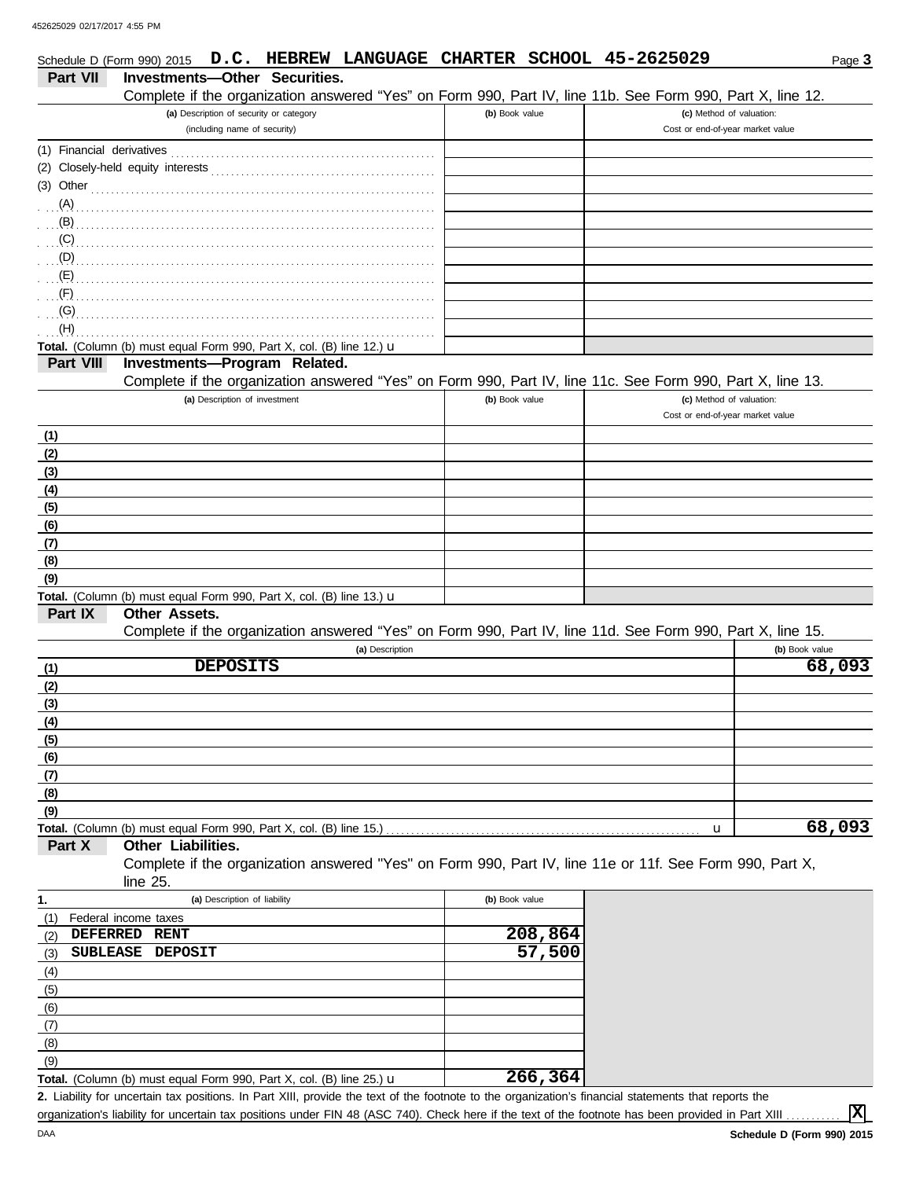|                                           | Schedule D (Form 990) 2015 D.C. HEBREW LANGUAGE CHARTER SCHOOL 45-2625029                                  |                |                   |                                                              | Page 3         |
|-------------------------------------------|------------------------------------------------------------------------------------------------------------|----------------|-------------------|--------------------------------------------------------------|----------------|
| Part VII                                  | <b>Investments-Other Securities.</b>                                                                       |                |                   |                                                              |                |
|                                           | Complete if the organization answered "Yes" on Form 990, Part IV, line 11b. See Form 990, Part X, line 12. |                |                   |                                                              |                |
|                                           | (a) Description of security or category<br>(including name of security)                                    | (b) Book value |                   | (c) Method of valuation:<br>Cost or end-of-year market value |                |
| (1) Financial derivatives                 |                                                                                                            |                |                   |                                                              |                |
|                                           |                                                                                                            |                |                   |                                                              |                |
| $(3)$ Other                               |                                                                                                            |                |                   |                                                              |                |
| (A)                                       |                                                                                                            |                |                   |                                                              |                |
| (B)                                       |                                                                                                            |                |                   |                                                              |                |
| (C)                                       |                                                                                                            |                |                   |                                                              |                |
| (D)                                       |                                                                                                            |                |                   |                                                              |                |
| (E)                                       |                                                                                                            |                |                   |                                                              |                |
| (F)                                       |                                                                                                            |                |                   |                                                              |                |
| (G)                                       |                                                                                                            |                |                   |                                                              |                |
| (H)                                       |                                                                                                            |                |                   |                                                              |                |
|                                           | Total. (Column (b) must equal Form 990, Part X, col. (B) line 12.) u                                       |                |                   |                                                              |                |
| Part VIII                                 | Investments-Program Related.                                                                               |                |                   |                                                              |                |
|                                           | Complete if the organization answered "Yes" on Form 990, Part IV, line 11c. See Form 990, Part X, line 13. |                |                   |                                                              |                |
|                                           | (a) Description of investment                                                                              | (b) Book value |                   | (c) Method of valuation:<br>Cost or end-of-year market value |                |
|                                           |                                                                                                            |                |                   |                                                              |                |
| (1)<br>(2)                                |                                                                                                            |                |                   |                                                              |                |
| (3)                                       |                                                                                                            |                |                   |                                                              |                |
| (4)                                       |                                                                                                            |                |                   |                                                              |                |
| (5)                                       |                                                                                                            |                |                   |                                                              |                |
| (6)                                       |                                                                                                            |                |                   |                                                              |                |
| (7)                                       |                                                                                                            |                |                   |                                                              |                |
| (8)                                       |                                                                                                            |                |                   |                                                              |                |
| (9)                                       |                                                                                                            |                |                   |                                                              |                |
|                                           | Total. (Column (b) must equal Form 990, Part X, col. (B) line 13.) u                                       |                |                   |                                                              |                |
| Part IX                                   | Other Assets.                                                                                              |                |                   |                                                              |                |
|                                           | Complete if the organization answered "Yes" on Form 990, Part IV, line 11d. See Form 990, Part X, line 15. |                |                   |                                                              |                |
|                                           | (a) Description                                                                                            |                |                   |                                                              | (b) Book value |
| (1)                                       | <b>DEPOSITS</b>                                                                                            |                |                   |                                                              | 68,093         |
| (2)                                       |                                                                                                            |                |                   |                                                              |                |
| (3)<br>(4)                                |                                                                                                            |                |                   |                                                              |                |
| (5)                                       |                                                                                                            |                |                   |                                                              |                |
| (6)                                       |                                                                                                            |                |                   |                                                              |                |
| (7)                                       |                                                                                                            |                |                   |                                                              |                |
| (8)                                       |                                                                                                            |                |                   |                                                              |                |
| (9)                                       |                                                                                                            |                |                   |                                                              |                |
|                                           | Total. (Column (b) must equal Form 990, Part X, col. (B) line 15.)                                         |                |                   | u                                                            | 68,093         |
| Part X                                    | Other Liabilities.                                                                                         |                |                   |                                                              |                |
|                                           | Complete if the organization answered "Yes" on Form 990, Part IV, line 11e or 11f. See Form 990, Part X,   |                |                   |                                                              |                |
|                                           | line 25.                                                                                                   |                |                   |                                                              |                |
| 1.                                        | (a) Description of liability                                                                               | (b) Book value |                   |                                                              |                |
| (1)                                       | Federal income taxes                                                                                       |                |                   |                                                              |                |
| <b>DEFERRED</b><br>(2)<br><b>SUBLEASE</b> | <b>RENT</b><br><b>DEPOSIT</b>                                                                              |                | 208,864<br>57,500 |                                                              |                |
| (3)                                       |                                                                                                            |                |                   |                                                              |                |
| (4)<br>(5)                                |                                                                                                            |                |                   |                                                              |                |
| (6)                                       |                                                                                                            |                |                   |                                                              |                |
| (7)                                       |                                                                                                            |                |                   |                                                              |                |
| (8)                                       |                                                                                                            |                |                   |                                                              |                |
| (9)                                       |                                                                                                            |                |                   |                                                              |                |
|                                           | Total. (Column (b) must equal Form 990, Part X, col. (B) line 25.) u                                       |                | 266, 364          |                                                              |                |

Liability for uncertain tax positions. In Part XIII, provide the text of the footnote to the organization's financial statements that reports the **2.** organization's liability for uncertain tax positions under FIN 48 (ASC 740). Check here if the text of the footnote has been provided in Part XIII

**X**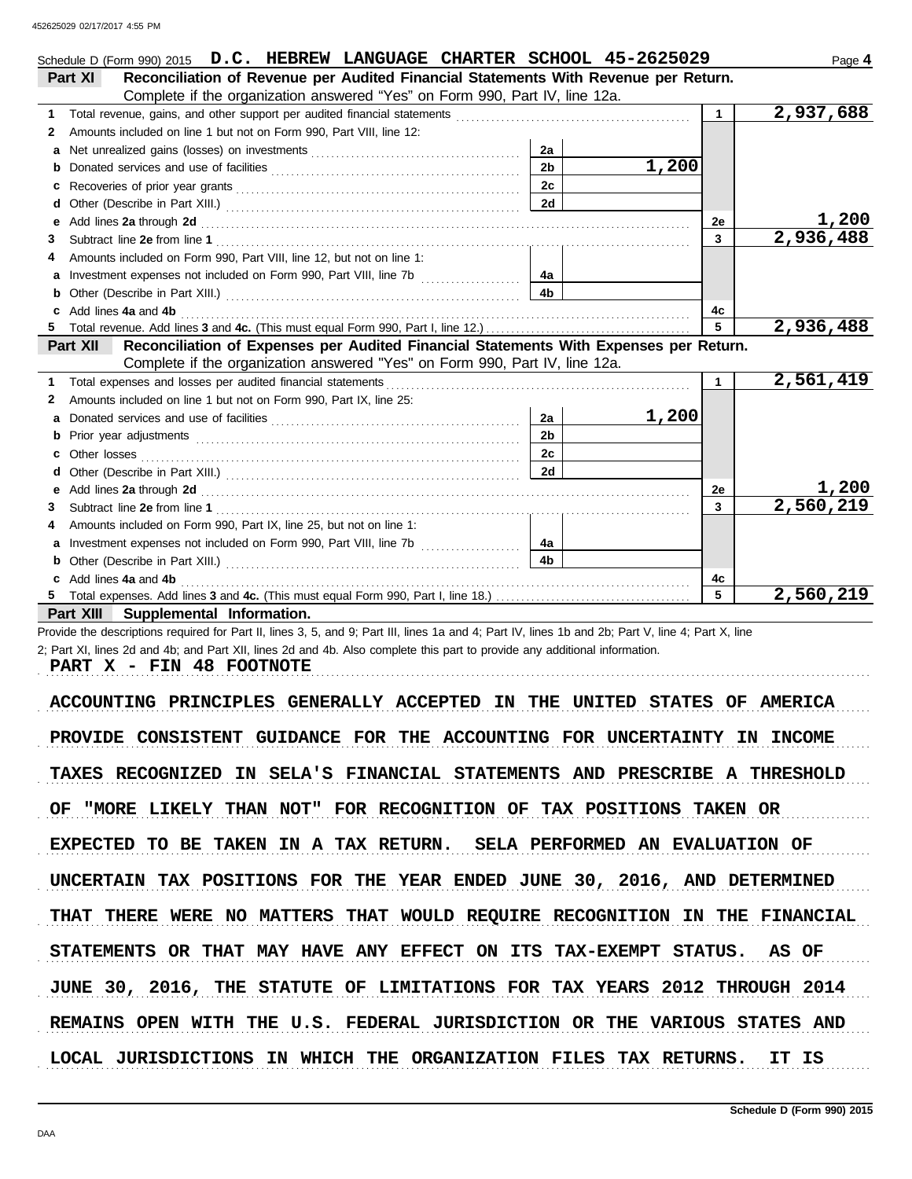|   | Schedule D (Form 990) 2015 D.C. HEBREW LANGUAGE CHARTER SCHOOL 45-2625029                                                                                                                                                     |                |       |              | Page 4    |
|---|-------------------------------------------------------------------------------------------------------------------------------------------------------------------------------------------------------------------------------|----------------|-------|--------------|-----------|
|   | Reconciliation of Revenue per Audited Financial Statements With Revenue per Return.<br>Part XI                                                                                                                                |                |       |              |           |
|   | Complete if the organization answered "Yes" on Form 990, Part IV, line 12a.                                                                                                                                                   |                |       |              |           |
| 1 |                                                                                                                                                                                                                               |                |       | $\mathbf{1}$ | 2,937,688 |
| 2 | Amounts included on line 1 but not on Form 990, Part VIII, line 12:                                                                                                                                                           |                |       |              |           |
| a |                                                                                                                                                                                                                               | 2a             |       |              |           |
| b |                                                                                                                                                                                                                               | 2 <sub>b</sub> | 1,200 |              |           |
| c |                                                                                                                                                                                                                               | 2 <sub>c</sub> |       |              |           |
| d |                                                                                                                                                                                                                               | 2d             |       |              |           |
| е | Add lines 2a through 2d [11] Add [12] Add [12] Add lines 2a through 2d [12] Add lines 2a through 2d [12] Add [12] Add [12] Add [12] Add [12] Add [12] Add [12] Add [12] Add [12] Add [12] Add [12] Add [12] Add [12] Add [12] |                |       | 2e           | 1,200     |
| З |                                                                                                                                                                                                                               |                |       | 3            | 2,936,488 |
| 4 | Amounts included on Form 990, Part VIII, line 12, but not on line 1:                                                                                                                                                          |                |       |              |           |
| a |                                                                                                                                                                                                                               | 4а             |       |              |           |
| b |                                                                                                                                                                                                                               | 4 <sub>b</sub> |       |              |           |
| c | Add lines 4a and 4b                                                                                                                                                                                                           |                |       | 4с           |           |
|   |                                                                                                                                                                                                                               |                |       | 5            | 2,936,488 |
|   | Reconciliation of Expenses per Audited Financial Statements With Expenses per Return.<br>Part XII                                                                                                                             |                |       |              |           |
|   | Complete if the organization answered "Yes" on Form 990, Part IV, line 12a.                                                                                                                                                   |                |       |              |           |
| 1 | Total expenses and losses per audited financial statements                                                                                                                                                                    |                |       |              | 2,561,419 |
| 2 | Amounts included on line 1 but not on Form 990, Part IX, line 25:                                                                                                                                                             |                |       |              |           |
|   |                                                                                                                                                                                                                               | 2a             | 1,200 |              |           |
| b |                                                                                                                                                                                                                               | 2 <sub>b</sub> |       |              |           |
| c | Other losses                                                                                                                                                                                                                  | 2c             |       |              |           |
| d |                                                                                                                                                                                                                               | 2d             |       |              |           |
| е | Add lines 2a through 2d [11] Additional Property and Property and Property and Property and Property and Property and Property and Property and Property and Property and Property and Property and Property and Property and |                |       | 2e           | 1,200     |
| З |                                                                                                                                                                                                                               |                |       | 3            | 2,560,219 |
| 4 | Amounts included on Form 990, Part IX, line 25, but not on line 1:                                                                                                                                                            |                |       |              |           |
| a |                                                                                                                                                                                                                               | 4a             |       |              |           |
| b |                                                                                                                                                                                                                               | 4 <sub>b</sub> |       |              |           |
|   | Add lines 4a and 4b                                                                                                                                                                                                           |                |       | 4c           |           |
|   |                                                                                                                                                                                                                               |                |       | 5            | 2,560,219 |

**Part XIII Supplemental Information.**

Provide the descriptions required for Part II, lines 3, 5, and 9; Part III, lines 1a and 4; Part IV, lines 1b and 2b; Part V, line 4; Part X, line 2; Part XI, lines 2d and 4b; and Part XII, lines 2d and 4b. Also complete this part to provide any additional information.

PART X - FIN 48 FOOTNOTE

ACCOUNTING PRINCIPLES GENERALLY ACCEPTED IN THE UNITED STATES OF AMERICA PROVIDE CONSISTENT GUIDANCE FOR THE ACCOUNTING FOR UNCERTAINTY IN INCOME TAXES RECOGNIZED IN SELA'S FINANCIAL STATEMENTS AND PRESCRIBE A THRESHOLD OF "MORE LIKELY THAN NOT" FOR RECOGNITION OF TAX POSITIONS TAKEN OR EXPECTED TO BE TAKEN IN A TAX RETURN. SELA PERFORMED AN EVALUATION OF UNCERTAIN TAX POSITIONS FOR THE YEAR ENDED JUNE 30, 2016, AND DETERMINED JUNE 30, 2016, THE STATUTE OF LIMITATIONS FOR TAX YEARS 2012 THROUGH 2014 THAT THERE WERE NO MATTERS THAT WOULD REQUIRE RECOGNITION IN THE FINANCIAL STATEMENTS OR THAT MAY HAVE ANY EFFECT ON ITS TAX-EXEMPT STATUS. AS OF REMAINS OPEN WITH THE U.S. FEDERAL JURISDICTION OR THE VARIOUS STATES AND LOCAL JURISDICTIONS IN WHICH THE ORGANIZATION FILES TAX RETURNS. IT IS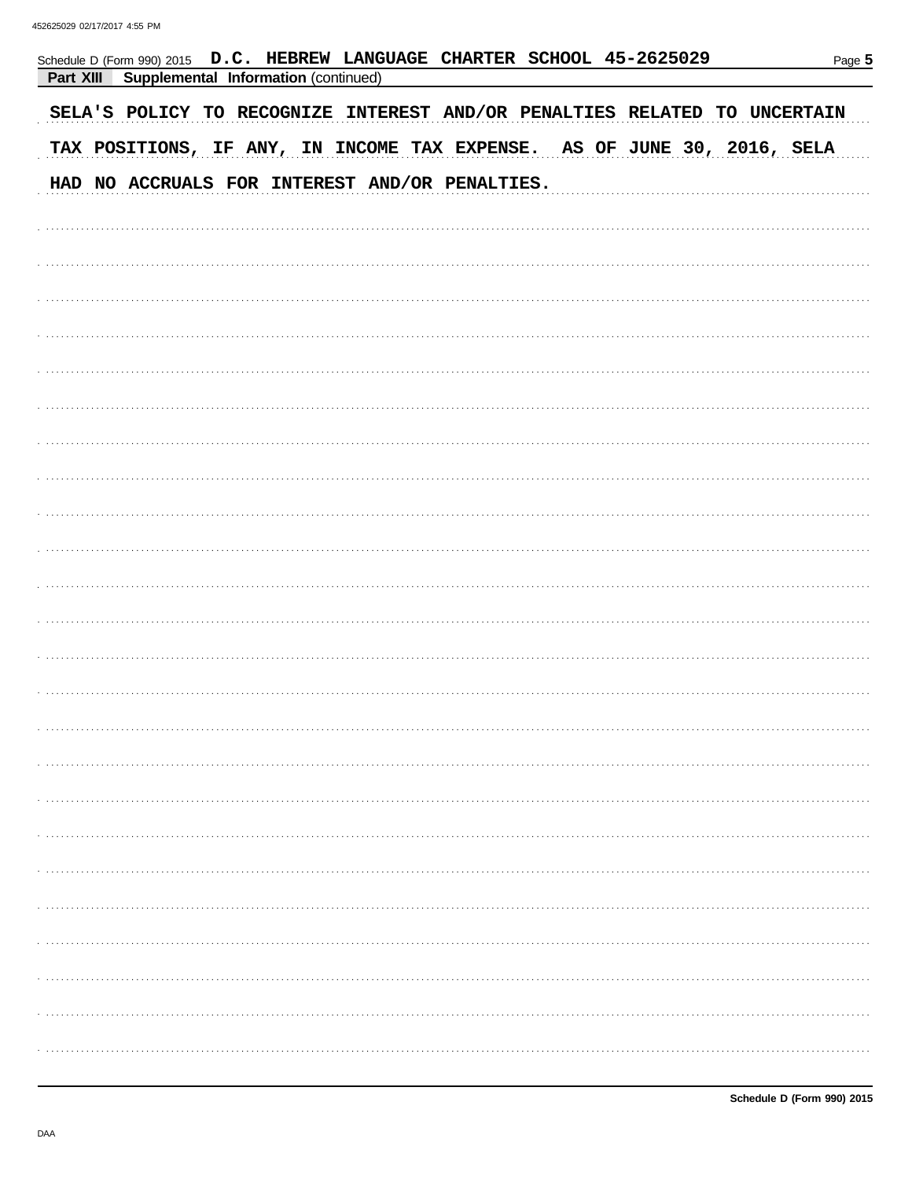Schedule D (Form 990) 2015

| <b>Part XIII Supplemental Information (continued)</b>                     |
|---------------------------------------------------------------------------|
| SELA'S POLICY TO RECOGNIZE INTEREST AND/OR PENALTIES RELATED TO UNCERTAIN |
| TAX POSITIONS, IF ANY, IN INCOME TAX EXPENSE. AS OF JUNE 30, 2016, SELA   |
| HAD NO ACCRUALS FOR INTEREST AND/OR PENALTIES.                            |
|                                                                           |
|                                                                           |
|                                                                           |
|                                                                           |
|                                                                           |
|                                                                           |
|                                                                           |
|                                                                           |
|                                                                           |
|                                                                           |
|                                                                           |
|                                                                           |
|                                                                           |
|                                                                           |
|                                                                           |
|                                                                           |
|                                                                           |
|                                                                           |
|                                                                           |

D.C. HEBREW LANGUAGE CHARTER SCHOOL 45-2625029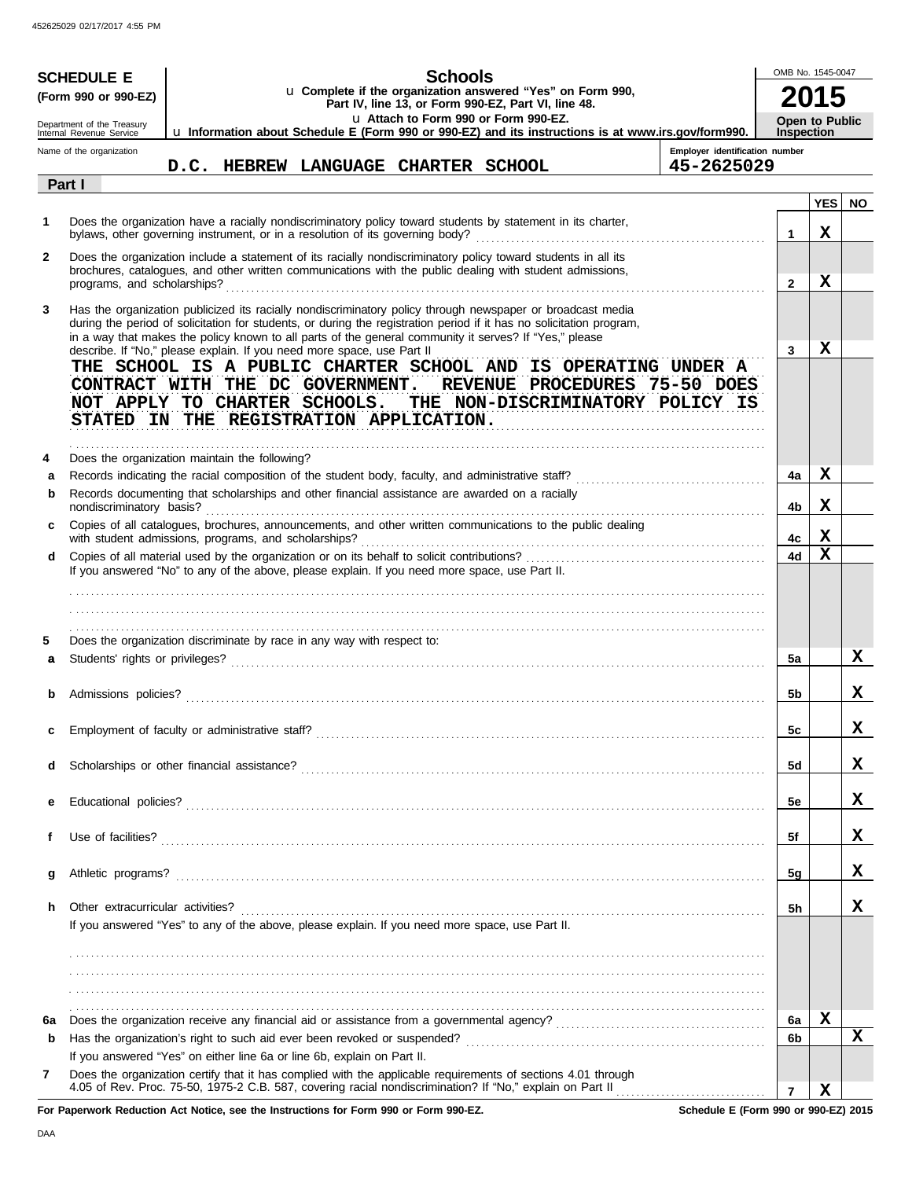| <b>SCHEDULE E</b><br>(Form 990 or 990-EZ) |                                                                                                                                                                                                                                                                                                                                                                                                                        | <b>Schools</b><br>u Complete if the organization answered "Yes" on Form 990,<br>Part IV, line 13, or Form 990-EZ, Part VI, line 48.<br>u Attach to Form 990 or Form 990-EZ. |  |  |  |  |  |                                     |  | OMB No. 1545-0047                                                                                   |  |                                              |                                            |            |           |
|-------------------------------------------|------------------------------------------------------------------------------------------------------------------------------------------------------------------------------------------------------------------------------------------------------------------------------------------------------------------------------------------------------------------------------------------------------------------------|-----------------------------------------------------------------------------------------------------------------------------------------------------------------------------|--|--|--|--|--|-------------------------------------|--|-----------------------------------------------------------------------------------------------------|--|----------------------------------------------|--------------------------------------------|------------|-----------|
|                                           | Department of the Treasury<br>Internal Revenue Service                                                                                                                                                                                                                                                                                                                                                                 |                                                                                                                                                                             |  |  |  |  |  |                                     |  | u Information about Schedule E (Form 990 or 990-EZ) and its instructions is at www.irs.gov/form990. |  |                                              | <b>Open to Public</b><br><b>Inspection</b> |            |           |
|                                           | Name of the organization<br>Part I                                                                                                                                                                                                                                                                                                                                                                                     |                                                                                                                                                                             |  |  |  |  |  | D.C. HEBREW LANGUAGE CHARTER SCHOOL |  |                                                                                                     |  | Employer identification number<br>45-2625029 |                                            |            |           |
|                                           |                                                                                                                                                                                                                                                                                                                                                                                                                        |                                                                                                                                                                             |  |  |  |  |  |                                     |  |                                                                                                     |  |                                              |                                            | <b>YES</b> | <b>NO</b> |
| 1                                         | Does the organization have a racially nondiscriminatory policy toward students by statement in its charter,<br>bylaws, other governing instrument, or in a resolution of its governing body?                                                                                                                                                                                                                           |                                                                                                                                                                             |  |  |  |  |  |                                     |  |                                                                                                     |  |                                              | 1                                          | x          |           |
| 2                                         | Does the organization include a statement of its racially nondiscriminatory policy toward students in all its<br>brochures, catalogues, and other written communications with the public dealing with student admissions,<br>programs, and scholarships?                                                                                                                                                               |                                                                                                                                                                             |  |  |  |  |  |                                     |  |                                                                                                     |  |                                              | $\mathbf{2}$                               | X          |           |
| 3                                         | Has the organization publicized its racially nondiscriminatory policy through newspaper or broadcast media<br>during the period of solicitation for students, or during the registration period if it has no solicitation program,<br>in a way that makes the policy known to all parts of the general community it serves? If "Yes," please<br>describe. If "No," please explain. If you need more space, use Part II |                                                                                                                                                                             |  |  |  |  |  |                                     |  |                                                                                                     |  |                                              | 3                                          | x          |           |
|                                           | THE SCHOOL IS A PUBLIC CHARTER SCHOOL AND IS OPERATING UNDER A<br>CONTRACT WITH THE DC GOVERNMENT.<br>NOT APPLY TO CHARTER SCHOOLS. THE NON-DISCRIMINATORY POLICY IS<br>STATED IN THE REGISTRATION APPLICATION.                                                                                                                                                                                                        |                                                                                                                                                                             |  |  |  |  |  |                                     |  | REVENUE PROCEDURES 75-50 DOES                                                                       |  |                                              |                                            |            |           |
| 4                                         | Does the organization maintain the following?                                                                                                                                                                                                                                                                                                                                                                          |                                                                                                                                                                             |  |  |  |  |  |                                     |  |                                                                                                     |  |                                              |                                            |            |           |
| a                                         | Records documenting that scholarships and other financial assistance are awarded on a racially                                                                                                                                                                                                                                                                                                                         |                                                                                                                                                                             |  |  |  |  |  |                                     |  |                                                                                                     |  |                                              | 4a                                         | x          |           |
| b                                         | nondiscriminatory basis?                                                                                                                                                                                                                                                                                                                                                                                               |                                                                                                                                                                             |  |  |  |  |  |                                     |  |                                                                                                     |  |                                              | 4b                                         | x          |           |
|                                           | Copies of all catalogues, brochures, announcements, and other written communications to the public dealing<br>with student admissions, programs, and scholarships?                                                                                                                                                                                                                                                     |                                                                                                                                                                             |  |  |  |  |  |                                     |  |                                                                                                     |  |                                              | 4с                                         | x          |           |
| d                                         | If you answered "No" to any of the above, please explain. If you need more space, use Part II.                                                                                                                                                                                                                                                                                                                         |                                                                                                                                                                             |  |  |  |  |  |                                     |  |                                                                                                     |  |                                              | 4d                                         | X          |           |
| 5                                         | Does the organization discriminate by race in any way with respect to:                                                                                                                                                                                                                                                                                                                                                 |                                                                                                                                                                             |  |  |  |  |  |                                     |  |                                                                                                     |  |                                              |                                            |            |           |
| a                                         |                                                                                                                                                                                                                                                                                                                                                                                                                        |                                                                                                                                                                             |  |  |  |  |  |                                     |  |                                                                                                     |  |                                              | 5a                                         |            | X.        |
|                                           |                                                                                                                                                                                                                                                                                                                                                                                                                        |                                                                                                                                                                             |  |  |  |  |  |                                     |  |                                                                                                     |  |                                              | 5b                                         |            | x.        |
|                                           |                                                                                                                                                                                                                                                                                                                                                                                                                        |                                                                                                                                                                             |  |  |  |  |  |                                     |  |                                                                                                     |  |                                              | 5c                                         |            | A         |
| d                                         |                                                                                                                                                                                                                                                                                                                                                                                                                        |                                                                                                                                                                             |  |  |  |  |  |                                     |  |                                                                                                     |  |                                              | <b>5d</b>                                  |            | x         |
| е                                         |                                                                                                                                                                                                                                                                                                                                                                                                                        |                                                                                                                                                                             |  |  |  |  |  |                                     |  |                                                                                                     |  |                                              | 5e                                         |            | x         |
| f                                         |                                                                                                                                                                                                                                                                                                                                                                                                                        |                                                                                                                                                                             |  |  |  |  |  |                                     |  |                                                                                                     |  |                                              | 5f                                         |            | x         |
| g                                         |                                                                                                                                                                                                                                                                                                                                                                                                                        |                                                                                                                                                                             |  |  |  |  |  |                                     |  |                                                                                                     |  |                                              | 5g                                         |            | x         |
| h.                                        | Other extracurricular activities?<br>If you answered "Yes" to any of the above, please explain. If you need more space, use Part II.                                                                                                                                                                                                                                                                                   |                                                                                                                                                                             |  |  |  |  |  |                                     |  |                                                                                                     |  |                                              | 5h                                         |            | x         |
|                                           |                                                                                                                                                                                                                                                                                                                                                                                                                        |                                                                                                                                                                             |  |  |  |  |  |                                     |  |                                                                                                     |  |                                              |                                            |            |           |
| 6a                                        |                                                                                                                                                                                                                                                                                                                                                                                                                        |                                                                                                                                                                             |  |  |  |  |  |                                     |  |                                                                                                     |  |                                              | 6a                                         | х          |           |
| b                                         |                                                                                                                                                                                                                                                                                                                                                                                                                        |                                                                                                                                                                             |  |  |  |  |  |                                     |  |                                                                                                     |  |                                              | 6b                                         |            | x         |
| 7                                         | If you answered "Yes" on either line 6a or line 6b, explain on Part II.<br>Does the organization certify that it has complied with the applicable requirements of sections 4.01 through                                                                                                                                                                                                                                |                                                                                                                                                                             |  |  |  |  |  |                                     |  |                                                                                                     |  |                                              | 7                                          | x          |           |

**For Paperwork Reduction Act Notice, see the Instructions for Form 990 or Form 990-EZ.**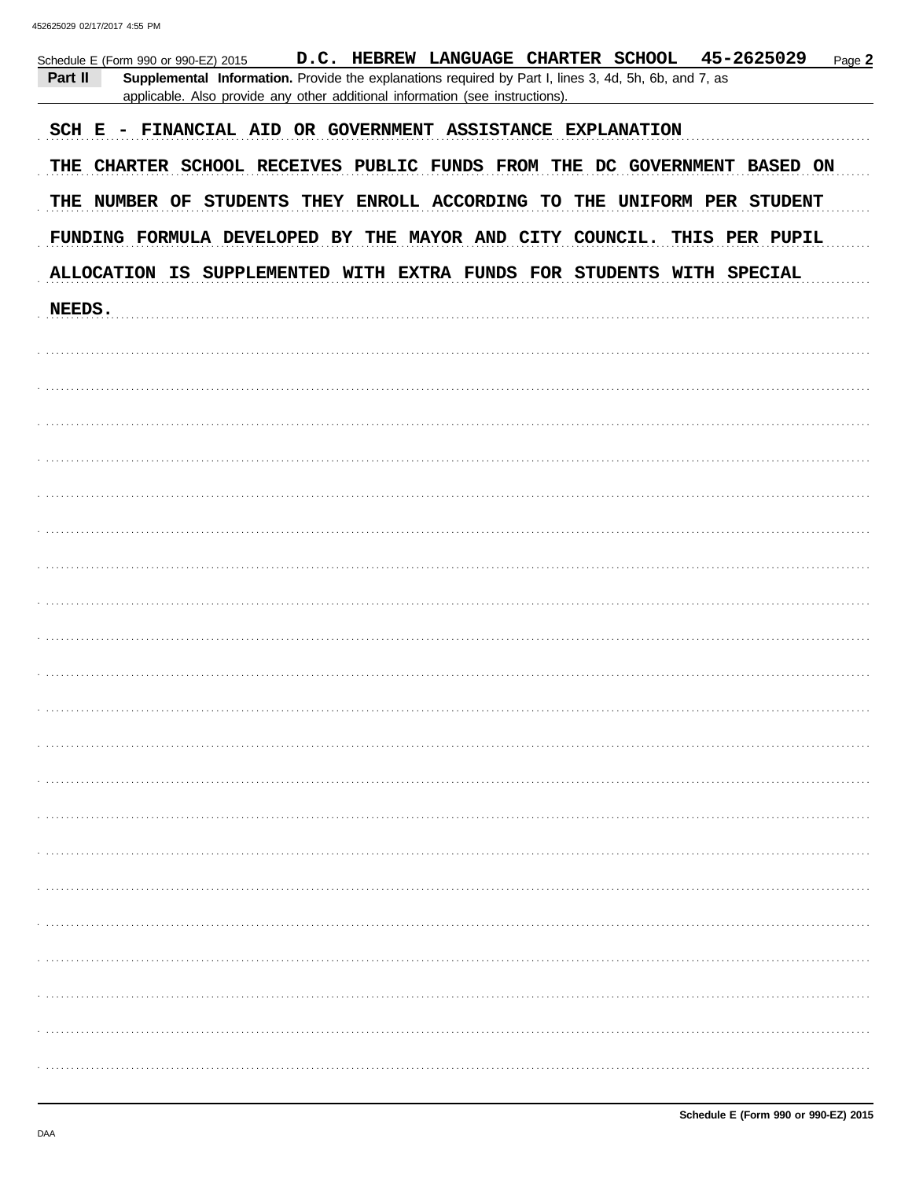452625029 02/17/2017 4:55 PM

| D.C. HEBREW LANGUAGE CHARTER SCHOOL 45-2625029<br>Page 2<br>Schedule E (Form 990 or 990-EZ) 2015<br>Part II<br>Supplemental Information. Provide the explanations required by Part I, lines 3, 4d, 5h, 6b, and 7, as<br>applicable. Also provide any other additional information (see instructions). |  |  |  |  |  |  |  |
|-------------------------------------------------------------------------------------------------------------------------------------------------------------------------------------------------------------------------------------------------------------------------------------------------------|--|--|--|--|--|--|--|
| SCH E - FINANCIAL AID OR GOVERNMENT ASSISTANCE EXPLANATION                                                                                                                                                                                                                                            |  |  |  |  |  |  |  |
| THE CHARTER SCHOOL RECEIVES PUBLIC FUNDS FROM THE DC GOVERNMENT BASED ON                                                                                                                                                                                                                              |  |  |  |  |  |  |  |
| THE NUMBER OF STUDENTS THEY ENROLL ACCORDING TO THE UNIFORM PER STUDENT                                                                                                                                                                                                                               |  |  |  |  |  |  |  |
| FUNDING FORMULA DEVELOPED BY THE MAYOR AND CITY COUNCIL. THIS PER PUPIL                                                                                                                                                                                                                               |  |  |  |  |  |  |  |
| ALLOCATION IS SUPPLEMENTED WITH EXTRA FUNDS FOR STUDENTS WITH SPECIAL                                                                                                                                                                                                                                 |  |  |  |  |  |  |  |
| NEEDS.                                                                                                                                                                                                                                                                                                |  |  |  |  |  |  |  |
|                                                                                                                                                                                                                                                                                                       |  |  |  |  |  |  |  |
|                                                                                                                                                                                                                                                                                                       |  |  |  |  |  |  |  |
|                                                                                                                                                                                                                                                                                                       |  |  |  |  |  |  |  |
|                                                                                                                                                                                                                                                                                                       |  |  |  |  |  |  |  |
|                                                                                                                                                                                                                                                                                                       |  |  |  |  |  |  |  |
|                                                                                                                                                                                                                                                                                                       |  |  |  |  |  |  |  |
|                                                                                                                                                                                                                                                                                                       |  |  |  |  |  |  |  |
|                                                                                                                                                                                                                                                                                                       |  |  |  |  |  |  |  |
|                                                                                                                                                                                                                                                                                                       |  |  |  |  |  |  |  |
|                                                                                                                                                                                                                                                                                                       |  |  |  |  |  |  |  |
|                                                                                                                                                                                                                                                                                                       |  |  |  |  |  |  |  |
|                                                                                                                                                                                                                                                                                                       |  |  |  |  |  |  |  |
|                                                                                                                                                                                                                                                                                                       |  |  |  |  |  |  |  |
|                                                                                                                                                                                                                                                                                                       |  |  |  |  |  |  |  |
|                                                                                                                                                                                                                                                                                                       |  |  |  |  |  |  |  |
|                                                                                                                                                                                                                                                                                                       |  |  |  |  |  |  |  |
|                                                                                                                                                                                                                                                                                                       |  |  |  |  |  |  |  |
|                                                                                                                                                                                                                                                                                                       |  |  |  |  |  |  |  |
|                                                                                                                                                                                                                                                                                                       |  |  |  |  |  |  |  |
|                                                                                                                                                                                                                                                                                                       |  |  |  |  |  |  |  |
|                                                                                                                                                                                                                                                                                                       |  |  |  |  |  |  |  |
|                                                                                                                                                                                                                                                                                                       |  |  |  |  |  |  |  |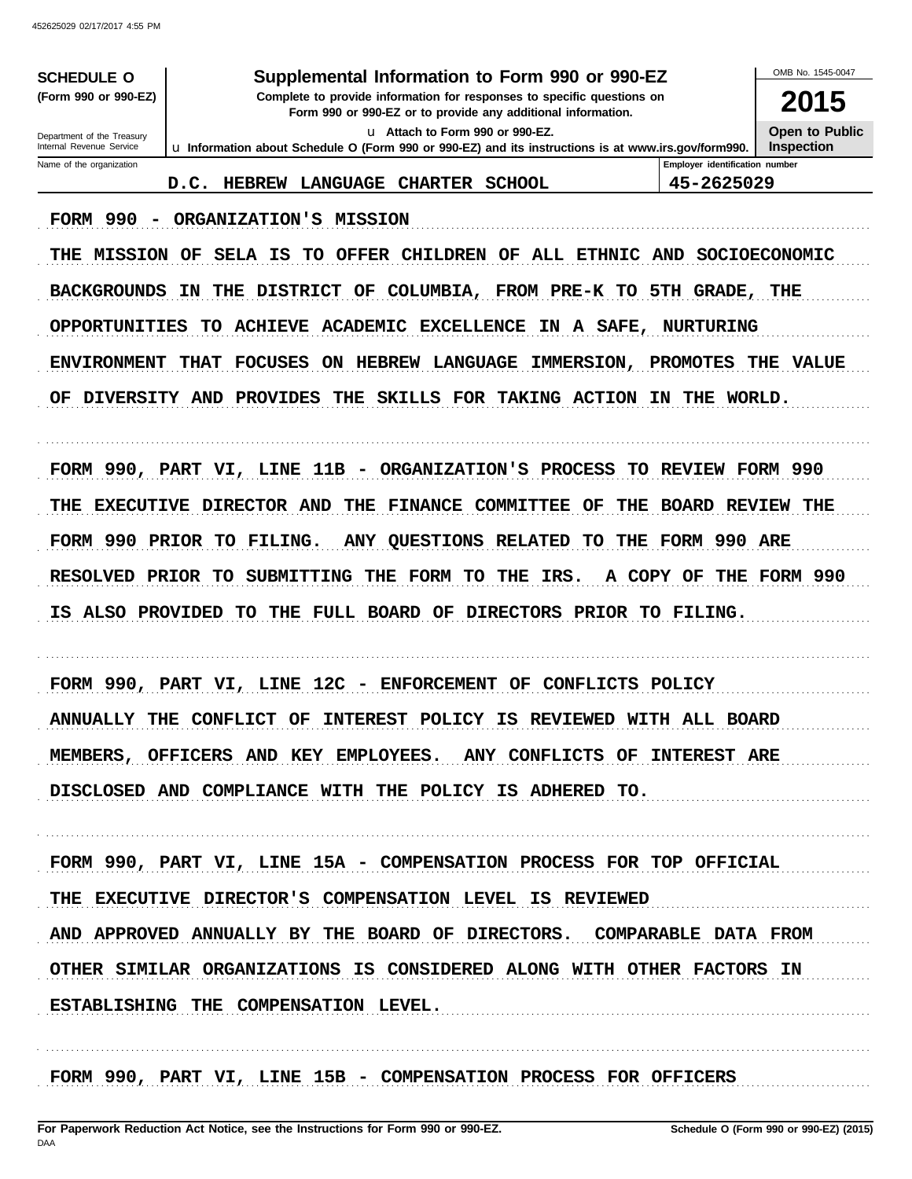| Supplemental Information to Form 990 or 990-EZ<br><b>SCHEDULE O</b>                                                                                   |                                                                                                                                                                           |                                | OMB No. 1545-0047 |  |  |  |  |
|-------------------------------------------------------------------------------------------------------------------------------------------------------|---------------------------------------------------------------------------------------------------------------------------------------------------------------------------|--------------------------------|-------------------|--|--|--|--|
| (Form 990 or 990-EZ)                                                                                                                                  | Complete to provide information for responses to specific questions on<br>Form 990 or 990-EZ or to provide any additional information.<br>u Attach to Form 990 or 990-EZ. |                                |                   |  |  |  |  |
| Department of the Treasury                                                                                                                            |                                                                                                                                                                           |                                |                   |  |  |  |  |
| Internal Revenue Service<br>Name of the organization                                                                                                  | u Information about Schedule O (Form 990 or 990-EZ) and its instructions is at www.irs.gov/form990.                                                                       | Emplover identification number | <b>Inspection</b> |  |  |  |  |
|                                                                                                                                                       | <b>HEBREW</b><br>LANGUAGE<br><b>CHARTER</b><br><b>SCHOOL</b><br>D.C.                                                                                                      | 45-2625029                     |                   |  |  |  |  |
| FORM 990                                                                                                                                              | ORGANIZATION'S MISSION                                                                                                                                                    |                                |                   |  |  |  |  |
| <b>MISSION</b><br>THE                                                                                                                                 | OF<br>SELA<br>IS<br>TO<br><b>OFFER</b><br><b>CHILDREN</b><br>OF<br>ALL ETHNIC                                                                                             | AND                            | SOCIOECONOMIC     |  |  |  |  |
| <b>BACKGROUNDS</b>                                                                                                                                    | THE<br><b>DISTRICT</b><br>OF<br>COLUMBIA, FROM PRE-K TO 5TH GRADE, THE<br>IN.                                                                                             |                                |                   |  |  |  |  |
| OPPORTUNITIES                                                                                                                                         | <b>ACADEMIC</b><br><b>EXCELLENCE</b><br>TO.<br><b>ACHIEVE</b><br>IN A SAFE, NURTURING                                                                                     |                                |                   |  |  |  |  |
| <b>FOCUSES</b><br>LANGUAGE<br><b>ENVIRONMENT</b><br><b>THAT</b><br><b>ON</b><br><b>HEBREW</b><br>IMMERSION,<br><b>PROMOTES</b><br>THE<br><b>VALUE</b> |                                                                                                                                                                           |                                |                   |  |  |  |  |
| OF<br>DIVERSITY AND                                                                                                                                   | SKILLS FOR TAKING ACTION<br><b>PROVIDES</b><br>THE                                                                                                                        | IN.<br>THE<br><b>WORLD.</b>    |                   |  |  |  |  |
|                                                                                                                                                       |                                                                                                                                                                           |                                |                   |  |  |  |  |
|                                                                                                                                                       | FORM 990, PART VI, LINE 11B - ORGANIZATION'S PROCESS                                                                                                                      | TO REVIEW FORM 990             |                   |  |  |  |  |
| THE                                                                                                                                                   | EXECUTIVE DIRECTOR AND<br>THE<br><b>FINANCE</b><br><b>COMMITTEE</b><br>OF<br>THE                                                                                          | <b>BOARD</b>                   | <b>REVIEW THE</b> |  |  |  |  |
|                                                                                                                                                       | FORM 990 PRIOR TO FILING.<br><b>QUESTIONS</b><br>THE<br><b>ANY</b><br><b>RELATED</b><br>TО                                                                                | FORM 990 ARE                   |                   |  |  |  |  |
| <b>RESOLVED</b>                                                                                                                                       | <b>FORM</b><br>IRS.<br>PRIOR TO<br><b>SUBMITTING</b><br>THE<br>TO.<br>THE<br>A COPY OF                                                                                    | THE                            | FORM 990          |  |  |  |  |
| ALSO PROVIDED<br>IS.                                                                                                                                  | THE FULL BOARD OF<br>DIRECTORS PRIOR TO FILING.<br>TO                                                                                                                     |                                |                   |  |  |  |  |
|                                                                                                                                                       |                                                                                                                                                                           |                                |                   |  |  |  |  |
|                                                                                                                                                       | FORM 990, PART VI, LINE 12C<br>- ENFORCEMENT<br>OF<br><b>CONFLICTS</b>                                                                                                    | <b>POLICY</b>                  |                   |  |  |  |  |
| <b>ANNUALLY THE</b>                                                                                                                                   | CONFLICT<br><b>INTEREST</b><br><b>POLICY</b><br>IS<br><b>REVIEWED</b><br>OF                                                                                               | WITH ALL BOARD                 |                   |  |  |  |  |
|                                                                                                                                                       | MEMBERS, OFFICERS AND KEY EMPLOYEES. ANY CONFLICTS OF INTEREST ARE                                                                                                        |                                |                   |  |  |  |  |
|                                                                                                                                                       | DISCLOSED AND COMPLIANCE WITH THE POLICY IS ADHERED TO.                                                                                                                   |                                |                   |  |  |  |  |
|                                                                                                                                                       |                                                                                                                                                                           |                                |                   |  |  |  |  |
|                                                                                                                                                       | FORM 990, PART VI, LINE 15A - COMPENSATION PROCESS FOR TOP OFFICIAL                                                                                                       |                                |                   |  |  |  |  |
|                                                                                                                                                       | THE EXECUTIVE DIRECTOR'S COMPENSATION LEVEL IS REVIEWED                                                                                                                   |                                |                   |  |  |  |  |
|                                                                                                                                                       | AND APPROVED ANNUALLY BY THE BOARD OF DIRECTORS. COMPARABLE DATA FROM                                                                                                     |                                |                   |  |  |  |  |
|                                                                                                                                                       | OTHER SIMILAR ORGANIZATIONS IS CONSIDERED ALONG WITH OTHER FACTORS IN                                                                                                     |                                |                   |  |  |  |  |
|                                                                                                                                                       | ESTABLISHING THE COMPENSATION LEVEL.                                                                                                                                      |                                |                   |  |  |  |  |
|                                                                                                                                                       |                                                                                                                                                                           |                                |                   |  |  |  |  |
|                                                                                                                                                       | FORM 990, PART VI, LINE 15B - COMPENSATION PROCESS FOR OFFICERS                                                                                                           |                                |                   |  |  |  |  |